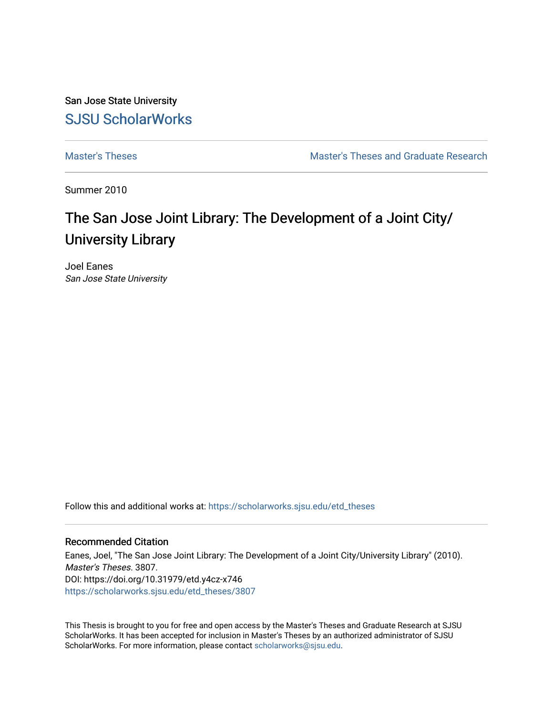San Jose State University [SJSU ScholarWorks](https://scholarworks.sjsu.edu/) 

[Master's Theses](https://scholarworks.sjsu.edu/etd_theses) [Master's Theses and Graduate Research](https://scholarworks.sjsu.edu/etd) 

Summer 2010

# The San Jose Joint Library: The Development of a Joint City/ University Library

Joel Eanes San Jose State University

Follow this and additional works at: [https://scholarworks.sjsu.edu/etd\\_theses](https://scholarworks.sjsu.edu/etd_theses?utm_source=scholarworks.sjsu.edu%2Fetd_theses%2F3807&utm_medium=PDF&utm_campaign=PDFCoverPages)

### Recommended Citation

Eanes, Joel, "The San Jose Joint Library: The Development of a Joint City/University Library" (2010). Master's Theses. 3807. DOI: https://doi.org/10.31979/etd.y4cz-x746 [https://scholarworks.sjsu.edu/etd\\_theses/3807](https://scholarworks.sjsu.edu/etd_theses/3807?utm_source=scholarworks.sjsu.edu%2Fetd_theses%2F3807&utm_medium=PDF&utm_campaign=PDFCoverPages)

This Thesis is brought to you for free and open access by the Master's Theses and Graduate Research at SJSU ScholarWorks. It has been accepted for inclusion in Master's Theses by an authorized administrator of SJSU ScholarWorks. For more information, please contact [scholarworks@sjsu.edu](mailto:scholarworks@sjsu.edu).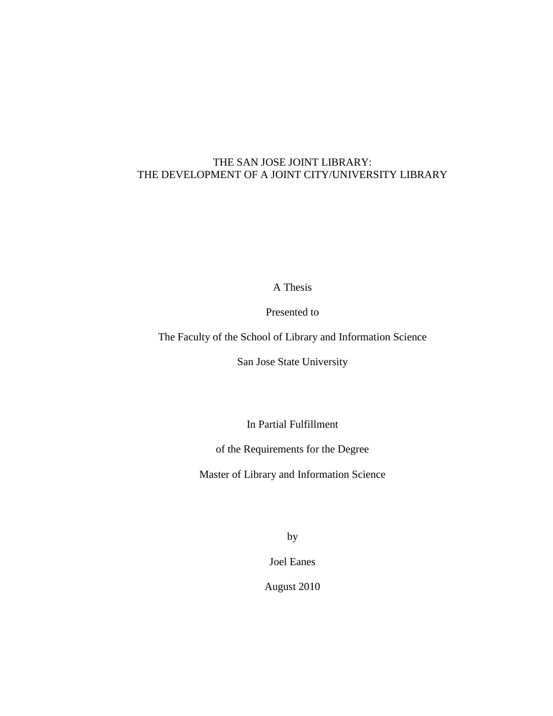### THE SAN JOSE JOINT LIBRARY: THE DEVELOPMENT OF A JOINT CITY/UNIVERSITY LIBRARY

A Thesis

Presented to

The Faculty of the School of Library and Information Science

San Jose State University

In Partial Fulfillment

of the Requirements for the Degree

Master of Library and Information Science

by

Joel Eanes

August 2010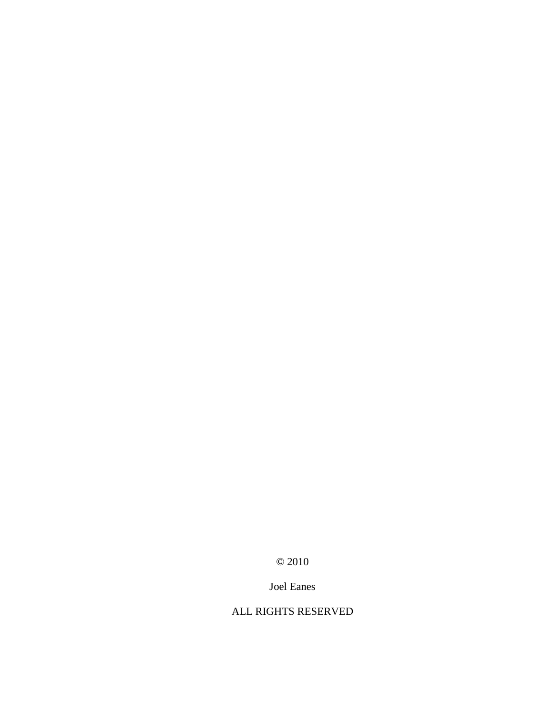© 2010

Joel Eanes

# ALL RIGHTS RESERVED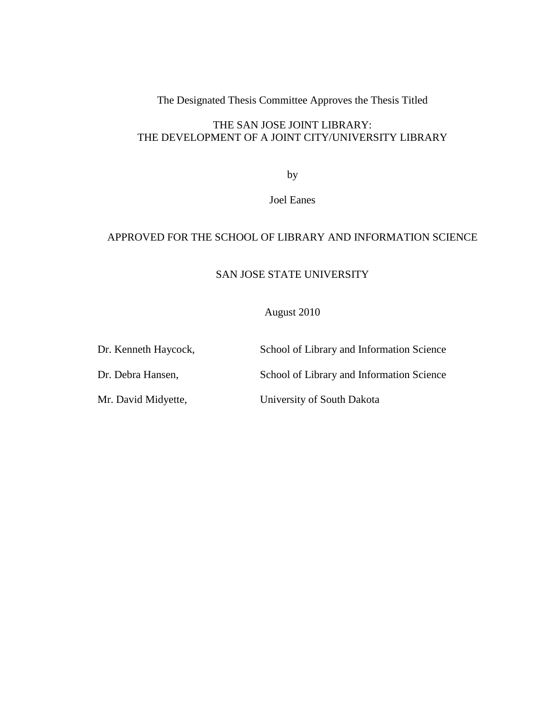The Designated Thesis Committee Approves the Thesis Titled

### THE SAN JOSE JOINT LIBRARY: THE DEVELOPMENT OF A JOINT CITY/UNIVERSITY LIBRARY

by

Joel Eanes

### APPROVED FOR THE SCHOOL OF LIBRARY AND INFORMATION SCIENCE

### SAN JOSE STATE UNIVERSITY

### August 2010

Dr. Kenneth Haycock, School of Library and Information Science Dr. Debra Hansen, School of Library and Information Science Mr. David Midyette, University of South Dakota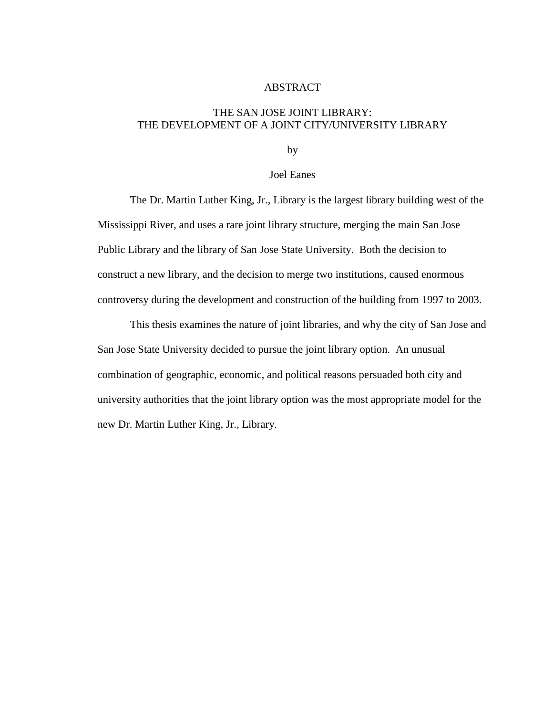#### ABSTRACT

### THE SAN JOSE JOINT LIBRARY: THE DEVELOPMENT OF A JOINT CITY/UNIVERSITY LIBRARY

by

Joel Eanes

 The Dr. Martin Luther King, Jr., Library is the largest library building west of the Mississippi River, and uses a rare joint library structure, merging the main San Jose Public Library and the library of San Jose State University. Both the decision to construct a new library, and the decision to merge two institutions, caused enormous controversy during the development and construction of the building from 1997 to 2003.

 This thesis examines the nature of joint libraries, and why the city of San Jose and San Jose State University decided to pursue the joint library option. An unusual combination of geographic, economic, and political reasons persuaded both city and university authorities that the joint library option was the most appropriate model for the new Dr. Martin Luther King, Jr., Library.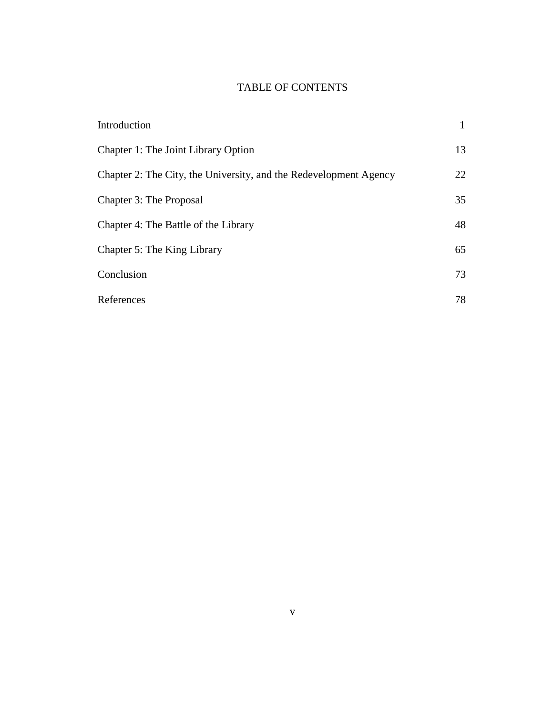## TABLE OF CONTENTS

| Introduction                                                      |    |
|-------------------------------------------------------------------|----|
| Chapter 1: The Joint Library Option                               | 13 |
| Chapter 2: The City, the University, and the Redevelopment Agency | 22 |
| Chapter 3: The Proposal                                           | 35 |
| Chapter 4: The Battle of the Library                              | 48 |
| Chapter 5: The King Library                                       | 65 |
| Conclusion                                                        | 73 |
| References                                                        | 78 |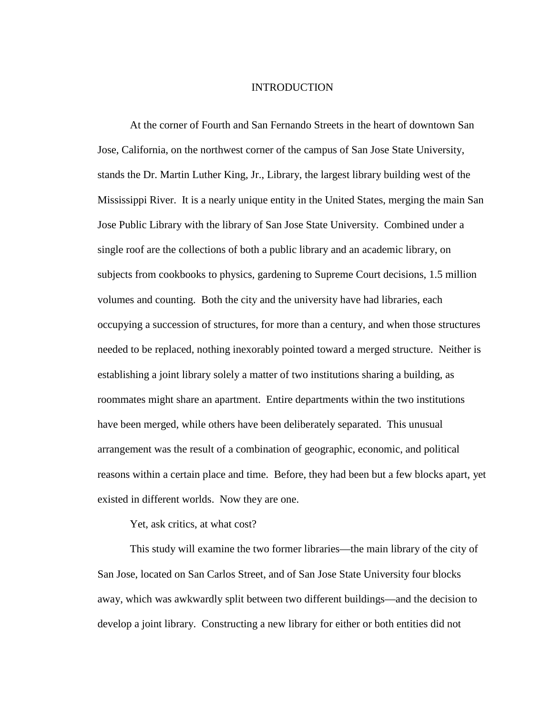#### INTRODUCTION

 At the corner of Fourth and San Fernando Streets in the heart of downtown San Jose, California, on the northwest corner of the campus of San Jose State University, stands the Dr. Martin Luther King, Jr., Library, the largest library building west of the Mississippi River. It is a nearly unique entity in the United States, merging the main San Jose Public Library with the library of San Jose State University. Combined under a single roof are the collections of both a public library and an academic library, on subjects from cookbooks to physics, gardening to Supreme Court decisions, 1.5 million volumes and counting. Both the city and the university have had libraries, each occupying a succession of structures, for more than a century, and when those structures needed to be replaced, nothing inexorably pointed toward a merged structure. Neither is establishing a joint library solely a matter of two institutions sharing a building, as roommates might share an apartment. Entire departments within the two institutions have been merged, while others have been deliberately separated. This unusual arrangement was the result of a combination of geographic, economic, and political reasons within a certain place and time. Before, they had been but a few blocks apart, yet existed in different worlds. Now they are one.

#### Yet, ask critics, at what cost?

 This study will examine the two former libraries—the main library of the city of San Jose, located on San Carlos Street, and of San Jose State University four blocks away, which was awkwardly split between two different buildings—and the decision to develop a joint library. Constructing a new library for either or both entities did not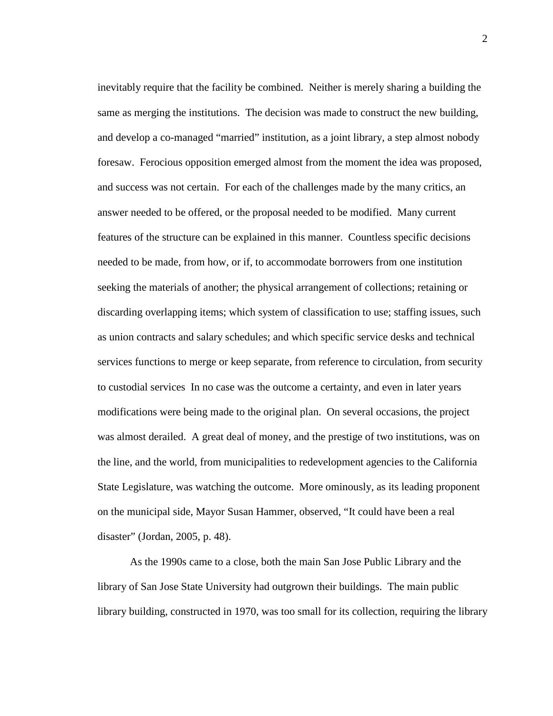inevitably require that the facility be combined. Neither is merely sharing a building the same as merging the institutions. The decision was made to construct the new building, and develop a co-managed "married" institution, as a joint library, a step almost nobody foresaw. Ferocious opposition emerged almost from the moment the idea was proposed, and success was not certain. For each of the challenges made by the many critics, an answer needed to be offered, or the proposal needed to be modified. Many current features of the structure can be explained in this manner. Countless specific decisions needed to be made, from how, or if, to accommodate borrowers from one institution seeking the materials of another; the physical arrangement of collections; retaining or discarding overlapping items; which system of classification to use; staffing issues, such as union contracts and salary schedules; and which specific service desks and technical services functions to merge or keep separate, from reference to circulation, from security to custodial services In no case was the outcome a certainty, and even in later years modifications were being made to the original plan. On several occasions, the project was almost derailed. A great deal of money, and the prestige of two institutions, was on the line, and the world, from municipalities to redevelopment agencies to the California State Legislature, was watching the outcome. More ominously, as its leading proponent on the municipal side, Mayor Susan Hammer, observed, "It could have been a real disaster" (Jordan, 2005, p. 48).

 As the 1990s came to a close, both the main San Jose Public Library and the library of San Jose State University had outgrown their buildings. The main public library building, constructed in 1970, was too small for its collection, requiring the library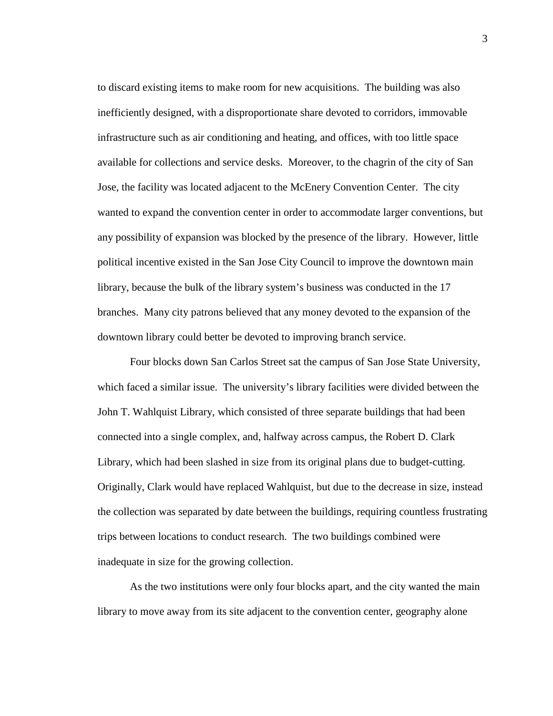to discard existing items to make room for new acquisitions. The building was also inefficiently designed, with a disproportionate share devoted to corridors, immovable infrastructure such as air conditioning and heating, and offices, with too little space available for collections and service desks. Moreover, to the chagrin of the city of San Jose, the facility was located adjacent to the McEnery Convention Center. The city wanted to expand the convention center in order to accommodate larger conventions, but any possibility of expansion was blocked by the presence of the library. However, little political incentive existed in the San Jose City Council to improve the downtown main library, because the bulk of the library system's business was conducted in the 17 branches. Many city patrons believed that any money devoted to the expansion of the downtown library could better be devoted to improving branch service.

 Four blocks down San Carlos Street sat the campus of San Jose State University, which faced a similar issue. The university's library facilities were divided between the John T. Wahlquist Library, which consisted of three separate buildings that had been connected into a single complex, and, halfway across campus, the Robert D. Clark Library, which had been slashed in size from its original plans due to budget-cutting. Originally, Clark would have replaced Wahlquist, but due to the decrease in size, instead the collection was separated by date between the buildings, requiring countless frustrating trips between locations to conduct research. The two buildings combined were inadequate in size for the growing collection.

 As the two institutions were only four blocks apart, and the city wanted the main library to move away from its site adjacent to the convention center, geography alone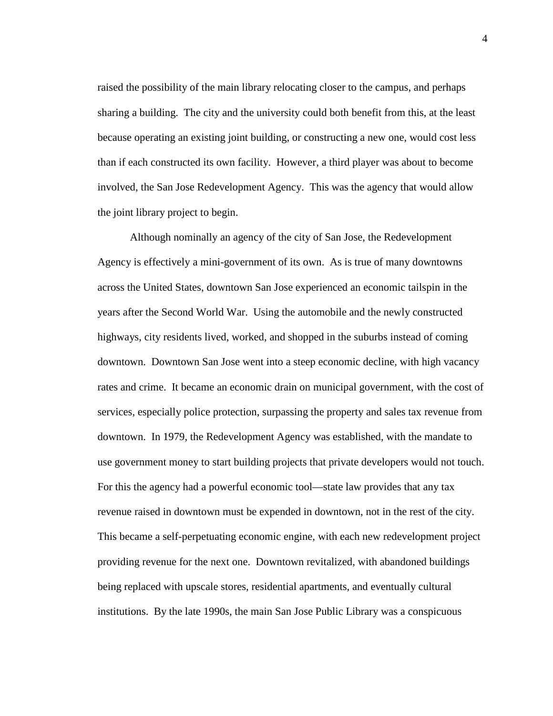raised the possibility of the main library relocating closer to the campus, and perhaps sharing a building. The city and the university could both benefit from this, at the least because operating an existing joint building, or constructing a new one, would cost less than if each constructed its own facility. However, a third player was about to become involved, the San Jose Redevelopment Agency. This was the agency that would allow the joint library project to begin.

 Although nominally an agency of the city of San Jose, the Redevelopment Agency is effectively a mini-government of its own. As is true of many downtowns across the United States, downtown San Jose experienced an economic tailspin in the years after the Second World War. Using the automobile and the newly constructed highways, city residents lived, worked, and shopped in the suburbs instead of coming downtown. Downtown San Jose went into a steep economic decline, with high vacancy rates and crime. It became an economic drain on municipal government, with the cost of services, especially police protection, surpassing the property and sales tax revenue from downtown. In 1979, the Redevelopment Agency was established, with the mandate to use government money to start building projects that private developers would not touch. For this the agency had a powerful economic tool—state law provides that any tax revenue raised in downtown must be expended in downtown, not in the rest of the city. This became a self-perpetuating economic engine, with each new redevelopment project providing revenue for the next one. Downtown revitalized, with abandoned buildings being replaced with upscale stores, residential apartments, and eventually cultural institutions. By the late 1990s, the main San Jose Public Library was a conspicuous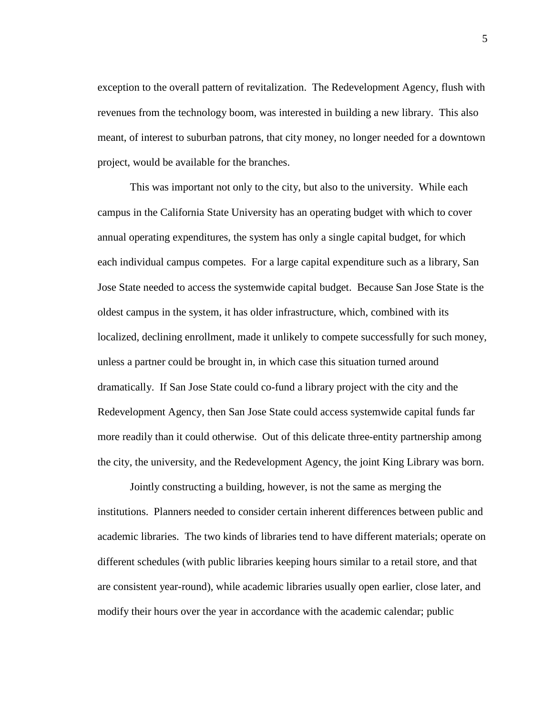exception to the overall pattern of revitalization. The Redevelopment Agency, flush with revenues from the technology boom, was interested in building a new library. This also meant, of interest to suburban patrons, that city money, no longer needed for a downtown project, would be available for the branches.

 This was important not only to the city, but also to the university. While each campus in the California State University has an operating budget with which to cover annual operating expenditures, the system has only a single capital budget, for which each individual campus competes. For a large capital expenditure such as a library, San Jose State needed to access the systemwide capital budget. Because San Jose State is the oldest campus in the system, it has older infrastructure, which, combined with its localized, declining enrollment, made it unlikely to compete successfully for such money, unless a partner could be brought in, in which case this situation turned around dramatically. If San Jose State could co-fund a library project with the city and the Redevelopment Agency, then San Jose State could access systemwide capital funds far more readily than it could otherwise. Out of this delicate three-entity partnership among the city, the university, and the Redevelopment Agency, the joint King Library was born.

 Jointly constructing a building, however, is not the same as merging the institutions. Planners needed to consider certain inherent differences between public and academic libraries. The two kinds of libraries tend to have different materials; operate on different schedules (with public libraries keeping hours similar to a retail store, and that are consistent year-round), while academic libraries usually open earlier, close later, and modify their hours over the year in accordance with the academic calendar; public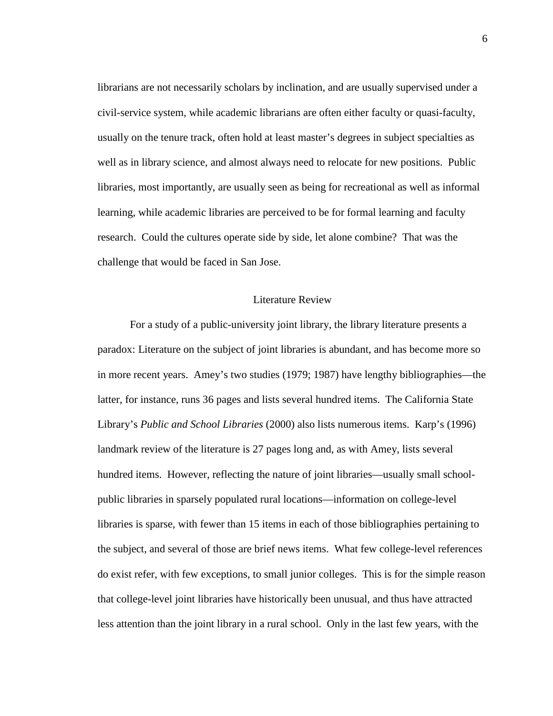librarians are not necessarily scholars by inclination, and are usually supervised under a civil-service system, while academic librarians are often either faculty or quasi-faculty, usually on the tenure track, often hold at least master's degrees in subject specialties as well as in library science, and almost always need to relocate for new positions. Public libraries, most importantly, are usually seen as being for recreational as well as informal learning, while academic libraries are perceived to be for formal learning and faculty research. Could the cultures operate side by side, let alone combine? That was the challenge that would be faced in San Jose.

#### Literature Review

 For a study of a public-university joint library, the library literature presents a paradox: Literature on the subject of joint libraries is abundant, and has become more so in more recent years. Amey's two studies (1979; 1987) have lengthy bibliographies—the latter, for instance, runs 36 pages and lists several hundred items. The California State Library's *Public and School Libraries* (2000) also lists numerous items. Karp's (1996) landmark review of the literature is 27 pages long and, as with Amey, lists several hundred items. However, reflecting the nature of joint libraries—usually small schoolpublic libraries in sparsely populated rural locations—information on college-level libraries is sparse, with fewer than 15 items in each of those bibliographies pertaining to the subject, and several of those are brief news items. What few college-level references do exist refer, with few exceptions, to small junior colleges. This is for the simple reason that college-level joint libraries have historically been unusual, and thus have attracted less attention than the joint library in a rural school. Only in the last few years, with the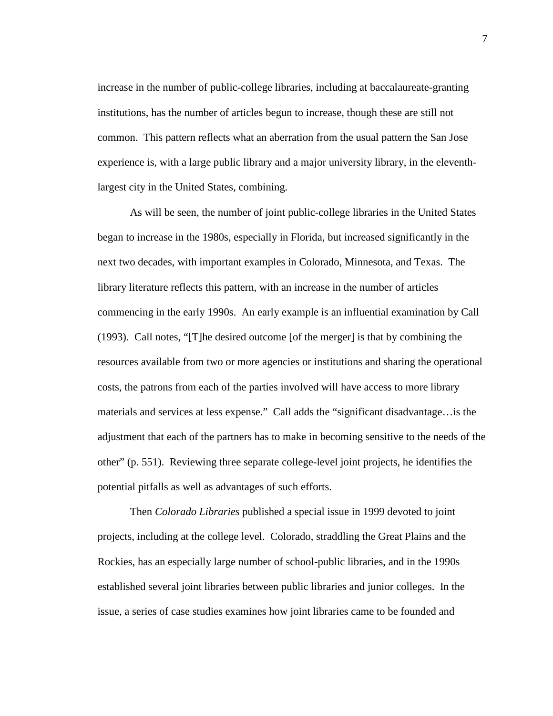increase in the number of public-college libraries, including at baccalaureate-granting institutions, has the number of articles begun to increase, though these are still not common. This pattern reflects what an aberration from the usual pattern the San Jose experience is, with a large public library and a major university library, in the eleventhlargest city in the United States, combining.

 As will be seen, the number of joint public-college libraries in the United States began to increase in the 1980s, especially in Florida, but increased significantly in the next two decades, with important examples in Colorado, Minnesota, and Texas. The library literature reflects this pattern, with an increase in the number of articles commencing in the early 1990s. An early example is an influential examination by Call (1993). Call notes, "[T]he desired outcome [of the merger] is that by combining the resources available from two or more agencies or institutions and sharing the operational costs, the patrons from each of the parties involved will have access to more library materials and services at less expense." Call adds the "significant disadvantage…is the adjustment that each of the partners has to make in becoming sensitive to the needs of the other" (p. 551). Reviewing three separate college-level joint projects, he identifies the potential pitfalls as well as advantages of such efforts.

 Then *Colorado Libraries* published a special issue in 1999 devoted to joint projects, including at the college level. Colorado, straddling the Great Plains and the Rockies, has an especially large number of school-public libraries, and in the 1990s established several joint libraries between public libraries and junior colleges. In the issue, a series of case studies examines how joint libraries came to be founded and

7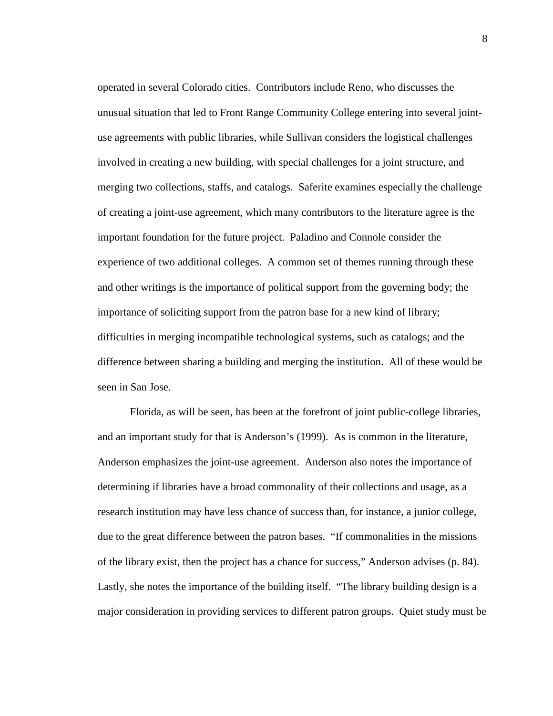operated in several Colorado cities. Contributors include Reno, who discusses the unusual situation that led to Front Range Community College entering into several jointuse agreements with public libraries, while Sullivan considers the logistical challenges involved in creating a new building, with special challenges for a joint structure, and merging two collections, staffs, and catalogs. Saferite examines especially the challenge of creating a joint-use agreement, which many contributors to the literature agree is the important foundation for the future project. Paladino and Connole consider the experience of two additional colleges. A common set of themes running through these and other writings is the importance of political support from the governing body; the importance of soliciting support from the patron base for a new kind of library; difficulties in merging incompatible technological systems, such as catalogs; and the difference between sharing a building and merging the institution. All of these would be seen in San Jose.

 Florida, as will be seen, has been at the forefront of joint public-college libraries, and an important study for that is Anderson's (1999). As is common in the literature, Anderson emphasizes the joint-use agreement. Anderson also notes the importance of determining if libraries have a broad commonality of their collections and usage, as a research institution may have less chance of success than, for instance, a junior college, due to the great difference between the patron bases. "If commonalities in the missions of the library exist, then the project has a chance for success," Anderson advises (p. 84). Lastly, she notes the importance of the building itself. "The library building design is a major consideration in providing services to different patron groups. Quiet study must be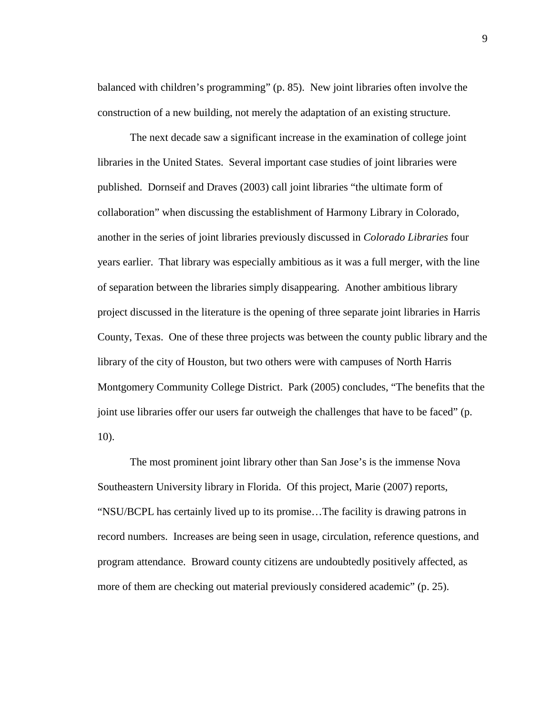balanced with children's programming" (p. 85). New joint libraries often involve the construction of a new building, not merely the adaptation of an existing structure.

 The next decade saw a significant increase in the examination of college joint libraries in the United States. Several important case studies of joint libraries were published. Dornseif and Draves (2003) call joint libraries "the ultimate form of collaboration" when discussing the establishment of Harmony Library in Colorado, another in the series of joint libraries previously discussed in *Colorado Libraries* four years earlier. That library was especially ambitious as it was a full merger, with the line of separation between the libraries simply disappearing. Another ambitious library project discussed in the literature is the opening of three separate joint libraries in Harris County, Texas. One of these three projects was between the county public library and the library of the city of Houston, but two others were with campuses of North Harris Montgomery Community College District. Park (2005) concludes, "The benefits that the joint use libraries offer our users far outweigh the challenges that have to be faced" (p. 10).

 The most prominent joint library other than San Jose's is the immense Nova Southeastern University library in Florida. Of this project, Marie (2007) reports, "NSU/BCPL has certainly lived up to its promise…The facility is drawing patrons in record numbers. Increases are being seen in usage, circulation, reference questions, and program attendance. Broward county citizens are undoubtedly positively affected, as more of them are checking out material previously considered academic" (p. 25).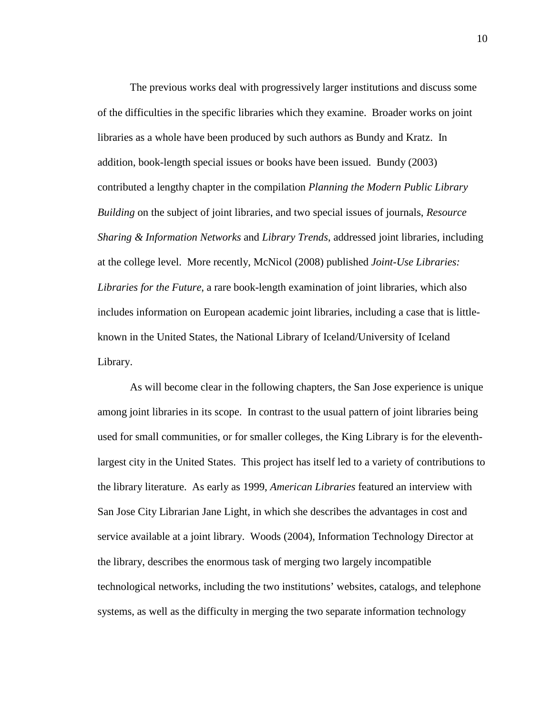The previous works deal with progressively larger institutions and discuss some of the difficulties in the specific libraries which they examine. Broader works on joint libraries as a whole have been produced by such authors as Bundy and Kratz. In addition, book-length special issues or books have been issued. Bundy (2003) contributed a lengthy chapter in the compilation *Planning the Modern Public Library Building* on the subject of joint libraries, and two special issues of journals, *Resource Sharing & Information Networks* and *Library Trends*, addressed joint libraries, including at the college level. More recently, McNicol (2008) published *Joint-Use Libraries: Libraries for the Future*, a rare book-length examination of joint libraries, which also includes information on European academic joint libraries, including a case that is littleknown in the United States, the National Library of Iceland/University of Iceland Library.

 As will become clear in the following chapters, the San Jose experience is unique among joint libraries in its scope. In contrast to the usual pattern of joint libraries being used for small communities, or for smaller colleges, the King Library is for the eleventhlargest city in the United States. This project has itself led to a variety of contributions to the library literature. As early as 1999, *American Libraries* featured an interview with San Jose City Librarian Jane Light, in which she describes the advantages in cost and service available at a joint library. Woods (2004), Information Technology Director at the library, describes the enormous task of merging two largely incompatible technological networks, including the two institutions' websites, catalogs, and telephone systems, as well as the difficulty in merging the two separate information technology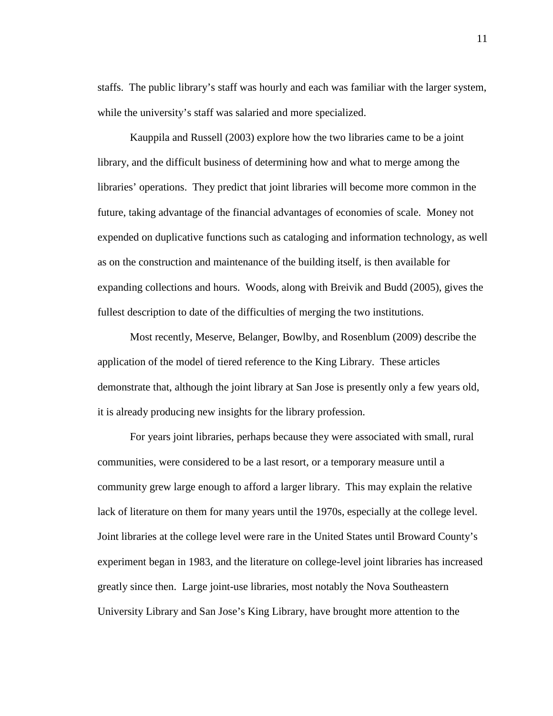staffs. The public library's staff was hourly and each was familiar with the larger system, while the university's staff was salaried and more specialized.

 Kauppila and Russell (2003) explore how the two libraries came to be a joint library, and the difficult business of determining how and what to merge among the libraries' operations. They predict that joint libraries will become more common in the future, taking advantage of the financial advantages of economies of scale. Money not expended on duplicative functions such as cataloging and information technology, as well as on the construction and maintenance of the building itself, is then available for expanding collections and hours. Woods, along with Breivik and Budd (2005), gives the fullest description to date of the difficulties of merging the two institutions.

 Most recently, Meserve, Belanger, Bowlby, and Rosenblum (2009) describe the application of the model of tiered reference to the King Library. These articles demonstrate that, although the joint library at San Jose is presently only a few years old, it is already producing new insights for the library profession.

 For years joint libraries, perhaps because they were associated with small, rural communities, were considered to be a last resort, or a temporary measure until a community grew large enough to afford a larger library. This may explain the relative lack of literature on them for many years until the 1970s, especially at the college level. Joint libraries at the college level were rare in the United States until Broward County's experiment began in 1983, and the literature on college-level joint libraries has increased greatly since then. Large joint-use libraries, most notably the Nova Southeastern University Library and San Jose's King Library, have brought more attention to the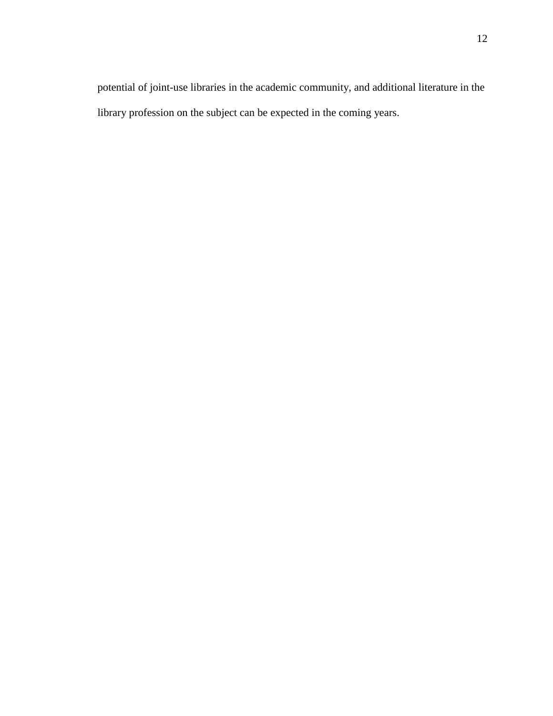potential of joint-use libraries in the academic community, and additional literature in the library profession on the subject can be expected in the coming years.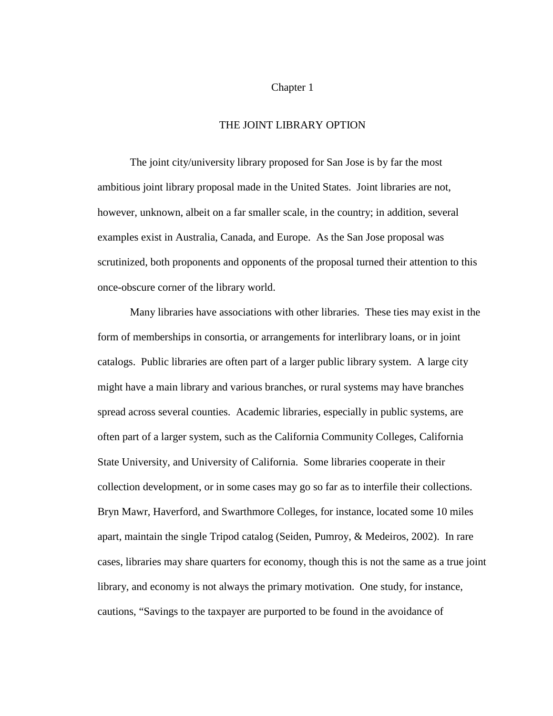#### Chapter 1

### THE JOINT LIBRARY OPTION

 The joint city/university library proposed for San Jose is by far the most ambitious joint library proposal made in the United States. Joint libraries are not, however, unknown, albeit on a far smaller scale, in the country; in addition, several examples exist in Australia, Canada, and Europe. As the San Jose proposal was scrutinized, both proponents and opponents of the proposal turned their attention to this once-obscure corner of the library world.

 Many libraries have associations with other libraries. These ties may exist in the form of memberships in consortia, or arrangements for interlibrary loans, or in joint catalogs. Public libraries are often part of a larger public library system. A large city might have a main library and various branches, or rural systems may have branches spread across several counties. Academic libraries, especially in public systems, are often part of a larger system, such as the California Community Colleges, California State University, and University of California. Some libraries cooperate in their collection development, or in some cases may go so far as to interfile their collections. Bryn Mawr, Haverford, and Swarthmore Colleges, for instance, located some 10 miles apart, maintain the single Tripod catalog (Seiden, Pumroy, & Medeiros, 2002). In rare cases, libraries may share quarters for economy, though this is not the same as a true joint library, and economy is not always the primary motivation. One study, for instance, cautions, "Savings to the taxpayer are purported to be found in the avoidance of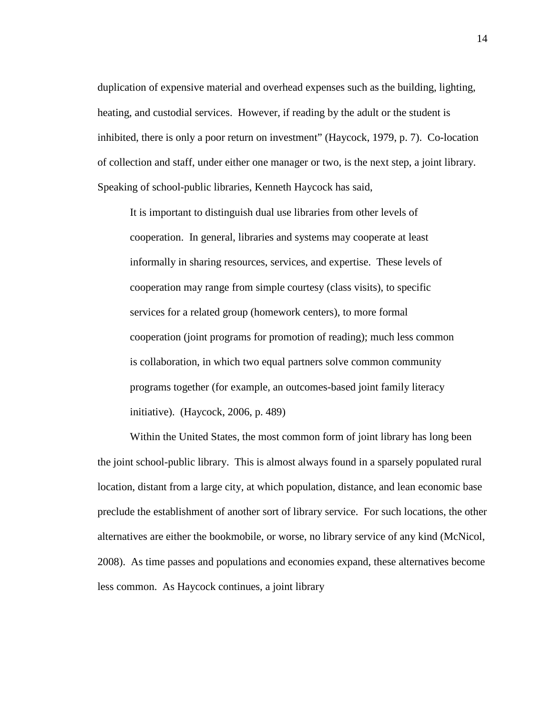duplication of expensive material and overhead expenses such as the building, lighting, heating, and custodial services. However, if reading by the adult or the student is inhibited, there is only a poor return on investment" (Haycock, 1979, p. 7). Co-location of collection and staff, under either one manager or two, is the next step, a joint library. Speaking of school-public libraries, Kenneth Haycock has said,

It is important to distinguish dual use libraries from other levels of cooperation. In general, libraries and systems may cooperate at least informally in sharing resources, services, and expertise. These levels of cooperation may range from simple courtesy (class visits), to specific services for a related group (homework centers), to more formal cooperation (joint programs for promotion of reading); much less common is collaboration, in which two equal partners solve common community programs together (for example, an outcomes-based joint family literacy initiative). (Haycock, 2006, p. 489)

 Within the United States, the most common form of joint library has long been the joint school-public library. This is almost always found in a sparsely populated rural location, distant from a large city, at which population, distance, and lean economic base preclude the establishment of another sort of library service. For such locations, the other alternatives are either the bookmobile, or worse, no library service of any kind (McNicol, 2008). As time passes and populations and economies expand, these alternatives become less common. As Haycock continues, a joint library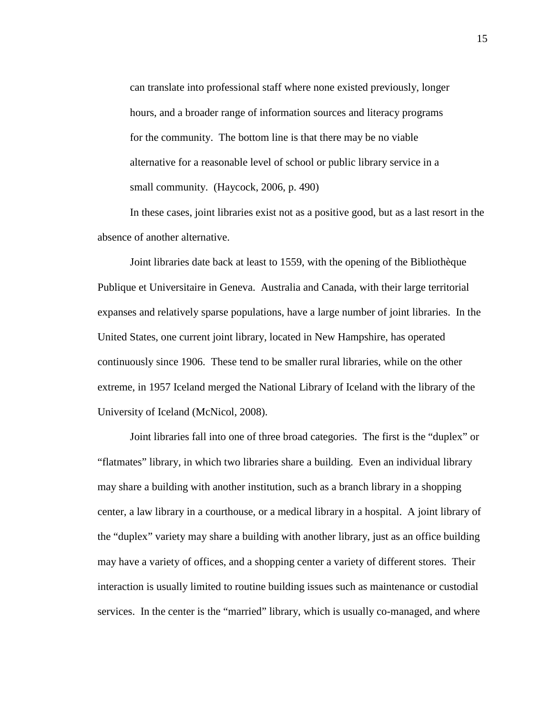can translate into professional staff where none existed previously, longer hours, and a broader range of information sources and literacy programs for the community. The bottom line is that there may be no viable alternative for a reasonable level of school or public library service in a small community. (Haycock, 2006, p. 490)

 In these cases, joint libraries exist not as a positive good, but as a last resort in the absence of another alternative.

 Joint libraries date back at least to 1559, with the opening of the Bibliothèque Publique et Universitaire in Geneva. Australia and Canada, with their large territorial expanses and relatively sparse populations, have a large number of joint libraries. In the United States, one current joint library, located in New Hampshire, has operated continuously since 1906. These tend to be smaller rural libraries, while on the other extreme, in 1957 Iceland merged the National Library of Iceland with the library of the University of Iceland (McNicol, 2008).

 Joint libraries fall into one of three broad categories. The first is the "duplex" or "flatmates" library, in which two libraries share a building. Even an individual library may share a building with another institution, such as a branch library in a shopping center, a law library in a courthouse, or a medical library in a hospital. A joint library of the "duplex" variety may share a building with another library, just as an office building may have a variety of offices, and a shopping center a variety of different stores. Their interaction is usually limited to routine building issues such as maintenance or custodial services. In the center is the "married" library, which is usually co-managed, and where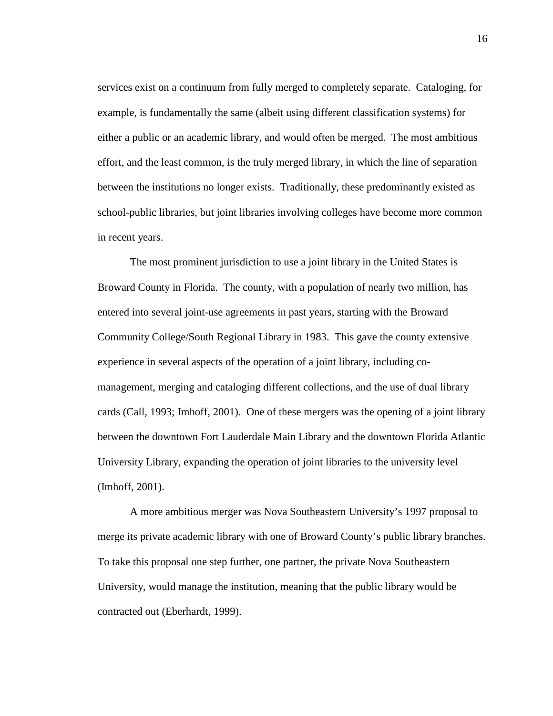services exist on a continuum from fully merged to completely separate. Cataloging, for example, is fundamentally the same (albeit using different classification systems) for either a public or an academic library, and would often be merged. The most ambitious effort, and the least common, is the truly merged library, in which the line of separation between the institutions no longer exists. Traditionally, these predominantly existed as school-public libraries, but joint libraries involving colleges have become more common in recent years.

 The most prominent jurisdiction to use a joint library in the United States is Broward County in Florida. The county, with a population of nearly two million, has entered into several joint-use agreements in past years, starting with the Broward Community College/South Regional Library in 1983. This gave the county extensive experience in several aspects of the operation of a joint library, including comanagement, merging and cataloging different collections, and the use of dual library cards (Call, 1993; Imhoff, 2001). One of these mergers was the opening of a joint library between the downtown Fort Lauderdale Main Library and the downtown Florida Atlantic University Library, expanding the operation of joint libraries to the university level (Imhoff, 2001).

 A more ambitious merger was Nova Southeastern University's 1997 proposal to merge its private academic library with one of Broward County's public library branches. To take this proposal one step further, one partner, the private Nova Southeastern University, would manage the institution, meaning that the public library would be contracted out (Eberhardt, 1999).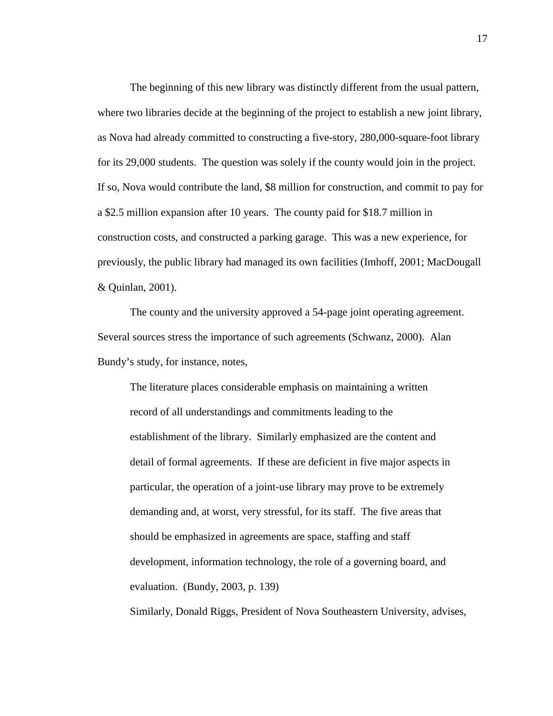The beginning of this new library was distinctly different from the usual pattern, where two libraries decide at the beginning of the project to establish a new joint library, as Nova had already committed to constructing a five-story, 280,000-square-foot library for its 29,000 students. The question was solely if the county would join in the project. If so, Nova would contribute the land, \$8 million for construction, and commit to pay for a \$2.5 million expansion after 10 years. The county paid for \$18.7 million in construction costs, and constructed a parking garage. This was a new experience, for previously, the public library had managed its own facilities (Imhoff, 2001; MacDougall & Quinlan, 2001).

 The county and the university approved a 54-page joint operating agreement. Several sources stress the importance of such agreements (Schwanz, 2000). Alan Bundy's study, for instance, notes,

The literature places considerable emphasis on maintaining a written record of all understandings and commitments leading to the establishment of the library. Similarly emphasized are the content and detail of formal agreements. If these are deficient in five major aspects in particular, the operation of a joint-use library may prove to be extremely demanding and, at worst, very stressful, for its staff. The five areas that should be emphasized in agreements are space, staffing and staff development, information technology, the role of a governing board, and evaluation. (Bundy, 2003, p. 139)

Similarly, Donald Riggs, President of Nova Southeastern University, advises,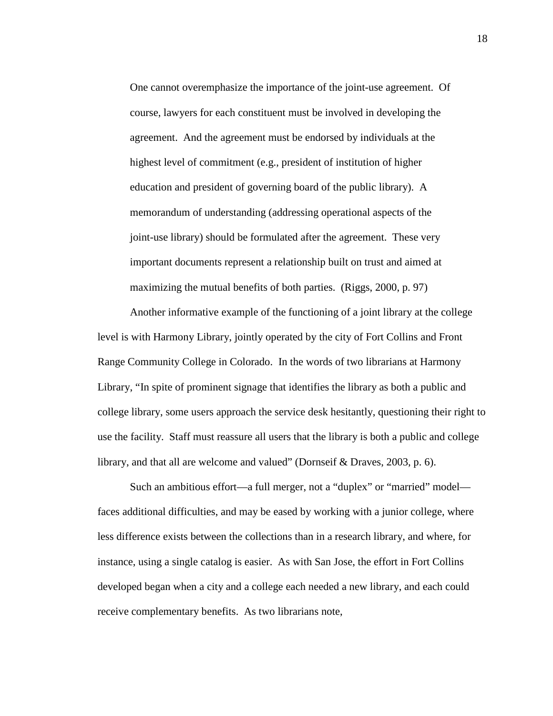One cannot overemphasize the importance of the joint-use agreement. Of course, lawyers for each constituent must be involved in developing the agreement. And the agreement must be endorsed by individuals at the highest level of commitment (e.g., president of institution of higher education and president of governing board of the public library). A memorandum of understanding (addressing operational aspects of the joint-use library) should be formulated after the agreement. These very important documents represent a relationship built on trust and aimed at maximizing the mutual benefits of both parties. (Riggs, 2000, p. 97)

 Another informative example of the functioning of a joint library at the college level is with Harmony Library, jointly operated by the city of Fort Collins and Front Range Community College in Colorado. In the words of two librarians at Harmony Library, "In spite of prominent signage that identifies the library as both a public and college library, some users approach the service desk hesitantly, questioning their right to use the facility. Staff must reassure all users that the library is both a public and college library, and that all are welcome and valued" (Dornseif & Draves, 2003, p. 6).

 Such an ambitious effort—a full merger, not a "duplex" or "married" model faces additional difficulties, and may be eased by working with a junior college, where less difference exists between the collections than in a research library, and where, for instance, using a single catalog is easier. As with San Jose, the effort in Fort Collins developed began when a city and a college each needed a new library, and each could receive complementary benefits. As two librarians note,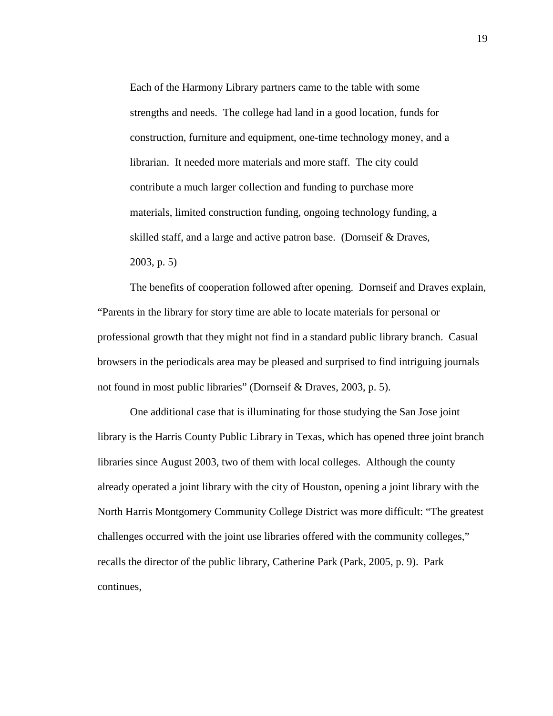Each of the Harmony Library partners came to the table with some strengths and needs. The college had land in a good location, funds for construction, furniture and equipment, one-time technology money, and a librarian. It needed more materials and more staff. The city could contribute a much larger collection and funding to purchase more materials, limited construction funding, ongoing technology funding, a skilled staff, and a large and active patron base. (Dornseif & Draves, 2003, p. 5)

 The benefits of cooperation followed after opening. Dornseif and Draves explain, "Parents in the library for story time are able to locate materials for personal or professional growth that they might not find in a standard public library branch. Casual browsers in the periodicals area may be pleased and surprised to find intriguing journals not found in most public libraries" (Dornseif & Draves, 2003, p. 5).

 One additional case that is illuminating for those studying the San Jose joint library is the Harris County Public Library in Texas, which has opened three joint branch libraries since August 2003, two of them with local colleges. Although the county already operated a joint library with the city of Houston, opening a joint library with the North Harris Montgomery Community College District was more difficult: "The greatest challenges occurred with the joint use libraries offered with the community colleges," recalls the director of the public library, Catherine Park (Park, 2005, p. 9). Park continues,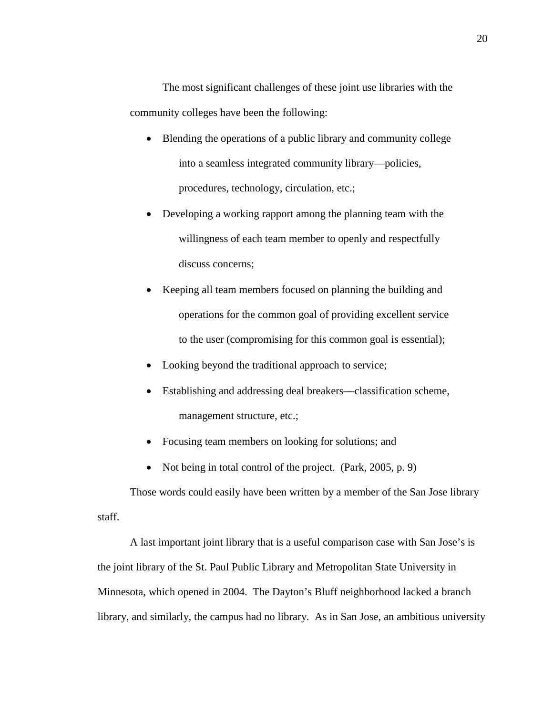The most significant challenges of these joint use libraries with the community colleges have been the following:

- Blending the operations of a public library and community college into a seamless integrated community library—policies, procedures, technology, circulation, etc.;
- Developing a working rapport among the planning team with the willingness of each team member to openly and respectfully discuss concerns;
- Keeping all team members focused on planning the building and operations for the common goal of providing excellent service to the user (compromising for this common goal is essential);
- Looking beyond the traditional approach to service;
- Establishing and addressing deal breakers—classification scheme, management structure, etc.;
- Focusing team members on looking for solutions; and
- Not being in total control of the project. (Park, 2005, p. 9)

 Those words could easily have been written by a member of the San Jose library staff.

 A last important joint library that is a useful comparison case with San Jose's is the joint library of the St. Paul Public Library and Metropolitan State University in Minnesota, which opened in 2004. The Dayton's Bluff neighborhood lacked a branch library, and similarly, the campus had no library. As in San Jose, an ambitious university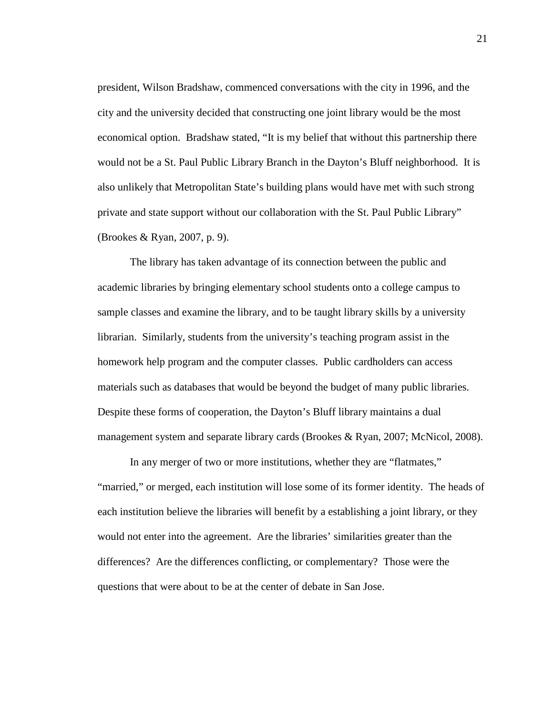president, Wilson Bradshaw, commenced conversations with the city in 1996, and the city and the university decided that constructing one joint library would be the most economical option. Bradshaw stated, "It is my belief that without this partnership there would not be a St. Paul Public Library Branch in the Dayton's Bluff neighborhood. It is also unlikely that Metropolitan State's building plans would have met with such strong private and state support without our collaboration with the St. Paul Public Library" (Brookes & Ryan, 2007, p. 9).

 The library has taken advantage of its connection between the public and academic libraries by bringing elementary school students onto a college campus to sample classes and examine the library, and to be taught library skills by a university librarian. Similarly, students from the university's teaching program assist in the homework help program and the computer classes. Public cardholders can access materials such as databases that would be beyond the budget of many public libraries. Despite these forms of cooperation, the Dayton's Bluff library maintains a dual management system and separate library cards (Brookes & Ryan, 2007; McNicol, 2008).

 In any merger of two or more institutions, whether they are "flatmates," "married," or merged, each institution will lose some of its former identity. The heads of each institution believe the libraries will benefit by a establishing a joint library, or they would not enter into the agreement. Are the libraries' similarities greater than the differences? Are the differences conflicting, or complementary? Those were the questions that were about to be at the center of debate in San Jose.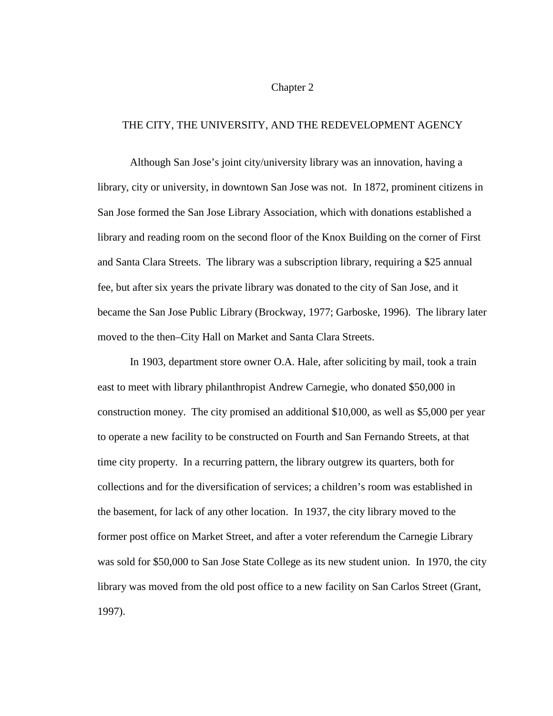#### Chapter 2

#### THE CITY, THE UNIVERSITY, AND THE REDEVELOPMENT AGENCY

 Although San Jose's joint city/university library was an innovation, having a library, city or university, in downtown San Jose was not. In 1872, prominent citizens in San Jose formed the San Jose Library Association, which with donations established a library and reading room on the second floor of the Knox Building on the corner of First and Santa Clara Streets. The library was a subscription library, requiring a \$25 annual fee, but after six years the private library was donated to the city of San Jose, and it became the San Jose Public Library (Brockway, 1977; Garboske, 1996). The library later moved to the then–City Hall on Market and Santa Clara Streets.

 In 1903, department store owner O.A. Hale, after soliciting by mail, took a train east to meet with library philanthropist Andrew Carnegie, who donated \$50,000 in construction money. The city promised an additional \$10,000, as well as \$5,000 per year to operate a new facility to be constructed on Fourth and San Fernando Streets, at that time city property. In a recurring pattern, the library outgrew its quarters, both for collections and for the diversification of services; a children's room was established in the basement, for lack of any other location. In 1937, the city library moved to the former post office on Market Street, and after a voter referendum the Carnegie Library was sold for \$50,000 to San Jose State College as its new student union. In 1970, the city library was moved from the old post office to a new facility on San Carlos Street (Grant, 1997).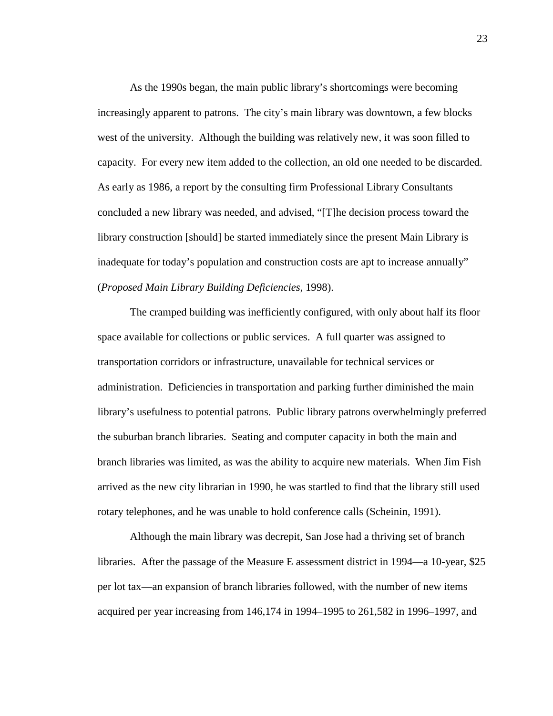As the 1990s began, the main public library's shortcomings were becoming increasingly apparent to patrons. The city's main library was downtown, a few blocks west of the university. Although the building was relatively new, it was soon filled to capacity. For every new item added to the collection, an old one needed to be discarded. As early as 1986, a report by the consulting firm Professional Library Consultants concluded a new library was needed, and advised, "[T]he decision process toward the library construction [should] be started immediately since the present Main Library is inadequate for today's population and construction costs are apt to increase annually" (*Proposed Main Library Building Deficiencies*, 1998).

 The cramped building was inefficiently configured, with only about half its floor space available for collections or public services. A full quarter was assigned to transportation corridors or infrastructure, unavailable for technical services or administration. Deficiencies in transportation and parking further diminished the main library's usefulness to potential patrons. Public library patrons overwhelmingly preferred the suburban branch libraries. Seating and computer capacity in both the main and branch libraries was limited, as was the ability to acquire new materials. When Jim Fish arrived as the new city librarian in 1990, he was startled to find that the library still used rotary telephones, and he was unable to hold conference calls (Scheinin, 1991).

 Although the main library was decrepit, San Jose had a thriving set of branch libraries. After the passage of the Measure E assessment district in 1994—a 10-year, \$25 per lot tax—an expansion of branch libraries followed, with the number of new items acquired per year increasing from 146,174 in 1994–1995 to 261,582 in 1996–1997, and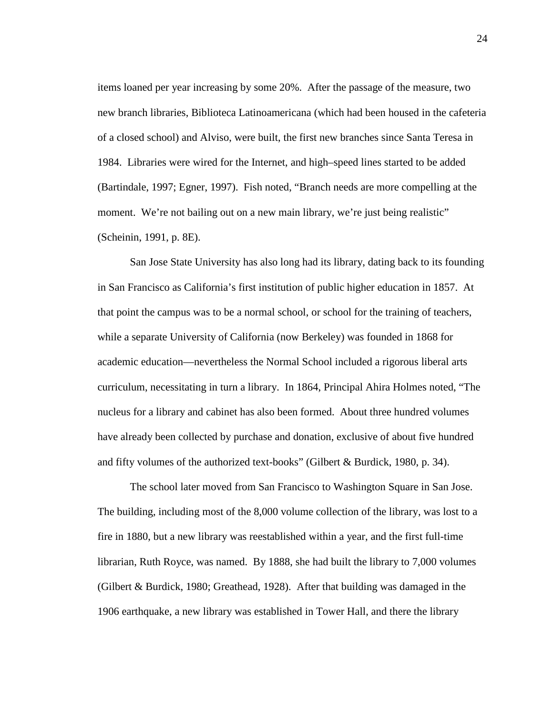items loaned per year increasing by some 20%. After the passage of the measure, two new branch libraries, Biblioteca Latinoamericana (which had been housed in the cafeteria of a closed school) and Alviso, were built, the first new branches since Santa Teresa in 1984. Libraries were wired for the Internet, and high–speed lines started to be added (Bartindale, 1997; Egner, 1997). Fish noted, "Branch needs are more compelling at the moment. We're not bailing out on a new main library, we're just being realistic" (Scheinin, 1991, p. 8E).

 San Jose State University has also long had its library, dating back to its founding in San Francisco as California's first institution of public higher education in 1857. At that point the campus was to be a normal school, or school for the training of teachers, while a separate University of California (now Berkeley) was founded in 1868 for academic education—nevertheless the Normal School included a rigorous liberal arts curriculum, necessitating in turn a library. In 1864, Principal Ahira Holmes noted, "The nucleus for a library and cabinet has also been formed. About three hundred volumes have already been collected by purchase and donation, exclusive of about five hundred and fifty volumes of the authorized text-books" (Gilbert & Burdick, 1980, p. 34).

 The school later moved from San Francisco to Washington Square in San Jose. The building, including most of the 8,000 volume collection of the library, was lost to a fire in 1880, but a new library was reestablished within a year, and the first full-time librarian, Ruth Royce, was named. By 1888, she had built the library to 7,000 volumes (Gilbert & Burdick, 1980; Greathead, 1928). After that building was damaged in the 1906 earthquake, a new library was established in Tower Hall, and there the library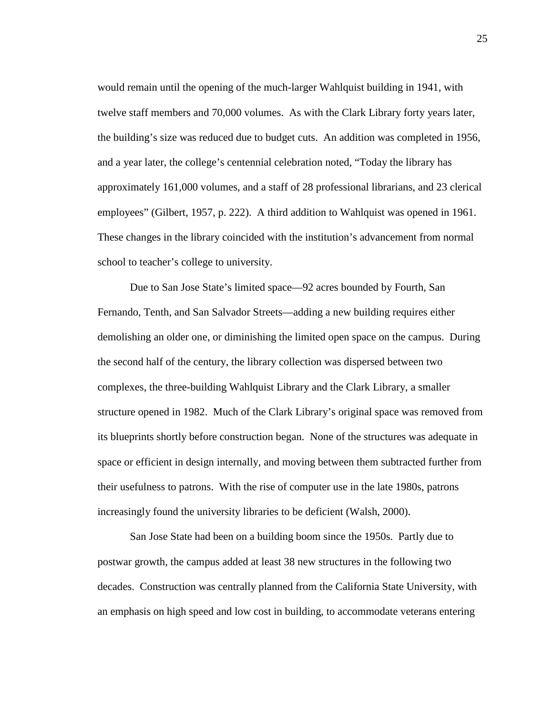would remain until the opening of the much-larger Wahlquist building in 1941, with twelve staff members and 70,000 volumes. As with the Clark Library forty years later, the building's size was reduced due to budget cuts. An addition was completed in 1956, and a year later, the college's centennial celebration noted, "Today the library has approximately 161,000 volumes, and a staff of 28 professional librarians, and 23 clerical employees" (Gilbert, 1957, p. 222). A third addition to Wahlquist was opened in 1961. These changes in the library coincided with the institution's advancement from normal school to teacher's college to university.

 Due to San Jose State's limited space—92 acres bounded by Fourth, San Fernando, Tenth, and San Salvador Streets—adding a new building requires either demolishing an older one, or diminishing the limited open space on the campus. During the second half of the century, the library collection was dispersed between two complexes, the three-building Wahlquist Library and the Clark Library, a smaller structure opened in 1982. Much of the Clark Library's original space was removed from its blueprints shortly before construction began. None of the structures was adequate in space or efficient in design internally, and moving between them subtracted further from their usefulness to patrons. With the rise of computer use in the late 1980s, patrons increasingly found the university libraries to be deficient (Walsh, 2000).

 San Jose State had been on a building boom since the 1950s. Partly due to postwar growth, the campus added at least 38 new structures in the following two decades. Construction was centrally planned from the California State University, with an emphasis on high speed and low cost in building, to accommodate veterans entering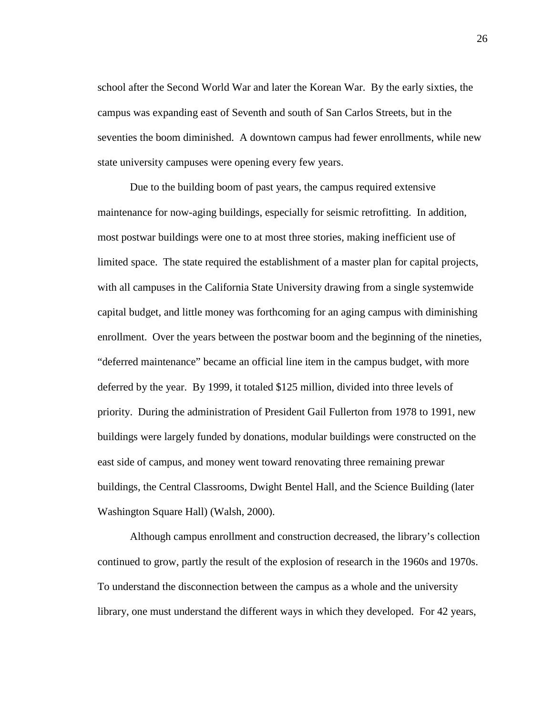school after the Second World War and later the Korean War. By the early sixties, the campus was expanding east of Seventh and south of San Carlos Streets, but in the seventies the boom diminished. A downtown campus had fewer enrollments, while new state university campuses were opening every few years.

 Due to the building boom of past years, the campus required extensive maintenance for now-aging buildings, especially for seismic retrofitting. In addition, most postwar buildings were one to at most three stories, making inefficient use of limited space. The state required the establishment of a master plan for capital projects, with all campuses in the California State University drawing from a single systemwide capital budget, and little money was forthcoming for an aging campus with diminishing enrollment. Over the years between the postwar boom and the beginning of the nineties, "deferred maintenance" became an official line item in the campus budget, with more deferred by the year. By 1999, it totaled \$125 million, divided into three levels of priority. During the administration of President Gail Fullerton from 1978 to 1991, new buildings were largely funded by donations, modular buildings were constructed on the east side of campus, and money went toward renovating three remaining prewar buildings, the Central Classrooms, Dwight Bentel Hall, and the Science Building (later Washington Square Hall) (Walsh, 2000).

 Although campus enrollment and construction decreased, the library's collection continued to grow, partly the result of the explosion of research in the 1960s and 1970s. To understand the disconnection between the campus as a whole and the university library, one must understand the different ways in which they developed. For 42 years,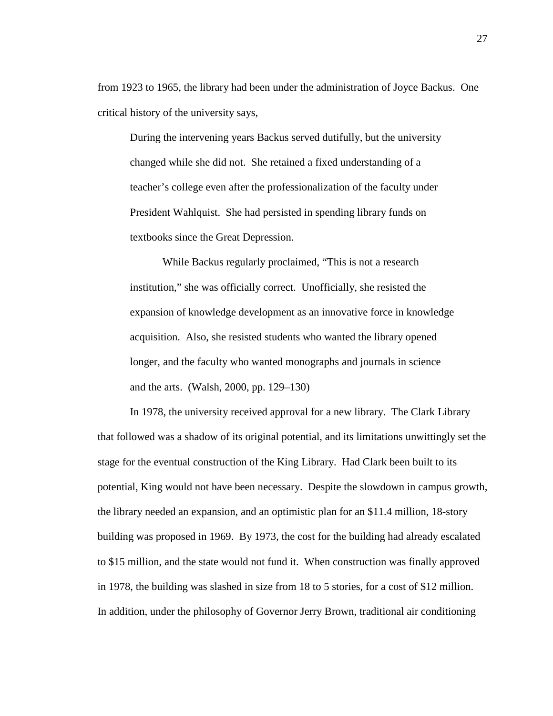from 1923 to 1965, the library had been under the administration of Joyce Backus. One critical history of the university says,

During the intervening years Backus served dutifully, but the university changed while she did not. She retained a fixed understanding of a teacher's college even after the professionalization of the faculty under President Wahlquist. She had persisted in spending library funds on textbooks since the Great Depression.

 While Backus regularly proclaimed, "This is not a research institution," she was officially correct. Unofficially, she resisted the expansion of knowledge development as an innovative force in knowledge acquisition. Also, she resisted students who wanted the library opened longer, and the faculty who wanted monographs and journals in science and the arts. (Walsh, 2000, pp. 129–130)

 In 1978, the university received approval for a new library. The Clark Library that followed was a shadow of its original potential, and its limitations unwittingly set the stage for the eventual construction of the King Library. Had Clark been built to its potential, King would not have been necessary. Despite the slowdown in campus growth, the library needed an expansion, and an optimistic plan for an \$11.4 million, 18-story building was proposed in 1969. By 1973, the cost for the building had already escalated to \$15 million, and the state would not fund it. When construction was finally approved in 1978, the building was slashed in size from 18 to 5 stories, for a cost of \$12 million. In addition, under the philosophy of Governor Jerry Brown, traditional air conditioning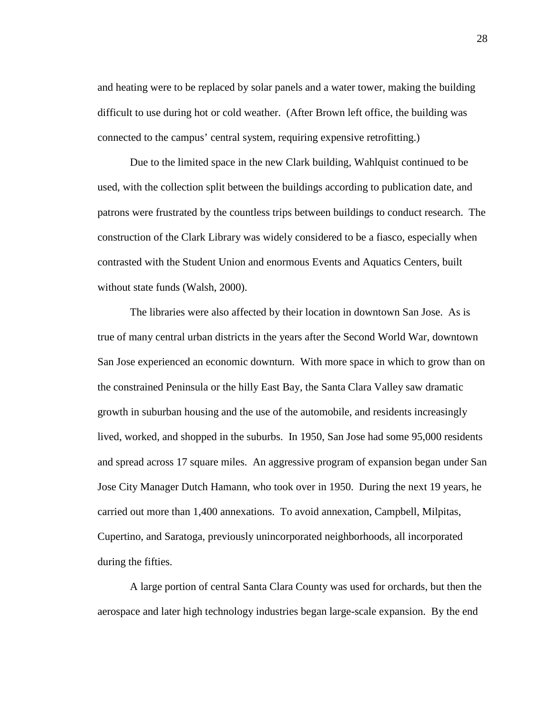and heating were to be replaced by solar panels and a water tower, making the building difficult to use during hot or cold weather. (After Brown left office, the building was connected to the campus' central system, requiring expensive retrofitting.)

 Due to the limited space in the new Clark building, Wahlquist continued to be used, with the collection split between the buildings according to publication date, and patrons were frustrated by the countless trips between buildings to conduct research. The construction of the Clark Library was widely considered to be a fiasco, especially when contrasted with the Student Union and enormous Events and Aquatics Centers, built without state funds (Walsh, 2000).

 The libraries were also affected by their location in downtown San Jose. As is true of many central urban districts in the years after the Second World War, downtown San Jose experienced an economic downturn. With more space in which to grow than on the constrained Peninsula or the hilly East Bay, the Santa Clara Valley saw dramatic growth in suburban housing and the use of the automobile, and residents increasingly lived, worked, and shopped in the suburbs. In 1950, San Jose had some 95,000 residents and spread across 17 square miles. An aggressive program of expansion began under San Jose City Manager Dutch Hamann, who took over in 1950. During the next 19 years, he carried out more than 1,400 annexations. To avoid annexation, Campbell, Milpitas, Cupertino, and Saratoga, previously unincorporated neighborhoods, all incorporated during the fifties.

 A large portion of central Santa Clara County was used for orchards, but then the aerospace and later high technology industries began large-scale expansion. By the end

28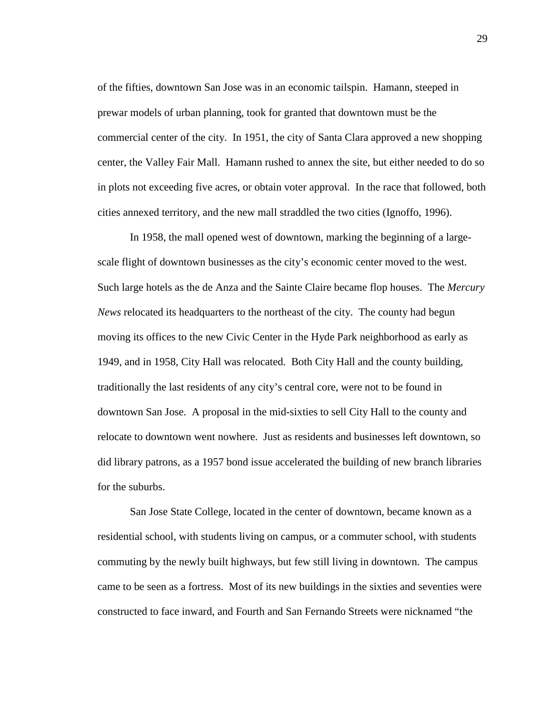of the fifties, downtown San Jose was in an economic tailspin. Hamann, steeped in prewar models of urban planning, took for granted that downtown must be the commercial center of the city. In 1951, the city of Santa Clara approved a new shopping center, the Valley Fair Mall. Hamann rushed to annex the site, but either needed to do so in plots not exceeding five acres, or obtain voter approval. In the race that followed, both cities annexed territory, and the new mall straddled the two cities (Ignoffo, 1996).

 In 1958, the mall opened west of downtown, marking the beginning of a largescale flight of downtown businesses as the city's economic center moved to the west. Such large hotels as the de Anza and the Sainte Claire became flop houses. The *Mercury News* relocated its headquarters to the northeast of the city. The county had begun moving its offices to the new Civic Center in the Hyde Park neighborhood as early as 1949, and in 1958, City Hall was relocated. Both City Hall and the county building, traditionally the last residents of any city's central core, were not to be found in downtown San Jose. A proposal in the mid-sixties to sell City Hall to the county and relocate to downtown went nowhere. Just as residents and businesses left downtown, so did library patrons, as a 1957 bond issue accelerated the building of new branch libraries for the suburbs.

 San Jose State College, located in the center of downtown, became known as a residential school, with students living on campus, or a commuter school, with students commuting by the newly built highways, but few still living in downtown. The campus came to be seen as a fortress. Most of its new buildings in the sixties and seventies were constructed to face inward, and Fourth and San Fernando Streets were nicknamed "the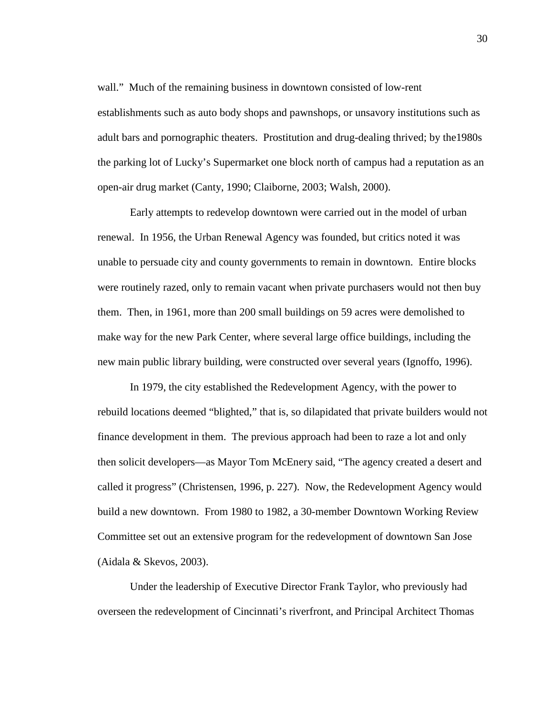wall." Much of the remaining business in downtown consisted of low-rent establishments such as auto body shops and pawnshops, or unsavory institutions such as adult bars and pornographic theaters. Prostitution and drug-dealing thrived; by the1980s the parking lot of Lucky's Supermarket one block north of campus had a reputation as an open-air drug market (Canty, 1990; Claiborne, 2003; Walsh, 2000).

 Early attempts to redevelop downtown were carried out in the model of urban renewal. In 1956, the Urban Renewal Agency was founded, but critics noted it was unable to persuade city and county governments to remain in downtown. Entire blocks were routinely razed, only to remain vacant when private purchasers would not then buy them. Then, in 1961, more than 200 small buildings on 59 acres were demolished to make way for the new Park Center, where several large office buildings, including the new main public library building, were constructed over several years (Ignoffo, 1996).

 In 1979, the city established the Redevelopment Agency, with the power to rebuild locations deemed "blighted," that is, so dilapidated that private builders would not finance development in them. The previous approach had been to raze a lot and only then solicit developers—as Mayor Tom McEnery said, "The agency created a desert and called it progress" (Christensen, 1996, p. 227). Now, the Redevelopment Agency would build a new downtown. From 1980 to 1982, a 30-member Downtown Working Review Committee set out an extensive program for the redevelopment of downtown San Jose (Aidala & Skevos, 2003).

 Under the leadership of Executive Director Frank Taylor, who previously had overseen the redevelopment of Cincinnati's riverfront, and Principal Architect Thomas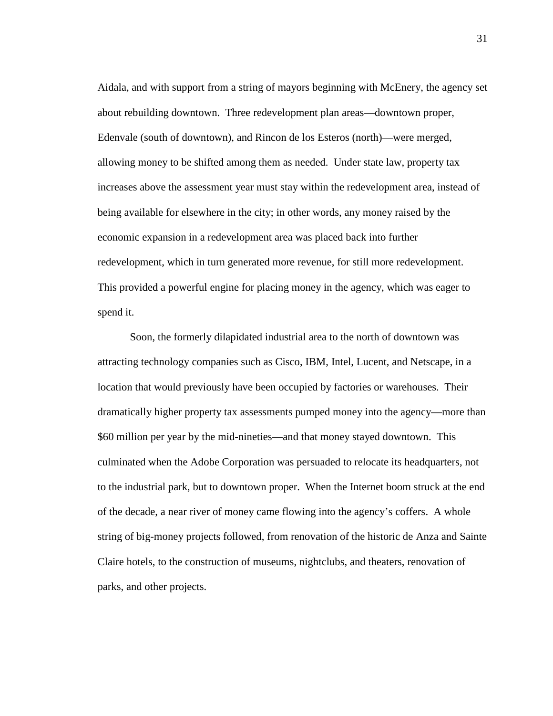Aidala, and with support from a string of mayors beginning with McEnery, the agency set about rebuilding downtown. Three redevelopment plan areas—downtown proper, Edenvale (south of downtown), and Rincon de los Esteros (north)—were merged, allowing money to be shifted among them as needed. Under state law, property tax increases above the assessment year must stay within the redevelopment area, instead of being available for elsewhere in the city; in other words, any money raised by the economic expansion in a redevelopment area was placed back into further redevelopment, which in turn generated more revenue, for still more redevelopment. This provided a powerful engine for placing money in the agency, which was eager to spend it.

 Soon, the formerly dilapidated industrial area to the north of downtown was attracting technology companies such as Cisco, IBM, Intel, Lucent, and Netscape, in a location that would previously have been occupied by factories or warehouses. Their dramatically higher property tax assessments pumped money into the agency—more than \$60 million per year by the mid-nineties—and that money stayed downtown. This culminated when the Adobe Corporation was persuaded to relocate its headquarters, not to the industrial park, but to downtown proper. When the Internet boom struck at the end of the decade, a near river of money came flowing into the agency's coffers. A whole string of big-money projects followed, from renovation of the historic de Anza and Sainte Claire hotels, to the construction of museums, nightclubs, and theaters, renovation of parks, and other projects.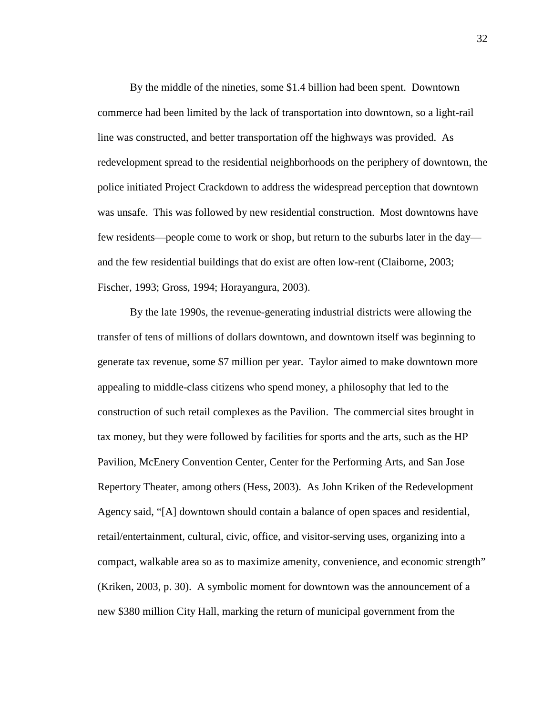By the middle of the nineties, some \$1.4 billion had been spent. Downtown commerce had been limited by the lack of transportation into downtown, so a light-rail line was constructed, and better transportation off the highways was provided. As redevelopment spread to the residential neighborhoods on the periphery of downtown, the police initiated Project Crackdown to address the widespread perception that downtown was unsafe. This was followed by new residential construction. Most downtowns have few residents—people come to work or shop, but return to the suburbs later in the day and the few residential buildings that do exist are often low-rent (Claiborne, 2003; Fischer, 1993; Gross, 1994; Horayangura, 2003).

 By the late 1990s, the revenue-generating industrial districts were allowing the transfer of tens of millions of dollars downtown, and downtown itself was beginning to generate tax revenue, some \$7 million per year. Taylor aimed to make downtown more appealing to middle-class citizens who spend money, a philosophy that led to the construction of such retail complexes as the Pavilion. The commercial sites brought in tax money, but they were followed by facilities for sports and the arts, such as the HP Pavilion, McEnery Convention Center, Center for the Performing Arts, and San Jose Repertory Theater, among others (Hess, 2003). As John Kriken of the Redevelopment Agency said, "[A] downtown should contain a balance of open spaces and residential, retail/entertainment, cultural, civic, office, and visitor-serving uses, organizing into a compact, walkable area so as to maximize amenity, convenience, and economic strength" (Kriken, 2003, p. 30). A symbolic moment for downtown was the announcement of a new \$380 million City Hall, marking the return of municipal government from the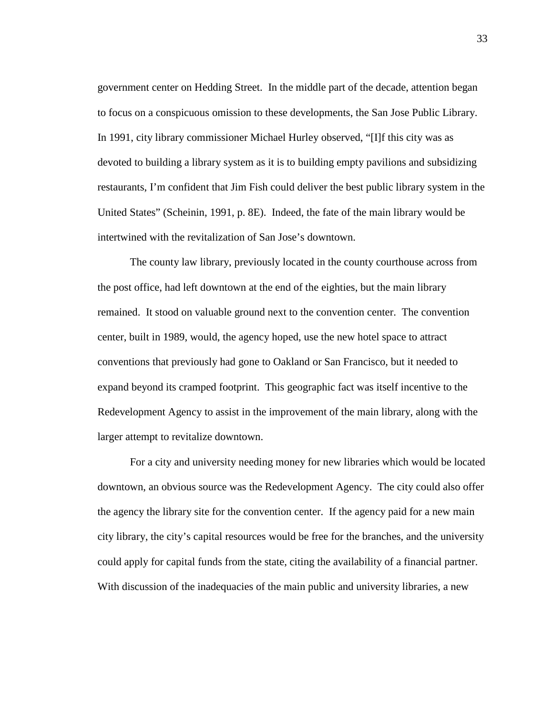government center on Hedding Street. In the middle part of the decade, attention began to focus on a conspicuous omission to these developments, the San Jose Public Library. In 1991, city library commissioner Michael Hurley observed, "[I]f this city was as devoted to building a library system as it is to building empty pavilions and subsidizing restaurants, I'm confident that Jim Fish could deliver the best public library system in the United States" (Scheinin, 1991, p. 8E). Indeed, the fate of the main library would be intertwined with the revitalization of San Jose's downtown.

 The county law library, previously located in the county courthouse across from the post office, had left downtown at the end of the eighties, but the main library remained. It stood on valuable ground next to the convention center. The convention center, built in 1989, would, the agency hoped, use the new hotel space to attract conventions that previously had gone to Oakland or San Francisco, but it needed to expand beyond its cramped footprint. This geographic fact was itself incentive to the Redevelopment Agency to assist in the improvement of the main library, along with the larger attempt to revitalize downtown.

 For a city and university needing money for new libraries which would be located downtown, an obvious source was the Redevelopment Agency. The city could also offer the agency the library site for the convention center. If the agency paid for a new main city library, the city's capital resources would be free for the branches, and the university could apply for capital funds from the state, citing the availability of a financial partner. With discussion of the inadequacies of the main public and university libraries, a new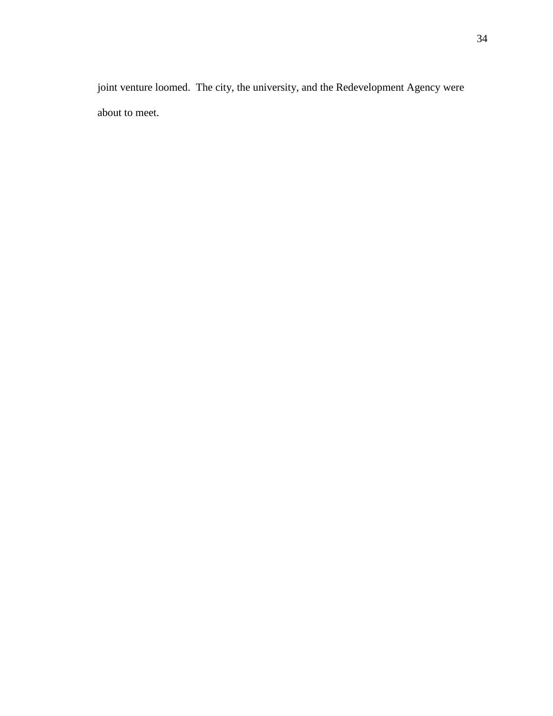joint venture loomed. The city, the university, and the Redevelopment Agency were about to meet.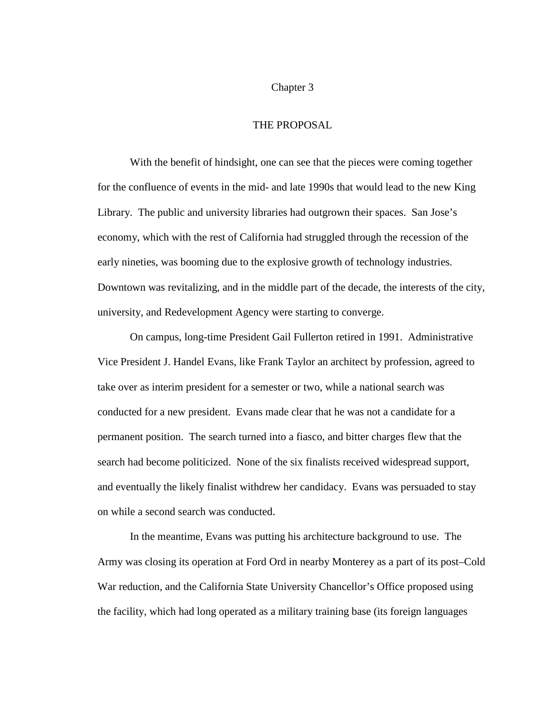#### Chapter 3

## THE PROPOSAL

 With the benefit of hindsight, one can see that the pieces were coming together for the confluence of events in the mid- and late 1990s that would lead to the new King Library. The public and university libraries had outgrown their spaces. San Jose's economy, which with the rest of California had struggled through the recession of the early nineties, was booming due to the explosive growth of technology industries. Downtown was revitalizing, and in the middle part of the decade, the interests of the city, university, and Redevelopment Agency were starting to converge.

 On campus, long-time President Gail Fullerton retired in 1991. Administrative Vice President J. Handel Evans, like Frank Taylor an architect by profession, agreed to take over as interim president for a semester or two, while a national search was conducted for a new president. Evans made clear that he was not a candidate for a permanent position. The search turned into a fiasco, and bitter charges flew that the search had become politicized. None of the six finalists received widespread support, and eventually the likely finalist withdrew her candidacy. Evans was persuaded to stay on while a second search was conducted.

 In the meantime, Evans was putting his architecture background to use. The Army was closing its operation at Ford Ord in nearby Monterey as a part of its post–Cold War reduction, and the California State University Chancellor's Office proposed using the facility, which had long operated as a military training base (its foreign languages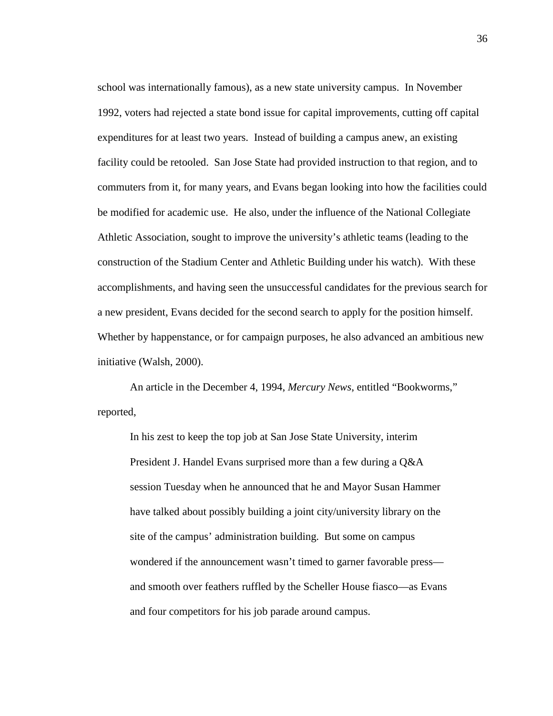school was internationally famous), as a new state university campus. In November 1992, voters had rejected a state bond issue for capital improvements, cutting off capital expenditures for at least two years. Instead of building a campus anew, an existing facility could be retooled. San Jose State had provided instruction to that region, and to commuters from it, for many years, and Evans began looking into how the facilities could be modified for academic use. He also, under the influence of the National Collegiate Athletic Association, sought to improve the university's athletic teams (leading to the construction of the Stadium Center and Athletic Building under his watch). With these accomplishments, and having seen the unsuccessful candidates for the previous search for a new president, Evans decided for the second search to apply for the position himself. Whether by happenstance, or for campaign purposes, he also advanced an ambitious new initiative (Walsh, 2000).

 An article in the December 4, 1994, *Mercury News*, entitled "Bookworms," reported,

In his zest to keep the top job at San Jose State University, interim President J. Handel Evans surprised more than a few during a Q&A session Tuesday when he announced that he and Mayor Susan Hammer have talked about possibly building a joint city/university library on the site of the campus' administration building. But some on campus wondered if the announcement wasn't timed to garner favorable press and smooth over feathers ruffled by the Scheller House fiasco—as Evans and four competitors for his job parade around campus.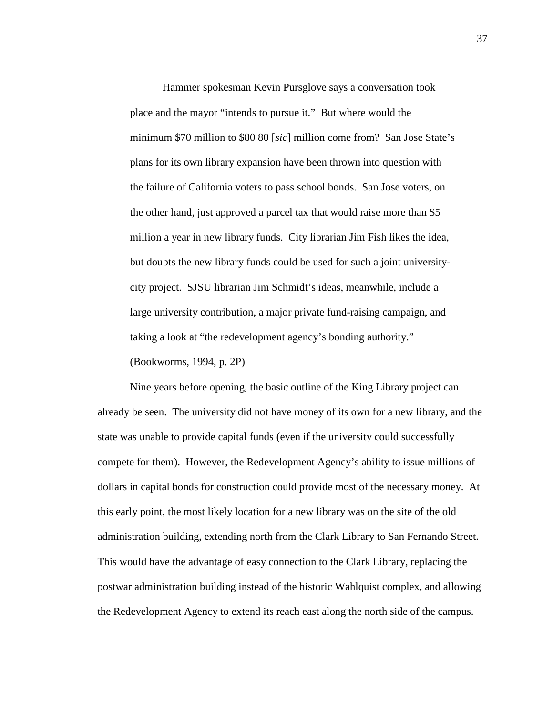Hammer spokesman Kevin Pursglove says a conversation took place and the mayor "intends to pursue it." But where would the minimum \$70 million to \$80 80 [*sic*] million come from? San Jose State's plans for its own library expansion have been thrown into question with the failure of California voters to pass school bonds. San Jose voters, on the other hand, just approved a parcel tax that would raise more than \$5 million a year in new library funds. City librarian Jim Fish likes the idea, but doubts the new library funds could be used for such a joint universitycity project. SJSU librarian Jim Schmidt's ideas, meanwhile, include a large university contribution, a major private fund-raising campaign, and taking a look at "the redevelopment agency's bonding authority."

(Bookworms, 1994, p. 2P)

 Nine years before opening, the basic outline of the King Library project can already be seen. The university did not have money of its own for a new library, and the state was unable to provide capital funds (even if the university could successfully compete for them). However, the Redevelopment Agency's ability to issue millions of dollars in capital bonds for construction could provide most of the necessary money. At this early point, the most likely location for a new library was on the site of the old administration building, extending north from the Clark Library to San Fernando Street. This would have the advantage of easy connection to the Clark Library, replacing the postwar administration building instead of the historic Wahlquist complex, and allowing the Redevelopment Agency to extend its reach east along the north side of the campus.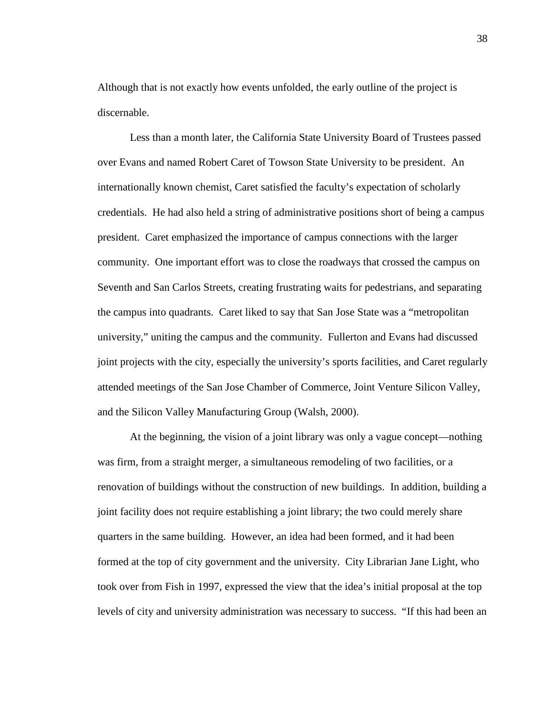Although that is not exactly how events unfolded, the early outline of the project is discernable.

 Less than a month later, the California State University Board of Trustees passed over Evans and named Robert Caret of Towson State University to be president. An internationally known chemist, Caret satisfied the faculty's expectation of scholarly credentials. He had also held a string of administrative positions short of being a campus president. Caret emphasized the importance of campus connections with the larger community. One important effort was to close the roadways that crossed the campus on Seventh and San Carlos Streets, creating frustrating waits for pedestrians, and separating the campus into quadrants. Caret liked to say that San Jose State was a "metropolitan university," uniting the campus and the community. Fullerton and Evans had discussed joint projects with the city, especially the university's sports facilities, and Caret regularly attended meetings of the San Jose Chamber of Commerce, Joint Venture Silicon Valley, and the Silicon Valley Manufacturing Group (Walsh, 2000).

 At the beginning, the vision of a joint library was only a vague concept—nothing was firm, from a straight merger, a simultaneous remodeling of two facilities, or a renovation of buildings without the construction of new buildings. In addition, building a joint facility does not require establishing a joint library; the two could merely share quarters in the same building. However, an idea had been formed, and it had been formed at the top of city government and the university. City Librarian Jane Light, who took over from Fish in 1997, expressed the view that the idea's initial proposal at the top levels of city and university administration was necessary to success. "If this had been an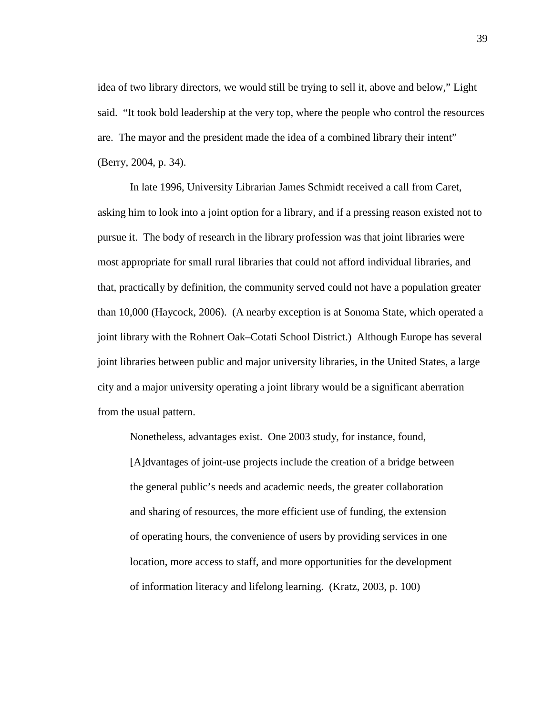idea of two library directors, we would still be trying to sell it, above and below," Light said. "It took bold leadership at the very top, where the people who control the resources are. The mayor and the president made the idea of a combined library their intent" (Berry, 2004, p. 34).

 In late 1996, University Librarian James Schmidt received a call from Caret, asking him to look into a joint option for a library, and if a pressing reason existed not to pursue it. The body of research in the library profession was that joint libraries were most appropriate for small rural libraries that could not afford individual libraries, and that, practically by definition, the community served could not have a population greater than 10,000 (Haycock, 2006). (A nearby exception is at Sonoma State, which operated a joint library with the Rohnert Oak–Cotati School District.) Although Europe has several joint libraries between public and major university libraries, in the United States, a large city and a major university operating a joint library would be a significant aberration from the usual pattern.

 Nonetheless, advantages exist. One 2003 study, for instance, found, [A]dvantages of joint-use projects include the creation of a bridge between the general public's needs and academic needs, the greater collaboration and sharing of resources, the more efficient use of funding, the extension of operating hours, the convenience of users by providing services in one location, more access to staff, and more opportunities for the development of information literacy and lifelong learning. (Kratz, 2003, p. 100)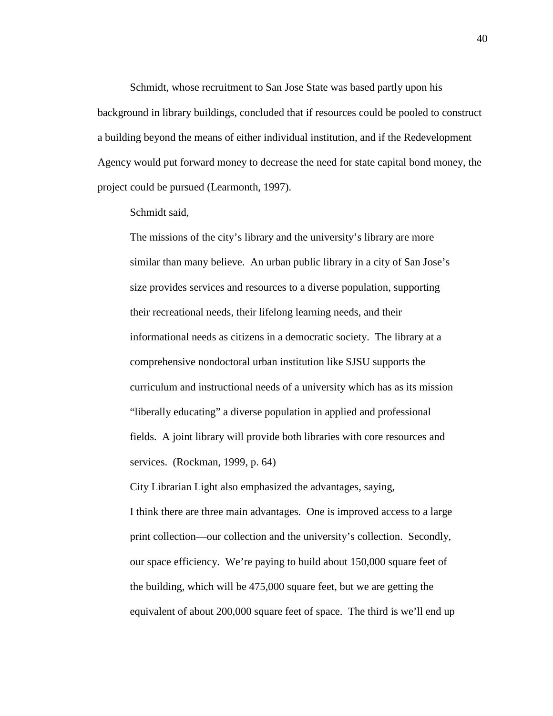Schmidt, whose recruitment to San Jose State was based partly upon his background in library buildings, concluded that if resources could be pooled to construct a building beyond the means of either individual institution, and if the Redevelopment Agency would put forward money to decrease the need for state capital bond money, the project could be pursued (Learmonth, 1997).

Schmidt said,

The missions of the city's library and the university's library are more similar than many believe. An urban public library in a city of San Jose's size provides services and resources to a diverse population, supporting their recreational needs, their lifelong learning needs, and their informational needs as citizens in a democratic society. The library at a comprehensive nondoctoral urban institution like SJSU supports the curriculum and instructional needs of a university which has as its mission "liberally educating" a diverse population in applied and professional fields. A joint library will provide both libraries with core resources and services. (Rockman, 1999, p. 64)

 City Librarian Light also emphasized the advantages, saying, I think there are three main advantages. One is improved access to a large print collection—our collection and the university's collection. Secondly, our space efficiency. We're paying to build about 150,000 square feet of the building, which will be 475,000 square feet, but we are getting the equivalent of about 200,000 square feet of space. The third is we'll end up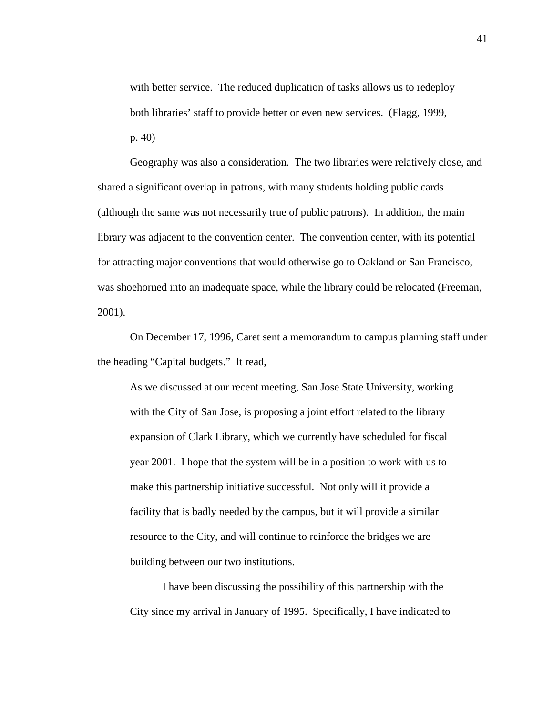with better service. The reduced duplication of tasks allows us to redeploy both libraries' staff to provide better or even new services. (Flagg, 1999, p. 40)

 Geography was also a consideration. The two libraries were relatively close, and shared a significant overlap in patrons, with many students holding public cards (although the same was not necessarily true of public patrons). In addition, the main library was adjacent to the convention center. The convention center, with its potential for attracting major conventions that would otherwise go to Oakland or San Francisco, was shoehorned into an inadequate space, while the library could be relocated (Freeman, 2001).

 On December 17, 1996, Caret sent a memorandum to campus planning staff under the heading "Capital budgets." It read,

As we discussed at our recent meeting, San Jose State University, working with the City of San Jose, is proposing a joint effort related to the library expansion of Clark Library, which we currently have scheduled for fiscal year 2001. I hope that the system will be in a position to work with us to make this partnership initiative successful. Not only will it provide a facility that is badly needed by the campus, but it will provide a similar resource to the City, and will continue to reinforce the bridges we are building between our two institutions.

 I have been discussing the possibility of this partnership with the City since my arrival in January of 1995. Specifically, I have indicated to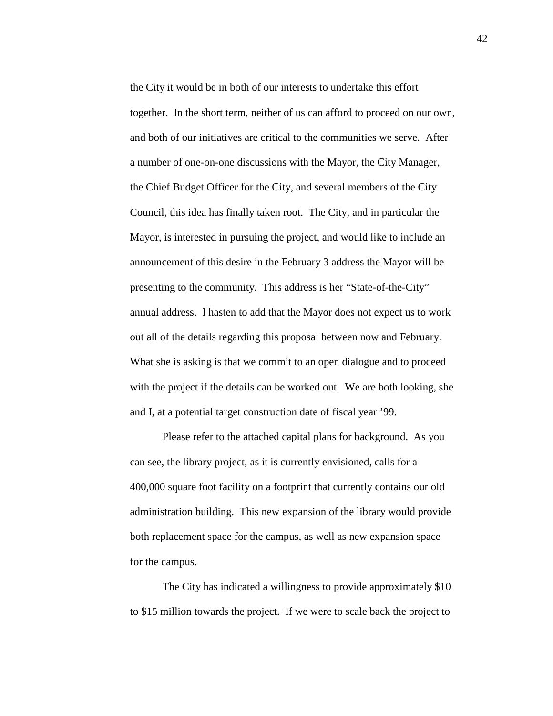the City it would be in both of our interests to undertake this effort together. In the short term, neither of us can afford to proceed on our own, and both of our initiatives are critical to the communities we serve. After a number of one-on-one discussions with the Mayor, the City Manager, the Chief Budget Officer for the City, and several members of the City Council, this idea has finally taken root. The City, and in particular the Mayor, is interested in pursuing the project, and would like to include an announcement of this desire in the February 3 address the Mayor will be presenting to the community. This address is her "State-of-the-City" annual address. I hasten to add that the Mayor does not expect us to work out all of the details regarding this proposal between now and February. What she is asking is that we commit to an open dialogue and to proceed with the project if the details can be worked out. We are both looking, she and I, at a potential target construction date of fiscal year '99.

 Please refer to the attached capital plans for background. As you can see, the library project, as it is currently envisioned, calls for a 400,000 square foot facility on a footprint that currently contains our old administration building. This new expansion of the library would provide both replacement space for the campus, as well as new expansion space for the campus.

 The City has indicated a willingness to provide approximately \$10 to \$15 million towards the project. If we were to scale back the project to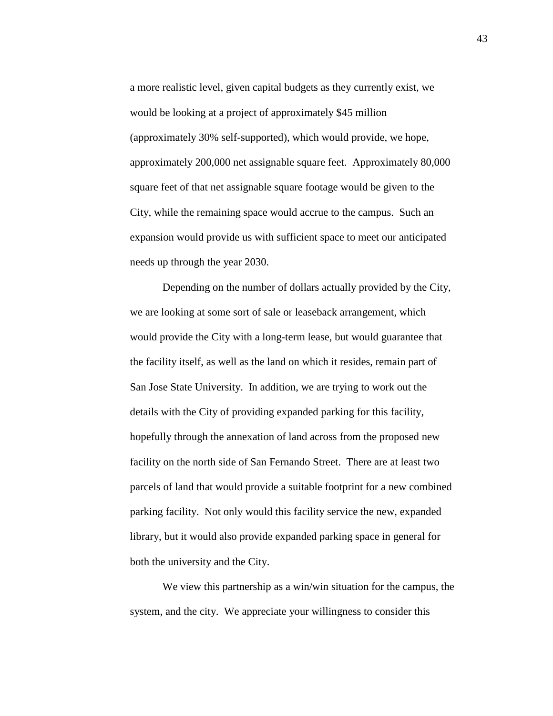a more realistic level, given capital budgets as they currently exist, we would be looking at a project of approximately \$45 million (approximately 30% self-supported), which would provide, we hope, approximately 200,000 net assignable square feet. Approximately 80,000 square feet of that net assignable square footage would be given to the City, while the remaining space would accrue to the campus. Such an expansion would provide us with sufficient space to meet our anticipated needs up through the year 2030.

 Depending on the number of dollars actually provided by the City, we are looking at some sort of sale or leaseback arrangement, which would provide the City with a long-term lease, but would guarantee that the facility itself, as well as the land on which it resides, remain part of San Jose State University. In addition, we are trying to work out the details with the City of providing expanded parking for this facility, hopefully through the annexation of land across from the proposed new facility on the north side of San Fernando Street. There are at least two parcels of land that would provide a suitable footprint for a new combined parking facility. Not only would this facility service the new, expanded library, but it would also provide expanded parking space in general for both the university and the City.

 We view this partnership as a win/win situation for the campus, the system, and the city. We appreciate your willingness to consider this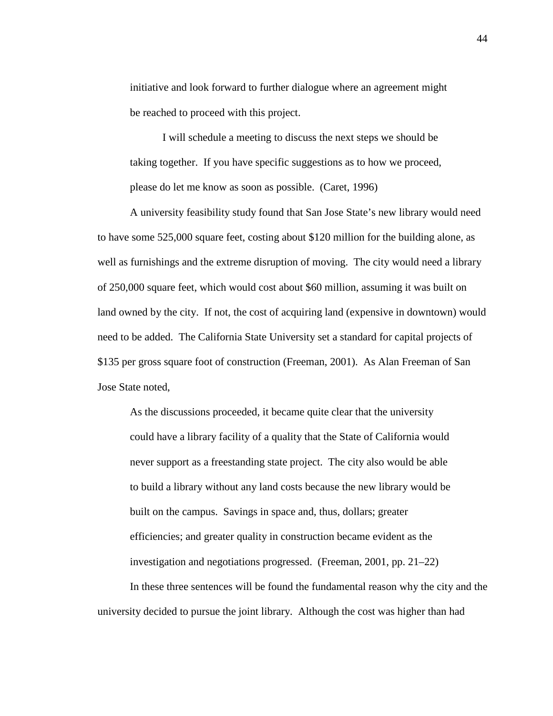initiative and look forward to further dialogue where an agreement might be reached to proceed with this project.

 I will schedule a meeting to discuss the next steps we should be taking together. If you have specific suggestions as to how we proceed, please do let me know as soon as possible. (Caret, 1996)

 A university feasibility study found that San Jose State's new library would need to have some 525,000 square feet, costing about \$120 million for the building alone, as well as furnishings and the extreme disruption of moving. The city would need a library of 250,000 square feet, which would cost about \$60 million, assuming it was built on land owned by the city. If not, the cost of acquiring land (expensive in downtown) would need to be added. The California State University set a standard for capital projects of \$135 per gross square foot of construction (Freeman, 2001). As Alan Freeman of San Jose State noted,

As the discussions proceeded, it became quite clear that the university could have a library facility of a quality that the State of California would never support as a freestanding state project. The city also would be able to build a library without any land costs because the new library would be built on the campus. Savings in space and, thus, dollars; greater efficiencies; and greater quality in construction became evident as the investigation and negotiations progressed. (Freeman, 2001, pp. 21–22)

 In these three sentences will be found the fundamental reason why the city and the university decided to pursue the joint library. Although the cost was higher than had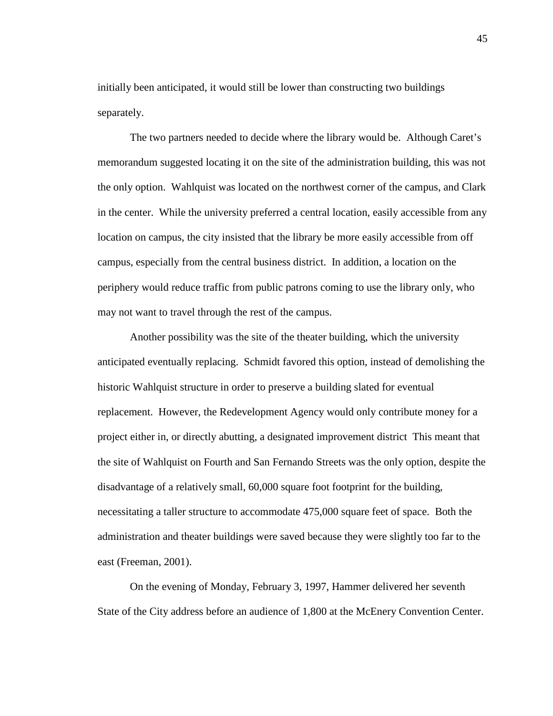initially been anticipated, it would still be lower than constructing two buildings separately.

 The two partners needed to decide where the library would be. Although Caret's memorandum suggested locating it on the site of the administration building, this was not the only option. Wahlquist was located on the northwest corner of the campus, and Clark in the center. While the university preferred a central location, easily accessible from any location on campus, the city insisted that the library be more easily accessible from off campus, especially from the central business district. In addition, a location on the periphery would reduce traffic from public patrons coming to use the library only, who may not want to travel through the rest of the campus.

 Another possibility was the site of the theater building, which the university anticipated eventually replacing. Schmidt favored this option, instead of demolishing the historic Wahlquist structure in order to preserve a building slated for eventual replacement. However, the Redevelopment Agency would only contribute money for a project either in, or directly abutting, a designated improvement district This meant that the site of Wahlquist on Fourth and San Fernando Streets was the only option, despite the disadvantage of a relatively small, 60,000 square foot footprint for the building, necessitating a taller structure to accommodate 475,000 square feet of space. Both the administration and theater buildings were saved because they were slightly too far to the east (Freeman, 2001).

 On the evening of Monday, February 3, 1997, Hammer delivered her seventh State of the City address before an audience of 1,800 at the McEnery Convention Center.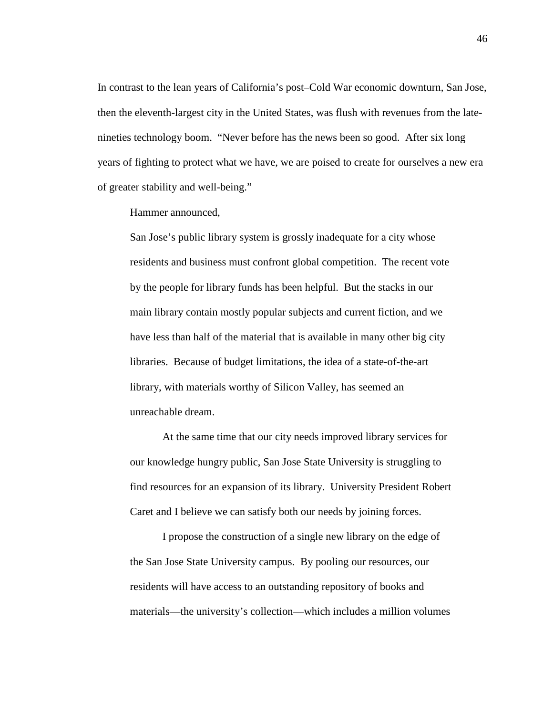In contrast to the lean years of California's post–Cold War economic downturn, San Jose, then the eleventh-largest city in the United States, was flush with revenues from the latenineties technology boom. "Never before has the news been so good. After six long years of fighting to protect what we have, we are poised to create for ourselves a new era of greater stability and well-being."

Hammer announced,

San Jose's public library system is grossly inadequate for a city whose residents and business must confront global competition. The recent vote by the people for library funds has been helpful. But the stacks in our main library contain mostly popular subjects and current fiction, and we have less than half of the material that is available in many other big city libraries. Because of budget limitations, the idea of a state-of-the-art library, with materials worthy of Silicon Valley, has seemed an unreachable dream.

 At the same time that our city needs improved library services for our knowledge hungry public, San Jose State University is struggling to find resources for an expansion of its library. University President Robert Caret and I believe we can satisfy both our needs by joining forces.

 I propose the construction of a single new library on the edge of the San Jose State University campus. By pooling our resources, our residents will have access to an outstanding repository of books and materials—the university's collection—which includes a million volumes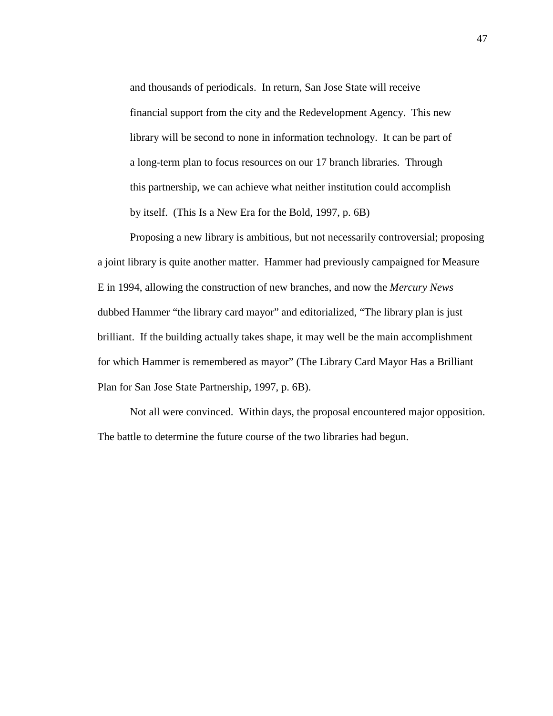and thousands of periodicals. In return, San Jose State will receive financial support from the city and the Redevelopment Agency. This new library will be second to none in information technology. It can be part of a long-term plan to focus resources on our 17 branch libraries. Through this partnership, we can achieve what neither institution could accomplish by itself. (This Is a New Era for the Bold, 1997, p. 6B)

 Proposing a new library is ambitious, but not necessarily controversial; proposing a joint library is quite another matter. Hammer had previously campaigned for Measure E in 1994, allowing the construction of new branches, and now the *Mercury News* dubbed Hammer "the library card mayor" and editorialized, "The library plan is just brilliant. If the building actually takes shape, it may well be the main accomplishment for which Hammer is remembered as mayor" (The Library Card Mayor Has a Brilliant Plan for San Jose State Partnership, 1997, p. 6B).

 Not all were convinced. Within days, the proposal encountered major opposition. The battle to determine the future course of the two libraries had begun.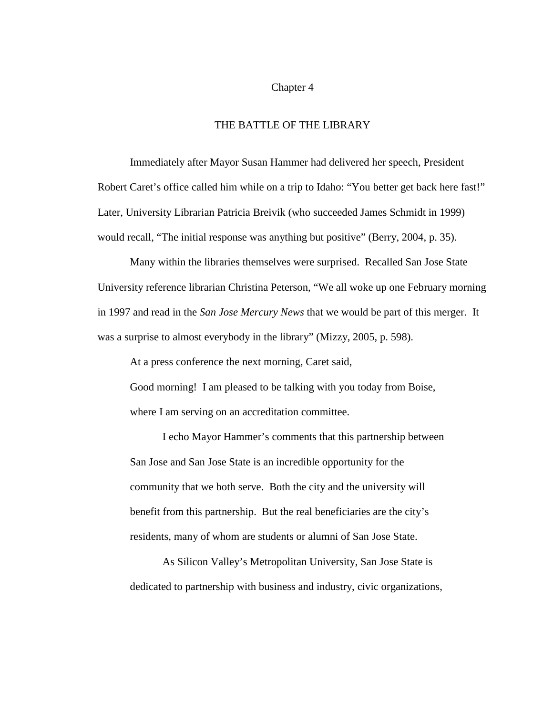#### Chapter 4

# THE BATTLE OF THE LIBRARY

 Immediately after Mayor Susan Hammer had delivered her speech, President Robert Caret's office called him while on a trip to Idaho: "You better get back here fast!" Later, University Librarian Patricia Breivik (who succeeded James Schmidt in 1999) would recall, "The initial response was anything but positive" (Berry, 2004, p. 35).

 Many within the libraries themselves were surprised. Recalled San Jose State University reference librarian Christina Peterson, "We all woke up one February morning in 1997 and read in the *San Jose Mercury News* that we would be part of this merger. It was a surprise to almost everybody in the library" (Mizzy, 2005, p. 598).

At a press conference the next morning, Caret said,

Good morning! I am pleased to be talking with you today from Boise, where I am serving on an accreditation committee.

 I echo Mayor Hammer's comments that this partnership between San Jose and San Jose State is an incredible opportunity for the community that we both serve. Both the city and the university will benefit from this partnership. But the real beneficiaries are the city's residents, many of whom are students or alumni of San Jose State.

 As Silicon Valley's Metropolitan University, San Jose State is dedicated to partnership with business and industry, civic organizations,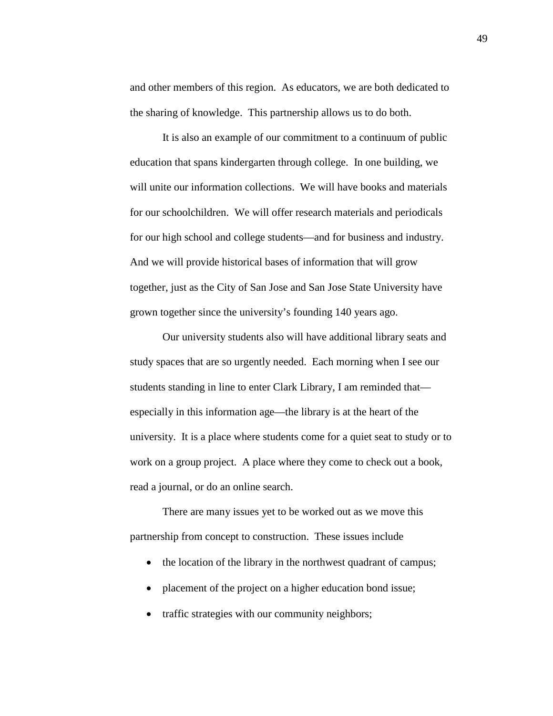and other members of this region. As educators, we are both dedicated to the sharing of knowledge. This partnership allows us to do both.

 It is also an example of our commitment to a continuum of public education that spans kindergarten through college. In one building, we will unite our information collections. We will have books and materials for our schoolchildren. We will offer research materials and periodicals for our high school and college students—and for business and industry. And we will provide historical bases of information that will grow together, just as the City of San Jose and San Jose State University have grown together since the university's founding 140 years ago.

 Our university students also will have additional library seats and study spaces that are so urgently needed. Each morning when I see our students standing in line to enter Clark Library, I am reminded that especially in this information age—the library is at the heart of the university. It is a place where students come for a quiet seat to study or to work on a group project. A place where they come to check out a book, read a journal, or do an online search.

 There are many issues yet to be worked out as we move this partnership from concept to construction. These issues include

- the location of the library in the northwest quadrant of campus;
- placement of the project on a higher education bond issue;
- traffic strategies with our community neighbors;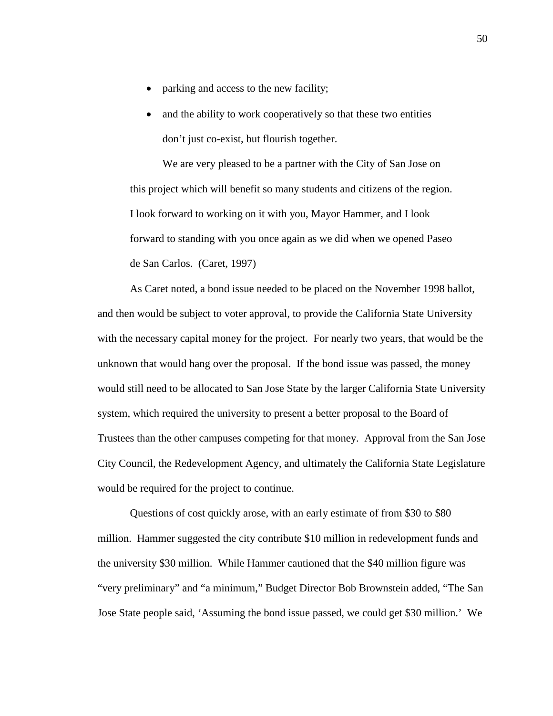- parking and access to the new facility;
- and the ability to work cooperatively so that these two entities don't just co-exist, but flourish together.

 We are very pleased to be a partner with the City of San Jose on this project which will benefit so many students and citizens of the region. I look forward to working on it with you, Mayor Hammer, and I look forward to standing with you once again as we did when we opened Paseo de San Carlos. (Caret, 1997)

 As Caret noted, a bond issue needed to be placed on the November 1998 ballot, and then would be subject to voter approval, to provide the California State University with the necessary capital money for the project. For nearly two years, that would be the unknown that would hang over the proposal. If the bond issue was passed, the money would still need to be allocated to San Jose State by the larger California State University system, which required the university to present a better proposal to the Board of Trustees than the other campuses competing for that money. Approval from the San Jose City Council, the Redevelopment Agency, and ultimately the California State Legislature would be required for the project to continue.

 Questions of cost quickly arose, with an early estimate of from \$30 to \$80 million. Hammer suggested the city contribute \$10 million in redevelopment funds and the university \$30 million. While Hammer cautioned that the \$40 million figure was "very preliminary" and "a minimum," Budget Director Bob Brownstein added, "The San Jose State people said, 'Assuming the bond issue passed, we could get \$30 million.' We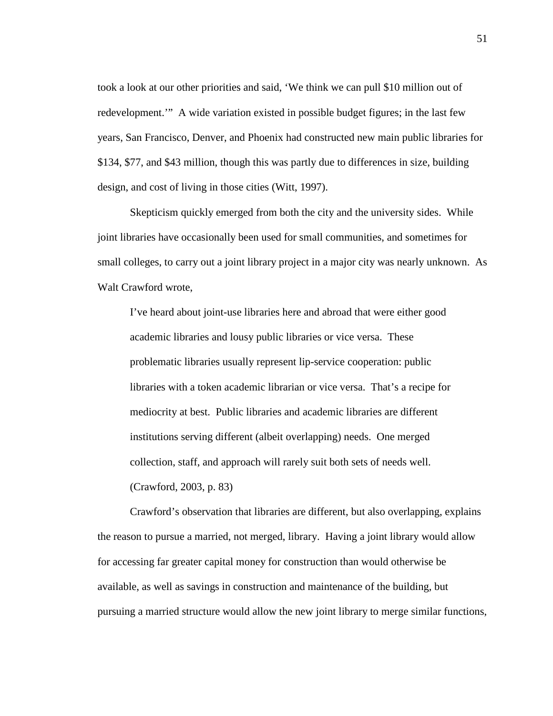took a look at our other priorities and said, 'We think we can pull \$10 million out of redevelopment.'" A wide variation existed in possible budget figures; in the last few years, San Francisco, Denver, and Phoenix had constructed new main public libraries for \$134, \$77, and \$43 million, though this was partly due to differences in size, building design, and cost of living in those cities (Witt, 1997).

 Skepticism quickly emerged from both the city and the university sides. While joint libraries have occasionally been used for small communities, and sometimes for small colleges, to carry out a joint library project in a major city was nearly unknown. As Walt Crawford wrote,

I've heard about joint-use libraries here and abroad that were either good academic libraries and lousy public libraries or vice versa. These problematic libraries usually represent lip-service cooperation: public libraries with a token academic librarian or vice versa. That's a recipe for mediocrity at best. Public libraries and academic libraries are different institutions serving different (albeit overlapping) needs. One merged collection, staff, and approach will rarely suit both sets of needs well. (Crawford, 2003, p. 83)

 Crawford's observation that libraries are different, but also overlapping, explains the reason to pursue a married, not merged, library. Having a joint library would allow for accessing far greater capital money for construction than would otherwise be available, as well as savings in construction and maintenance of the building, but pursuing a married structure would allow the new joint library to merge similar functions,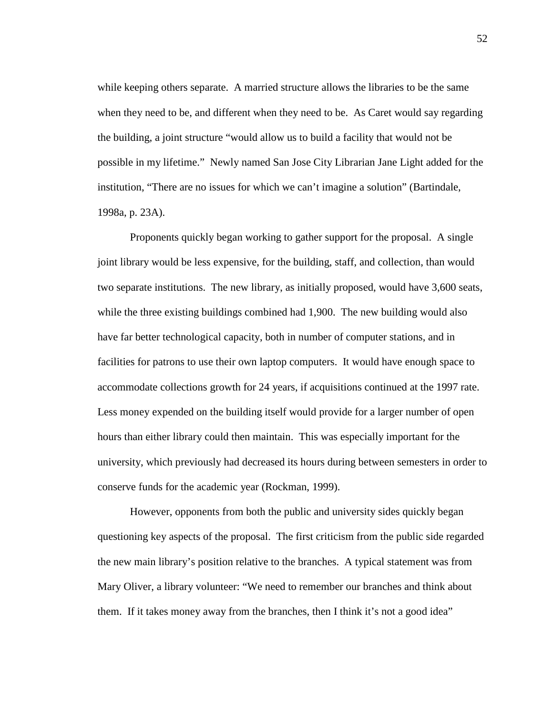while keeping others separate. A married structure allows the libraries to be the same when they need to be, and different when they need to be. As Caret would say regarding the building, a joint structure "would allow us to build a facility that would not be possible in my lifetime." Newly named San Jose City Librarian Jane Light added for the institution, "There are no issues for which we can't imagine a solution" (Bartindale, 1998a, p. 23A).

 Proponents quickly began working to gather support for the proposal. A single joint library would be less expensive, for the building, staff, and collection, than would two separate institutions. The new library, as initially proposed, would have 3,600 seats, while the three existing buildings combined had 1,900. The new building would also have far better technological capacity, both in number of computer stations, and in facilities for patrons to use their own laptop computers. It would have enough space to accommodate collections growth for 24 years, if acquisitions continued at the 1997 rate. Less money expended on the building itself would provide for a larger number of open hours than either library could then maintain. This was especially important for the university, which previously had decreased its hours during between semesters in order to conserve funds for the academic year (Rockman, 1999).

 However, opponents from both the public and university sides quickly began questioning key aspects of the proposal. The first criticism from the public side regarded the new main library's position relative to the branches. A typical statement was from Mary Oliver, a library volunteer: "We need to remember our branches and think about them. If it takes money away from the branches, then I think it's not a good idea"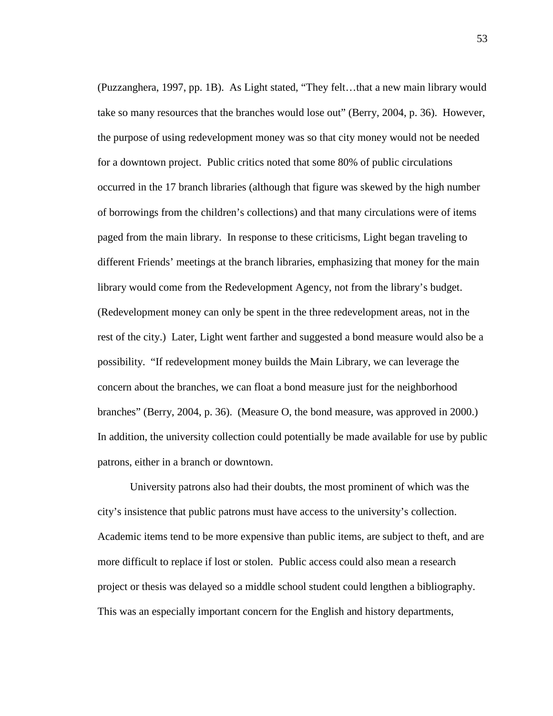(Puzzanghera, 1997, pp. 1B). As Light stated, "They felt…that a new main library would take so many resources that the branches would lose out" (Berry, 2004, p. 36). However, the purpose of using redevelopment money was so that city money would not be needed for a downtown project. Public critics noted that some 80% of public circulations occurred in the 17 branch libraries (although that figure was skewed by the high number of borrowings from the children's collections) and that many circulations were of items paged from the main library. In response to these criticisms, Light began traveling to different Friends' meetings at the branch libraries, emphasizing that money for the main library would come from the Redevelopment Agency, not from the library's budget. (Redevelopment money can only be spent in the three redevelopment areas, not in the rest of the city.) Later, Light went farther and suggested a bond measure would also be a possibility. "If redevelopment money builds the Main Library, we can leverage the concern about the branches, we can float a bond measure just for the neighborhood branches" (Berry, 2004, p. 36). (Measure O, the bond measure, was approved in 2000.) In addition, the university collection could potentially be made available for use by public patrons, either in a branch or downtown.

 University patrons also had their doubts, the most prominent of which was the city's insistence that public patrons must have access to the university's collection. Academic items tend to be more expensive than public items, are subject to theft, and are more difficult to replace if lost or stolen. Public access could also mean a research project or thesis was delayed so a middle school student could lengthen a bibliography. This was an especially important concern for the English and history departments,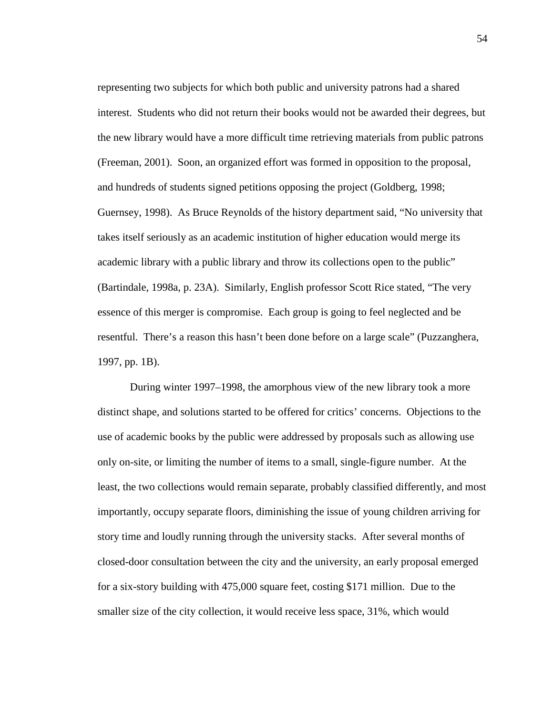representing two subjects for which both public and university patrons had a shared interest. Students who did not return their books would not be awarded their degrees, but the new library would have a more difficult time retrieving materials from public patrons (Freeman, 2001). Soon, an organized effort was formed in opposition to the proposal, and hundreds of students signed petitions opposing the project (Goldberg, 1998; Guernsey, 1998). As Bruce Reynolds of the history department said, "No university that takes itself seriously as an academic institution of higher education would merge its academic library with a public library and throw its collections open to the public" (Bartindale, 1998a, p. 23A). Similarly, English professor Scott Rice stated, "The very essence of this merger is compromise. Each group is going to feel neglected and be resentful. There's a reason this hasn't been done before on a large scale" (Puzzanghera, 1997, pp. 1B).

 During winter 1997–1998, the amorphous view of the new library took a more distinct shape, and solutions started to be offered for critics' concerns. Objections to the use of academic books by the public were addressed by proposals such as allowing use only on-site, or limiting the number of items to a small, single-figure number. At the least, the two collections would remain separate, probably classified differently, and most importantly, occupy separate floors, diminishing the issue of young children arriving for story time and loudly running through the university stacks. After several months of closed-door consultation between the city and the university, an early proposal emerged for a six-story building with 475,000 square feet, costing \$171 million. Due to the smaller size of the city collection, it would receive less space, 31%, which would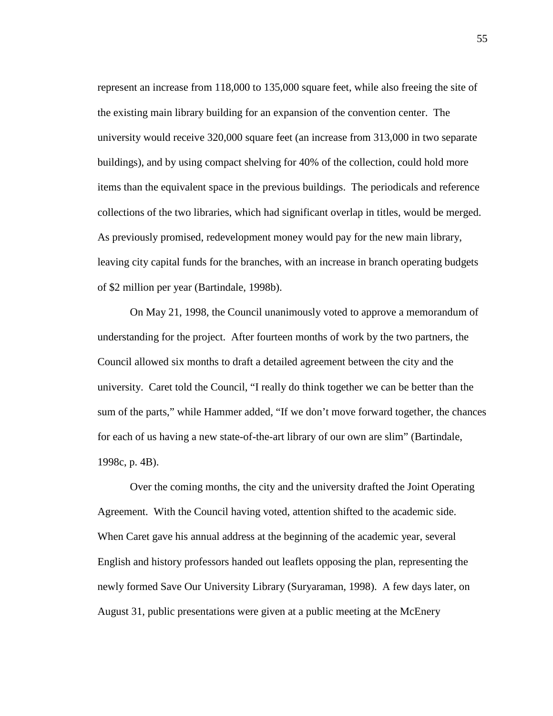represent an increase from 118,000 to 135,000 square feet, while also freeing the site of the existing main library building for an expansion of the convention center. The university would receive 320,000 square feet (an increase from 313,000 in two separate buildings), and by using compact shelving for 40% of the collection, could hold more items than the equivalent space in the previous buildings. The periodicals and reference collections of the two libraries, which had significant overlap in titles, would be merged. As previously promised, redevelopment money would pay for the new main library, leaving city capital funds for the branches, with an increase in branch operating budgets of \$2 million per year (Bartindale, 1998b).

 On May 21, 1998, the Council unanimously voted to approve a memorandum of understanding for the project. After fourteen months of work by the two partners, the Council allowed six months to draft a detailed agreement between the city and the university. Caret told the Council, "I really do think together we can be better than the sum of the parts," while Hammer added, "If we don't move forward together, the chances for each of us having a new state-of-the-art library of our own are slim" (Bartindale, 1998c, p. 4B).

 Over the coming months, the city and the university drafted the Joint Operating Agreement. With the Council having voted, attention shifted to the academic side. When Caret gave his annual address at the beginning of the academic year, several English and history professors handed out leaflets opposing the plan, representing the newly formed Save Our University Library (Suryaraman, 1998). A few days later, on August 31, public presentations were given at a public meeting at the McEnery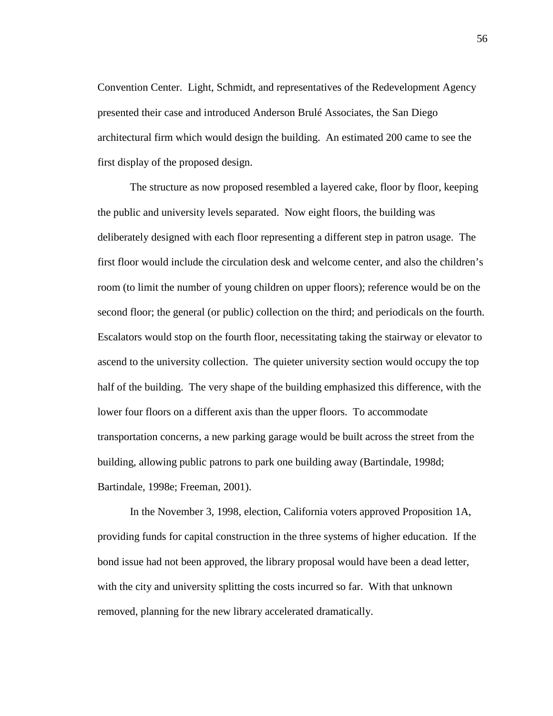Convention Center. Light, Schmidt, and representatives of the Redevelopment Agency presented their case and introduced Anderson Brulé Associates, the San Diego architectural firm which would design the building. An estimated 200 came to see the first display of the proposed design.

 The structure as now proposed resembled a layered cake, floor by floor, keeping the public and university levels separated. Now eight floors, the building was deliberately designed with each floor representing a different step in patron usage. The first floor would include the circulation desk and welcome center, and also the children's room (to limit the number of young children on upper floors); reference would be on the second floor; the general (or public) collection on the third; and periodicals on the fourth. Escalators would stop on the fourth floor, necessitating taking the stairway or elevator to ascend to the university collection. The quieter university section would occupy the top half of the building. The very shape of the building emphasized this difference, with the lower four floors on a different axis than the upper floors. To accommodate transportation concerns, a new parking garage would be built across the street from the building, allowing public patrons to park one building away (Bartindale, 1998d; Bartindale, 1998e; Freeman, 2001).

 In the November 3, 1998, election, California voters approved Proposition 1A, providing funds for capital construction in the three systems of higher education. If the bond issue had not been approved, the library proposal would have been a dead letter, with the city and university splitting the costs incurred so far. With that unknown removed, planning for the new library accelerated dramatically.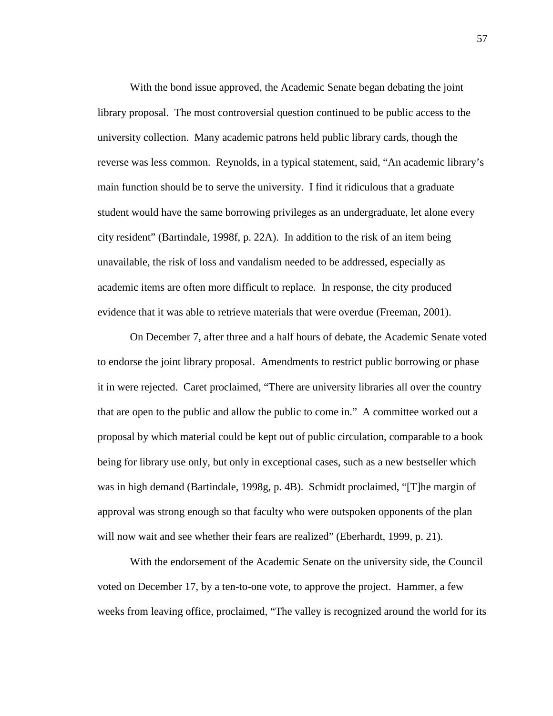With the bond issue approved, the Academic Senate began debating the joint library proposal. The most controversial question continued to be public access to the university collection. Many academic patrons held public library cards, though the reverse was less common. Reynolds, in a typical statement, said, "An academic library's main function should be to serve the university. I find it ridiculous that a graduate student would have the same borrowing privileges as an undergraduate, let alone every city resident" (Bartindale, 1998f, p. 22A). In addition to the risk of an item being unavailable, the risk of loss and vandalism needed to be addressed, especially as academic items are often more difficult to replace. In response, the city produced evidence that it was able to retrieve materials that were overdue (Freeman, 2001).

 On December 7, after three and a half hours of debate, the Academic Senate voted to endorse the joint library proposal. Amendments to restrict public borrowing or phase it in were rejected. Caret proclaimed, "There are university libraries all over the country that are open to the public and allow the public to come in." A committee worked out a proposal by which material could be kept out of public circulation, comparable to a book being for library use only, but only in exceptional cases, such as a new bestseller which was in high demand (Bartindale, 1998g, p. 4B). Schmidt proclaimed, "[T]he margin of approval was strong enough so that faculty who were outspoken opponents of the plan will now wait and see whether their fears are realized" (Eberhardt, 1999, p. 21).

 With the endorsement of the Academic Senate on the university side, the Council voted on December 17, by a ten-to-one vote, to approve the project. Hammer, a few weeks from leaving office, proclaimed, "The valley is recognized around the world for its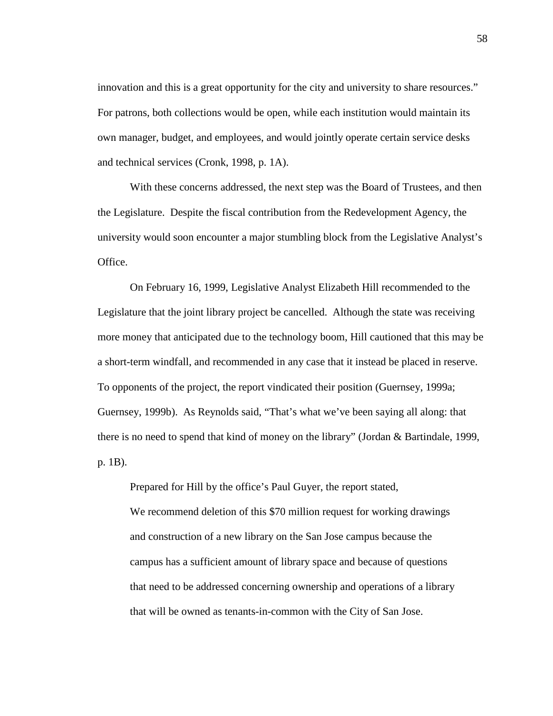innovation and this is a great opportunity for the city and university to share resources." For patrons, both collections would be open, while each institution would maintain its own manager, budget, and employees, and would jointly operate certain service desks and technical services (Cronk, 1998, p. 1A).

 With these concerns addressed, the next step was the Board of Trustees, and then the Legislature. Despite the fiscal contribution from the Redevelopment Agency, the university would soon encounter a major stumbling block from the Legislative Analyst's Office.

 On February 16, 1999, Legislative Analyst Elizabeth Hill recommended to the Legislature that the joint library project be cancelled. Although the state was receiving more money that anticipated due to the technology boom, Hill cautioned that this may be a short-term windfall, and recommended in any case that it instead be placed in reserve. To opponents of the project, the report vindicated their position (Guernsey, 1999a; Guernsey, 1999b). As Reynolds said, "That's what we've been saying all along: that there is no need to spend that kind of money on the library" (Jordan & Bartindale, 1999, p. 1B).

 Prepared for Hill by the office's Paul Guyer, the report stated, We recommend deletion of this \$70 million request for working drawings and construction of a new library on the San Jose campus because the campus has a sufficient amount of library space and because of questions that need to be addressed concerning ownership and operations of a library that will be owned as tenants-in-common with the City of San Jose.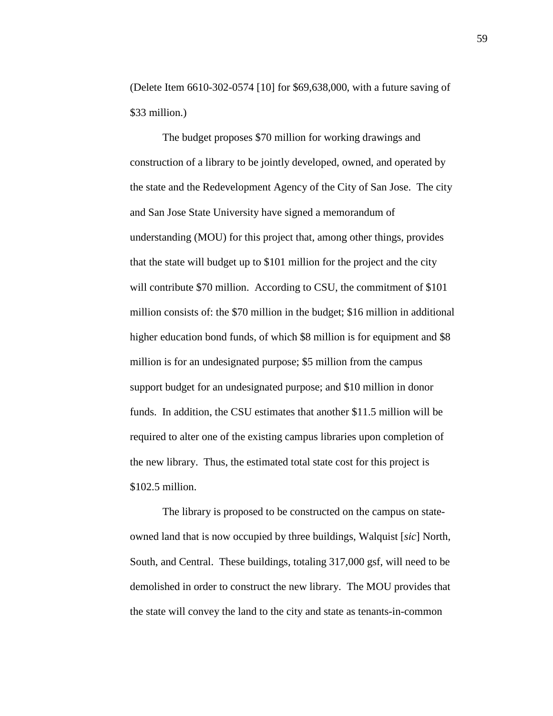(Delete Item 6610-302-0574 [10] for \$69,638,000, with a future saving of \$33 million.)

 The budget proposes \$70 million for working drawings and construction of a library to be jointly developed, owned, and operated by the state and the Redevelopment Agency of the City of San Jose. The city and San Jose State University have signed a memorandum of understanding (MOU) for this project that, among other things, provides that the state will budget up to \$101 million for the project and the city will contribute \$70 million. According to CSU, the commitment of \$101 million consists of: the \$70 million in the budget; \$16 million in additional higher education bond funds, of which \$8 million is for equipment and \$8 million is for an undesignated purpose; \$5 million from the campus support budget for an undesignated purpose; and \$10 million in donor funds. In addition, the CSU estimates that another \$11.5 million will be required to alter one of the existing campus libraries upon completion of the new library. Thus, the estimated total state cost for this project is \$102.5 million.

 The library is proposed to be constructed on the campus on stateowned land that is now occupied by three buildings, Walquist [*sic*] North, South, and Central. These buildings, totaling 317,000 gsf, will need to be demolished in order to construct the new library. The MOU provides that the state will convey the land to the city and state as tenants-in-common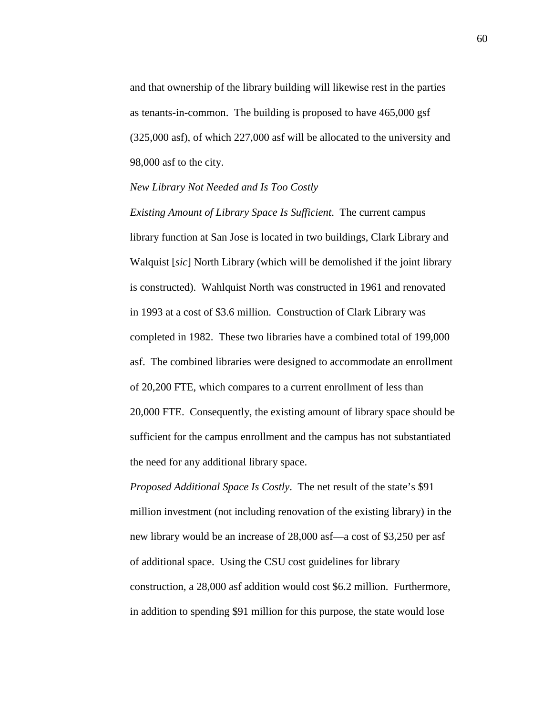and that ownership of the library building will likewise rest in the parties as tenants-in-common. The building is proposed to have 465,000 gsf (325,000 asf), of which 227,000 asf will be allocated to the university and 98,000 asf to the city.

#### *New Library Not Needed and Is Too Costly*

*Existing Amount of Library Space Is Sufficient*. The current campus library function at San Jose is located in two buildings, Clark Library and Walquist [*sic*] North Library (which will be demolished if the joint library is constructed). Wahlquist North was constructed in 1961 and renovated in 1993 at a cost of \$3.6 million. Construction of Clark Library was completed in 1982. These two libraries have a combined total of 199,000 asf. The combined libraries were designed to accommodate an enrollment of 20,200 FTE, which compares to a current enrollment of less than 20,000 FTE. Consequently, the existing amount of library space should be sufficient for the campus enrollment and the campus has not substantiated the need for any additional library space.

*Proposed Additional Space Is Costly*. The net result of the state's \$91 million investment (not including renovation of the existing library) in the new library would be an increase of 28,000 asf—a cost of \$3,250 per asf of additional space. Using the CSU cost guidelines for library construction, a 28,000 asf addition would cost \$6.2 million. Furthermore, in addition to spending \$91 million for this purpose, the state would lose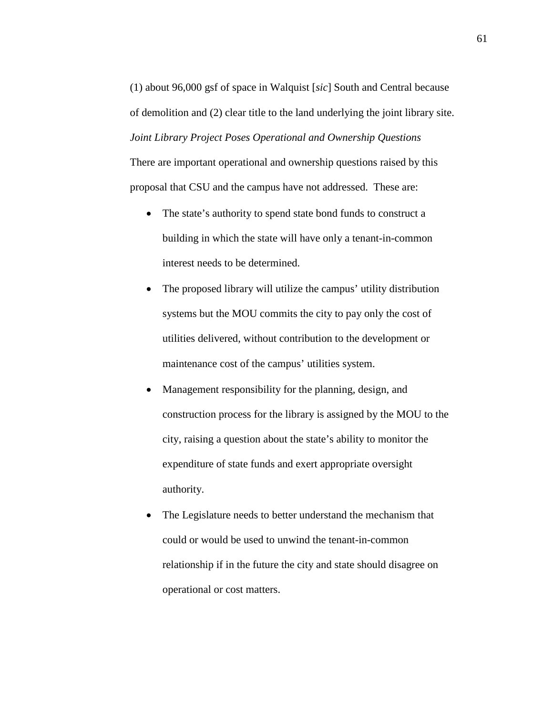(1) about 96,000 gsf of space in Walquist [*sic*] South and Central because of demolition and (2) clear title to the land underlying the joint library site. *Joint Library Project Poses Operational and Ownership Questions* There are important operational and ownership questions raised by this proposal that CSU and the campus have not addressed. These are:

- The state's authority to spend state bond funds to construct a building in which the state will have only a tenant-in-common interest needs to be determined.
- The proposed library will utilize the campus' utility distribution systems but the MOU commits the city to pay only the cost of utilities delivered, without contribution to the development or maintenance cost of the campus' utilities system.
- Management responsibility for the planning, design, and construction process for the library is assigned by the MOU to the city, raising a question about the state's ability to monitor the expenditure of state funds and exert appropriate oversight authority.
- The Legislature needs to better understand the mechanism that could or would be used to unwind the tenant-in-common relationship if in the future the city and state should disagree on operational or cost matters.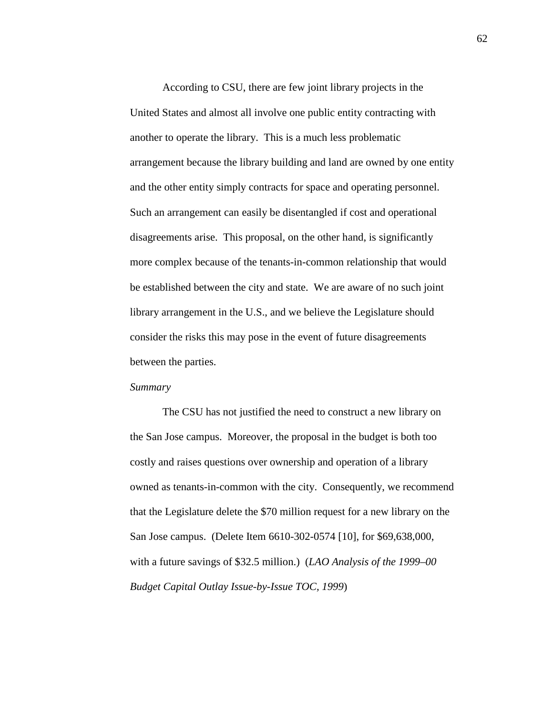According to CSU, there are few joint library projects in the United States and almost all involve one public entity contracting with another to operate the library. This is a much less problematic arrangement because the library building and land are owned by one entity and the other entity simply contracts for space and operating personnel. Such an arrangement can easily be disentangled if cost and operational disagreements arise. This proposal, on the other hand, is significantly more complex because of the tenants-in-common relationship that would be established between the city and state. We are aware of no such joint library arrangement in the U.S., and we believe the Legislature should consider the risks this may pose in the event of future disagreements between the parties.

#### *Summary*

 The CSU has not justified the need to construct a new library on the San Jose campus. Moreover, the proposal in the budget is both too costly and raises questions over ownership and operation of a library owned as tenants-in-common with the city. Consequently, we recommend that the Legislature delete the \$70 million request for a new library on the San Jose campus. (Delete Item 6610-302-0574 [10], for \$69,638,000, with a future savings of \$32.5 million.) (*LAO Analysis of the 1999–00 Budget Capital Outlay Issue-by-Issue TOC, 1999*)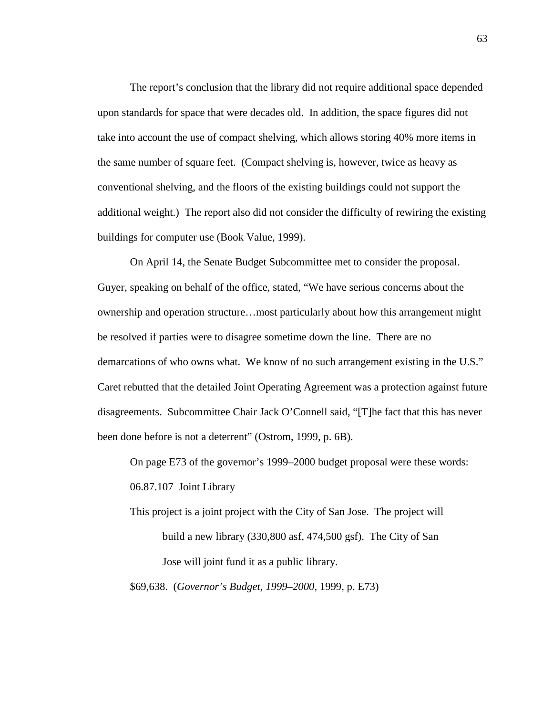The report's conclusion that the library did not require additional space depended upon standards for space that were decades old. In addition, the space figures did not take into account the use of compact shelving, which allows storing 40% more items in the same number of square feet. (Compact shelving is, however, twice as heavy as conventional shelving, and the floors of the existing buildings could not support the additional weight.) The report also did not consider the difficulty of rewiring the existing buildings for computer use (Book Value, 1999).

 On April 14, the Senate Budget Subcommittee met to consider the proposal. Guyer, speaking on behalf of the office, stated, "We have serious concerns about the ownership and operation structure…most particularly about how this arrangement might be resolved if parties were to disagree sometime down the line. There are no demarcations of who owns what. We know of no such arrangement existing in the U.S." Caret rebutted that the detailed Joint Operating Agreement was a protection against future disagreements. Subcommittee Chair Jack O'Connell said, "[T]he fact that this has never been done before is not a deterrent" (Ostrom, 1999, p. 6B).

 On page E73 of the governor's 1999–2000 budget proposal were these words: 06.87.107 Joint Library

This project is a joint project with the City of San Jose. The project will build a new library (330,800 asf, 474,500 gsf). The City of San Jose will joint fund it as a public library.

\$69,638. (*Governor's Budget, 1999–2000*, 1999, p. E73)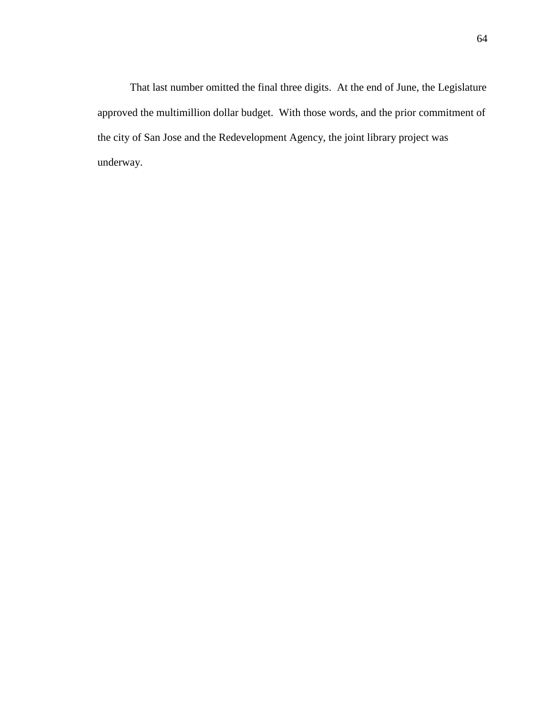That last number omitted the final three digits. At the end of June, the Legislature approved the multimillion dollar budget. With those words, and the prior commitment of the city of San Jose and the Redevelopment Agency, the joint library project was underway.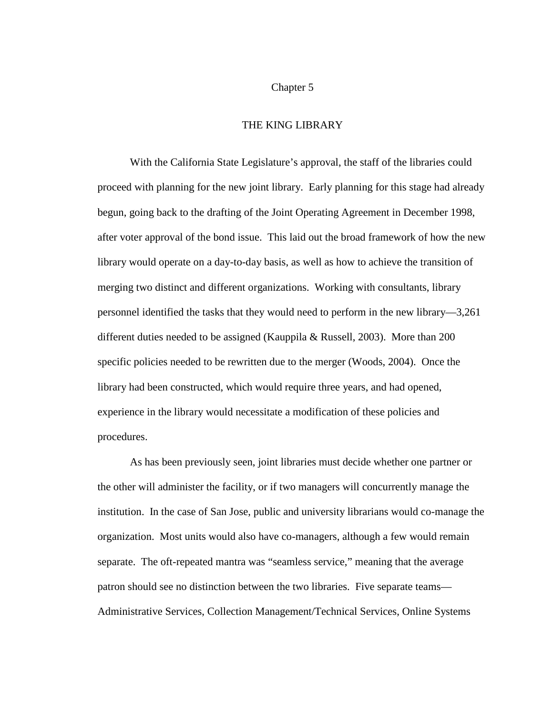#### Chapter 5

### THE KING LIBRARY

 With the California State Legislature's approval, the staff of the libraries could proceed with planning for the new joint library. Early planning for this stage had already begun, going back to the drafting of the Joint Operating Agreement in December 1998, after voter approval of the bond issue. This laid out the broad framework of how the new library would operate on a day-to-day basis, as well as how to achieve the transition of merging two distinct and different organizations. Working with consultants, library personnel identified the tasks that they would need to perform in the new library—3,261 different duties needed to be assigned (Kauppila & Russell, 2003). More than 200 specific policies needed to be rewritten due to the merger (Woods, 2004). Once the library had been constructed, which would require three years, and had opened, experience in the library would necessitate a modification of these policies and procedures.

 As has been previously seen, joint libraries must decide whether one partner or the other will administer the facility, or if two managers will concurrently manage the institution. In the case of San Jose, public and university librarians would co-manage the organization. Most units would also have co-managers, although a few would remain separate. The oft-repeated mantra was "seamless service," meaning that the average patron should see no distinction between the two libraries. Five separate teams— Administrative Services, Collection Management/Technical Services, Online Systems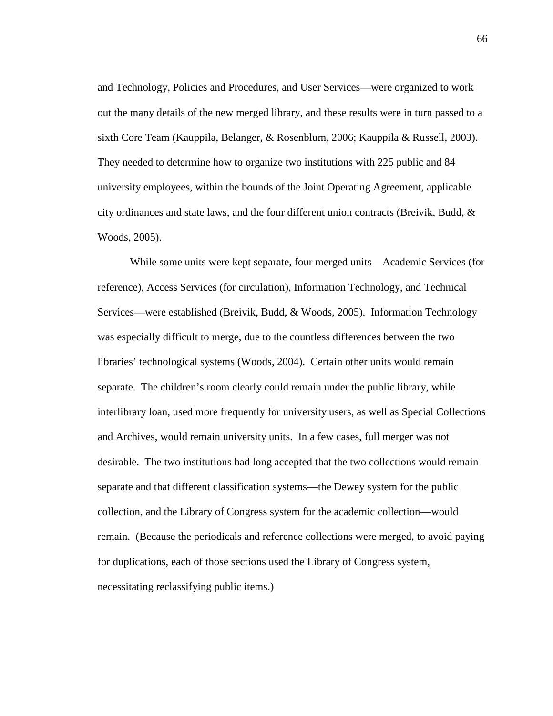and Technology, Policies and Procedures, and User Services—were organized to work out the many details of the new merged library, and these results were in turn passed to a sixth Core Team (Kauppila, Belanger, & Rosenblum, 2006; Kauppila & Russell, 2003). They needed to determine how to organize two institutions with 225 public and 84 university employees, within the bounds of the Joint Operating Agreement, applicable city ordinances and state laws, and the four different union contracts (Breivik, Budd,  $\&$ Woods, 2005).

 While some units were kept separate, four merged units—Academic Services (for reference), Access Services (for circulation), Information Technology, and Technical Services—were established (Breivik, Budd, & Woods, 2005). Information Technology was especially difficult to merge, due to the countless differences between the two libraries' technological systems (Woods, 2004). Certain other units would remain separate. The children's room clearly could remain under the public library, while interlibrary loan, used more frequently for university users, as well as Special Collections and Archives, would remain university units. In a few cases, full merger was not desirable. The two institutions had long accepted that the two collections would remain separate and that different classification systems—the Dewey system for the public collection, and the Library of Congress system for the academic collection—would remain. (Because the periodicals and reference collections were merged, to avoid paying for duplications, each of those sections used the Library of Congress system, necessitating reclassifying public items.)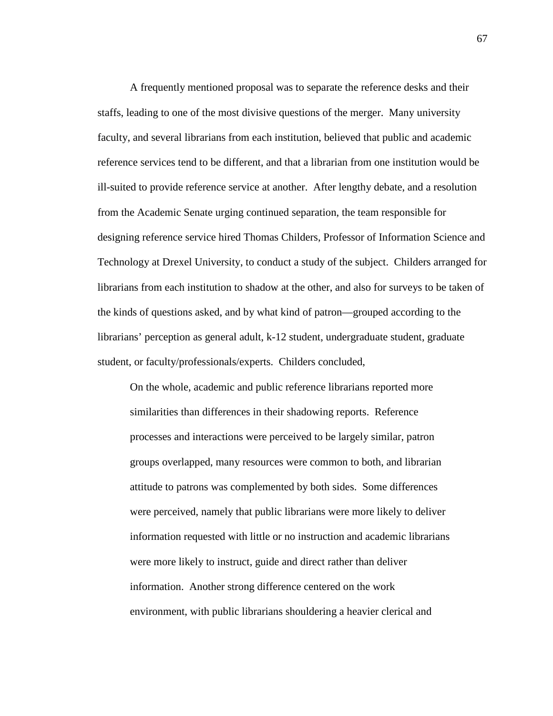A frequently mentioned proposal was to separate the reference desks and their staffs, leading to one of the most divisive questions of the merger. Many university faculty, and several librarians from each institution, believed that public and academic reference services tend to be different, and that a librarian from one institution would be ill-suited to provide reference service at another. After lengthy debate, and a resolution from the Academic Senate urging continued separation, the team responsible for designing reference service hired Thomas Childers, Professor of Information Science and Technology at Drexel University, to conduct a study of the subject. Childers arranged for librarians from each institution to shadow at the other, and also for surveys to be taken of the kinds of questions asked, and by what kind of patron—grouped according to the librarians' perception as general adult, k-12 student, undergraduate student, graduate student, or faculty/professionals/experts. Childers concluded,

On the whole, academic and public reference librarians reported more similarities than differences in their shadowing reports. Reference processes and interactions were perceived to be largely similar, patron groups overlapped, many resources were common to both, and librarian attitude to patrons was complemented by both sides. Some differences were perceived, namely that public librarians were more likely to deliver information requested with little or no instruction and academic librarians were more likely to instruct, guide and direct rather than deliver information. Another strong difference centered on the work environment, with public librarians shouldering a heavier clerical and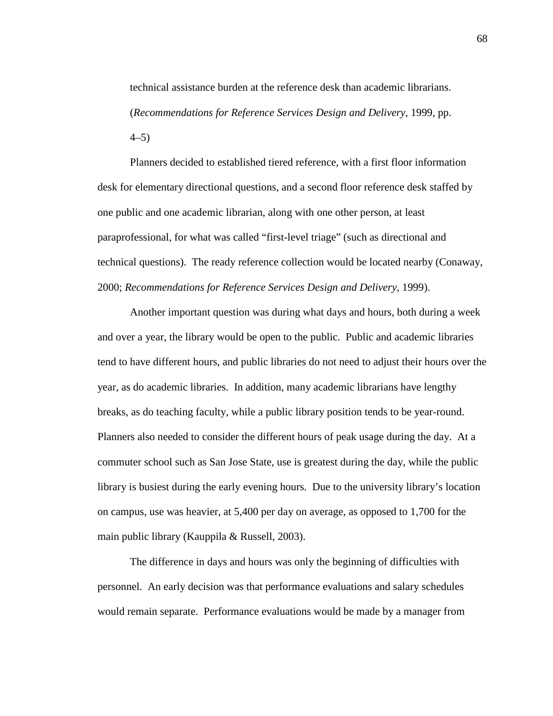technical assistance burden at the reference desk than academic librarians. (*Recommendations for Reference Services Design and Delivery*, 1999, pp. 4–5)

 Planners decided to established tiered reference, with a first floor information desk for elementary directional questions, and a second floor reference desk staffed by one public and one academic librarian, along with one other person, at least paraprofessional, for what was called "first-level triage" (such as directional and technical questions). The ready reference collection would be located nearby (Conaway, 2000; *Recommendations for Reference Services Design and Delivery*, 1999).

 Another important question was during what days and hours, both during a week and over a year, the library would be open to the public. Public and academic libraries tend to have different hours, and public libraries do not need to adjust their hours over the year, as do academic libraries. In addition, many academic librarians have lengthy breaks, as do teaching faculty, while a public library position tends to be year-round. Planners also needed to consider the different hours of peak usage during the day. At a commuter school such as San Jose State, use is greatest during the day, while the public library is busiest during the early evening hours. Due to the university library's location on campus, use was heavier, at 5,400 per day on average, as opposed to 1,700 for the main public library (Kauppila & Russell, 2003).

 The difference in days and hours was only the beginning of difficulties with personnel. An early decision was that performance evaluations and salary schedules would remain separate. Performance evaluations would be made by a manager from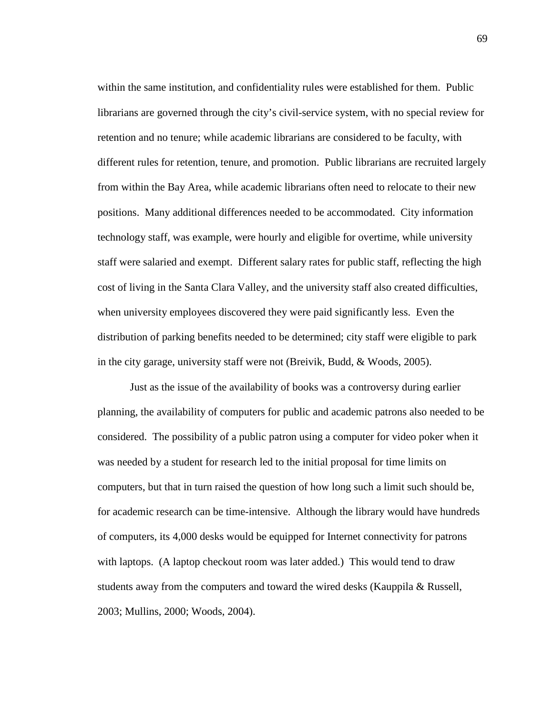within the same institution, and confidentiality rules were established for them. Public librarians are governed through the city's civil-service system, with no special review for retention and no tenure; while academic librarians are considered to be faculty, with different rules for retention, tenure, and promotion. Public librarians are recruited largely from within the Bay Area, while academic librarians often need to relocate to their new positions. Many additional differences needed to be accommodated. City information technology staff, was example, were hourly and eligible for overtime, while university staff were salaried and exempt. Different salary rates for public staff, reflecting the high cost of living in the Santa Clara Valley, and the university staff also created difficulties, when university employees discovered they were paid significantly less. Even the distribution of parking benefits needed to be determined; city staff were eligible to park in the city garage, university staff were not (Breivik, Budd, & Woods, 2005).

 Just as the issue of the availability of books was a controversy during earlier planning, the availability of computers for public and academic patrons also needed to be considered. The possibility of a public patron using a computer for video poker when it was needed by a student for research led to the initial proposal for time limits on computers, but that in turn raised the question of how long such a limit such should be, for academic research can be time-intensive. Although the library would have hundreds of computers, its 4,000 desks would be equipped for Internet connectivity for patrons with laptops. (A laptop checkout room was later added.) This would tend to draw students away from the computers and toward the wired desks (Kauppila & Russell, 2003; Mullins, 2000; Woods, 2004).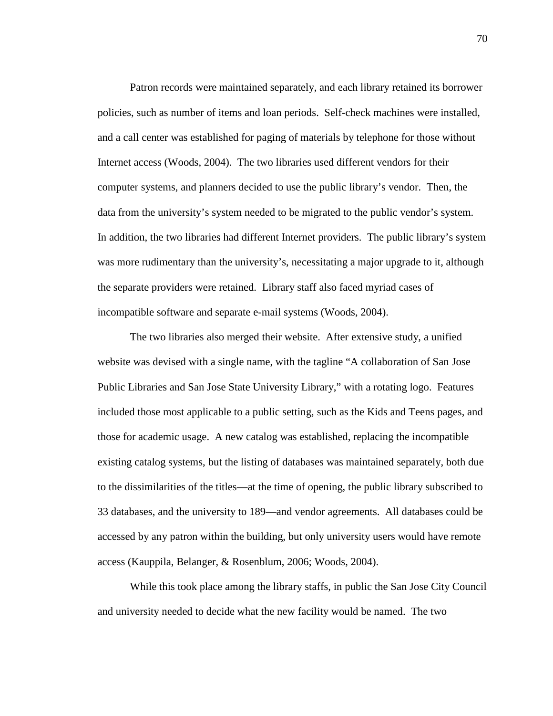Patron records were maintained separately, and each library retained its borrower policies, such as number of items and loan periods. Self-check machines were installed, and a call center was established for paging of materials by telephone for those without Internet access (Woods, 2004). The two libraries used different vendors for their computer systems, and planners decided to use the public library's vendor. Then, the data from the university's system needed to be migrated to the public vendor's system. In addition, the two libraries had different Internet providers. The public library's system was more rudimentary than the university's, necessitating a major upgrade to it, although the separate providers were retained. Library staff also faced myriad cases of incompatible software and separate e-mail systems (Woods, 2004).

 The two libraries also merged their website. After extensive study, a unified website was devised with a single name, with the tagline "A collaboration of San Jose Public Libraries and San Jose State University Library," with a rotating logo. Features included those most applicable to a public setting, such as the Kids and Teens pages, and those for academic usage. A new catalog was established, replacing the incompatible existing catalog systems, but the listing of databases was maintained separately, both due to the dissimilarities of the titles—at the time of opening, the public library subscribed to 33 databases, and the university to 189—and vendor agreements. All databases could be accessed by any patron within the building, but only university users would have remote access (Kauppila, Belanger, & Rosenblum, 2006; Woods, 2004).

 While this took place among the library staffs, in public the San Jose City Council and university needed to decide what the new facility would be named. The two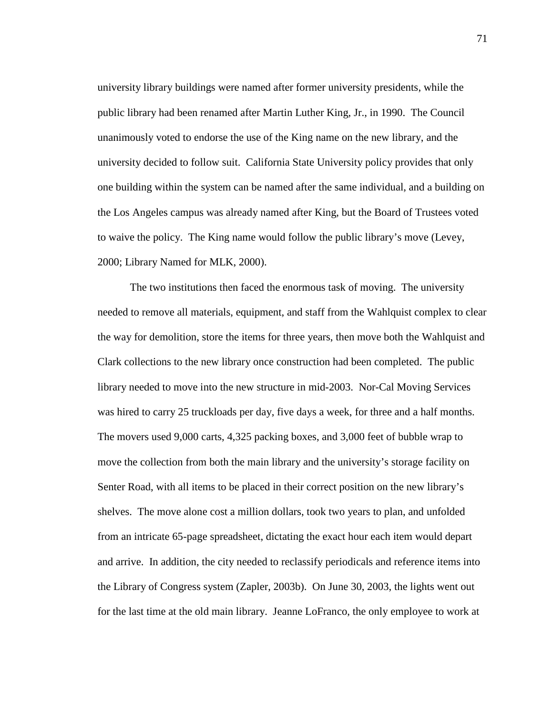university library buildings were named after former university presidents, while the public library had been renamed after Martin Luther King, Jr., in 1990. The Council unanimously voted to endorse the use of the King name on the new library, and the university decided to follow suit. California State University policy provides that only one building within the system can be named after the same individual, and a building on the Los Angeles campus was already named after King, but the Board of Trustees voted to waive the policy. The King name would follow the public library's move (Levey, 2000; Library Named for MLK, 2000).

 The two institutions then faced the enormous task of moving. The university needed to remove all materials, equipment, and staff from the Wahlquist complex to clear the way for demolition, store the items for three years, then move both the Wahlquist and Clark collections to the new library once construction had been completed. The public library needed to move into the new structure in mid-2003. Nor-Cal Moving Services was hired to carry 25 truckloads per day, five days a week, for three and a half months. The movers used 9,000 carts, 4,325 packing boxes, and 3,000 feet of bubble wrap to move the collection from both the main library and the university's storage facility on Senter Road, with all items to be placed in their correct position on the new library's shelves. The move alone cost a million dollars, took two years to plan, and unfolded from an intricate 65-page spreadsheet, dictating the exact hour each item would depart and arrive. In addition, the city needed to reclassify periodicals and reference items into the Library of Congress system (Zapler, 2003b). On June 30, 2003, the lights went out for the last time at the old main library. Jeanne LoFranco, the only employee to work at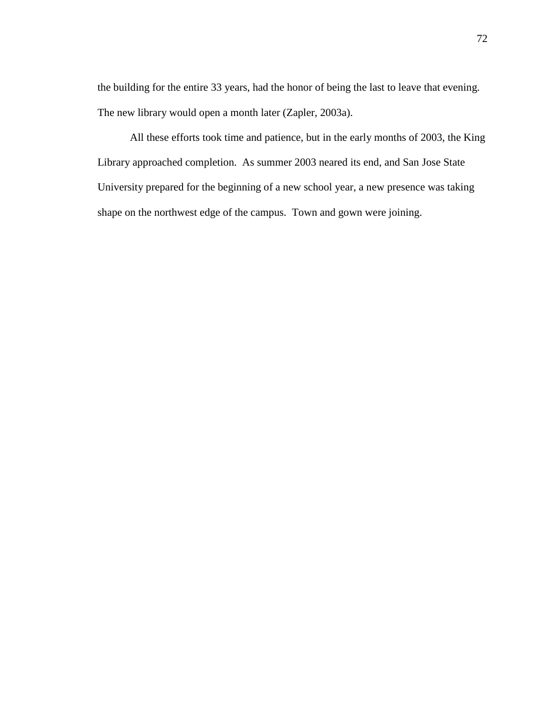the building for the entire 33 years, had the honor of being the last to leave that evening. The new library would open a month later (Zapler, 2003a).

 All these efforts took time and patience, but in the early months of 2003, the King Library approached completion. As summer 2003 neared its end, and San Jose State University prepared for the beginning of a new school year, a new presence was taking shape on the northwest edge of the campus. Town and gown were joining.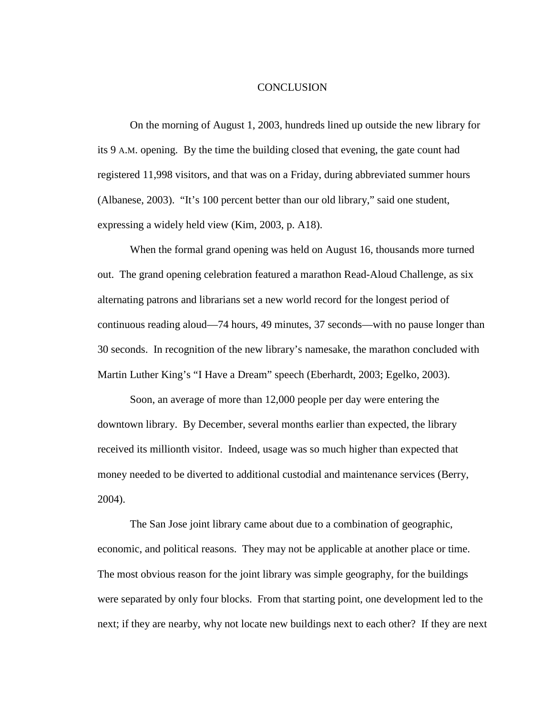## **CONCLUSION**

 On the morning of August 1, 2003, hundreds lined up outside the new library for its 9 A.M. opening. By the time the building closed that evening, the gate count had registered 11,998 visitors, and that was on a Friday, during abbreviated summer hours (Albanese, 2003). "It's 100 percent better than our old library," said one student, expressing a widely held view (Kim, 2003, p. A18).

 When the formal grand opening was held on August 16, thousands more turned out. The grand opening celebration featured a marathon Read-Aloud Challenge, as six alternating patrons and librarians set a new world record for the longest period of continuous reading aloud—74 hours, 49 minutes, 37 seconds—with no pause longer than 30 seconds. In recognition of the new library's namesake, the marathon concluded with Martin Luther King's "I Have a Dream" speech (Eberhardt, 2003; Egelko, 2003).

 Soon, an average of more than 12,000 people per day were entering the downtown library. By December, several months earlier than expected, the library received its millionth visitor. Indeed, usage was so much higher than expected that money needed to be diverted to additional custodial and maintenance services (Berry, 2004).

 The San Jose joint library came about due to a combination of geographic, economic, and political reasons. They may not be applicable at another place or time. The most obvious reason for the joint library was simple geography, for the buildings were separated by only four blocks. From that starting point, one development led to the next; if they are nearby, why not locate new buildings next to each other? If they are next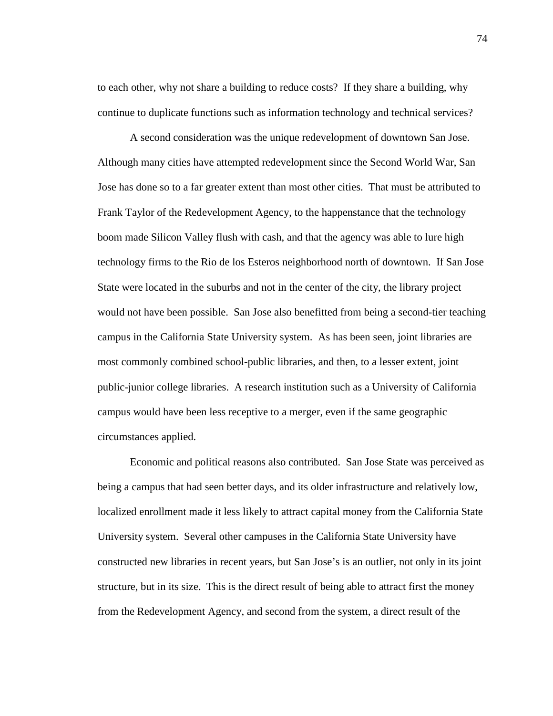to each other, why not share a building to reduce costs? If they share a building, why continue to duplicate functions such as information technology and technical services?

 A second consideration was the unique redevelopment of downtown San Jose. Although many cities have attempted redevelopment since the Second World War, San Jose has done so to a far greater extent than most other cities. That must be attributed to Frank Taylor of the Redevelopment Agency, to the happenstance that the technology boom made Silicon Valley flush with cash, and that the agency was able to lure high technology firms to the Rio de los Esteros neighborhood north of downtown. If San Jose State were located in the suburbs and not in the center of the city, the library project would not have been possible. San Jose also benefitted from being a second-tier teaching campus in the California State University system. As has been seen, joint libraries are most commonly combined school-public libraries, and then, to a lesser extent, joint public-junior college libraries. A research institution such as a University of California campus would have been less receptive to a merger, even if the same geographic circumstances applied.

 Economic and political reasons also contributed. San Jose State was perceived as being a campus that had seen better days, and its older infrastructure and relatively low, localized enrollment made it less likely to attract capital money from the California State University system. Several other campuses in the California State University have constructed new libraries in recent years, but San Jose's is an outlier, not only in its joint structure, but in its size. This is the direct result of being able to attract first the money from the Redevelopment Agency, and second from the system, a direct result of the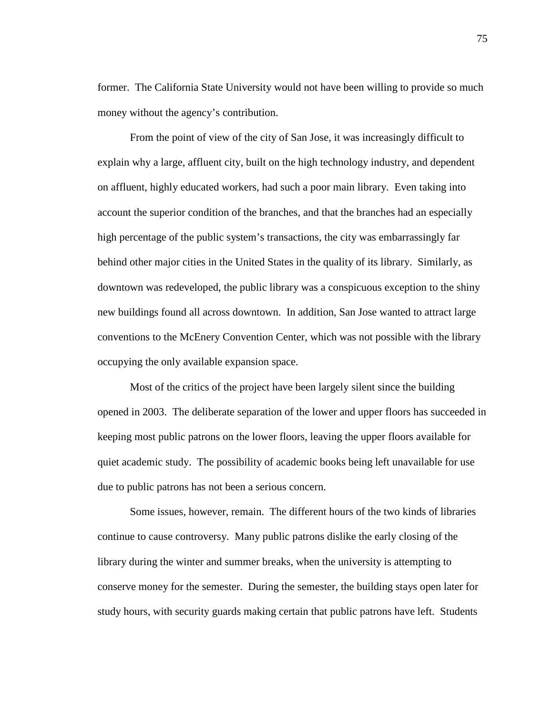former. The California State University would not have been willing to provide so much money without the agency's contribution.

 From the point of view of the city of San Jose, it was increasingly difficult to explain why a large, affluent city, built on the high technology industry, and dependent on affluent, highly educated workers, had such a poor main library. Even taking into account the superior condition of the branches, and that the branches had an especially high percentage of the public system's transactions, the city was embarrassingly far behind other major cities in the United States in the quality of its library. Similarly, as downtown was redeveloped, the public library was a conspicuous exception to the shiny new buildings found all across downtown. In addition, San Jose wanted to attract large conventions to the McEnery Convention Center, which was not possible with the library occupying the only available expansion space.

 Most of the critics of the project have been largely silent since the building opened in 2003. The deliberate separation of the lower and upper floors has succeeded in keeping most public patrons on the lower floors, leaving the upper floors available for quiet academic study. The possibility of academic books being left unavailable for use due to public patrons has not been a serious concern.

 Some issues, however, remain. The different hours of the two kinds of libraries continue to cause controversy. Many public patrons dislike the early closing of the library during the winter and summer breaks, when the university is attempting to conserve money for the semester. During the semester, the building stays open later for study hours, with security guards making certain that public patrons have left. Students

75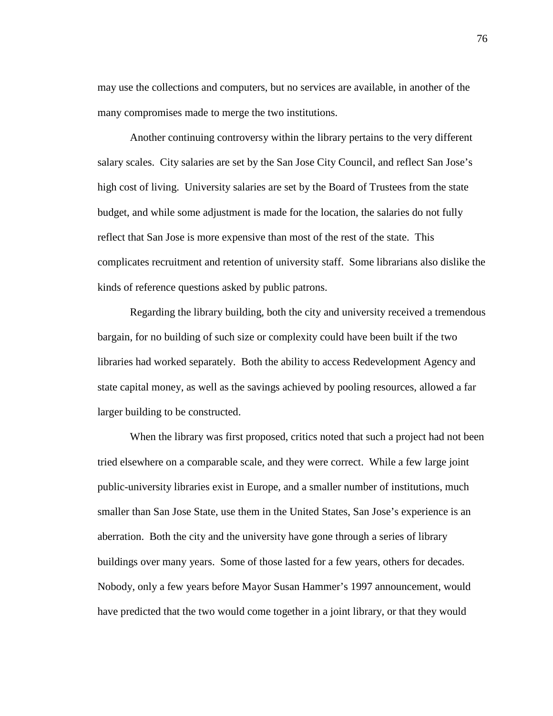may use the collections and computers, but no services are available, in another of the many compromises made to merge the two institutions.

 Another continuing controversy within the library pertains to the very different salary scales. City salaries are set by the San Jose City Council, and reflect San Jose's high cost of living. University salaries are set by the Board of Trustees from the state budget, and while some adjustment is made for the location, the salaries do not fully reflect that San Jose is more expensive than most of the rest of the state. This complicates recruitment and retention of university staff. Some librarians also dislike the kinds of reference questions asked by public patrons.

 Regarding the library building, both the city and university received a tremendous bargain, for no building of such size or complexity could have been built if the two libraries had worked separately. Both the ability to access Redevelopment Agency and state capital money, as well as the savings achieved by pooling resources, allowed a far larger building to be constructed.

 When the library was first proposed, critics noted that such a project had not been tried elsewhere on a comparable scale, and they were correct. While a few large joint public-university libraries exist in Europe, and a smaller number of institutions, much smaller than San Jose State, use them in the United States, San Jose's experience is an aberration. Both the city and the university have gone through a series of library buildings over many years. Some of those lasted for a few years, others for decades. Nobody, only a few years before Mayor Susan Hammer's 1997 announcement, would have predicted that the two would come together in a joint library, or that they would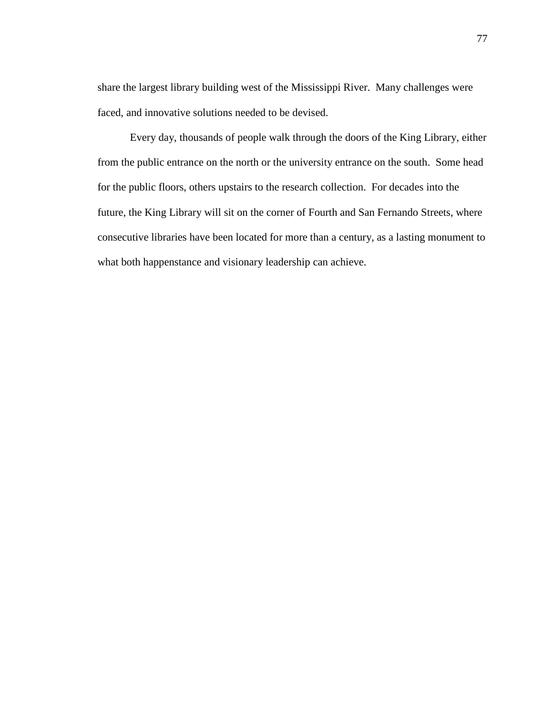share the largest library building west of the Mississippi River. Many challenges were faced, and innovative solutions needed to be devised.

 Every day, thousands of people walk through the doors of the King Library, either from the public entrance on the north or the university entrance on the south. Some head for the public floors, others upstairs to the research collection. For decades into the future, the King Library will sit on the corner of Fourth and San Fernando Streets, where consecutive libraries have been located for more than a century, as a lasting monument to what both happenstance and visionary leadership can achieve.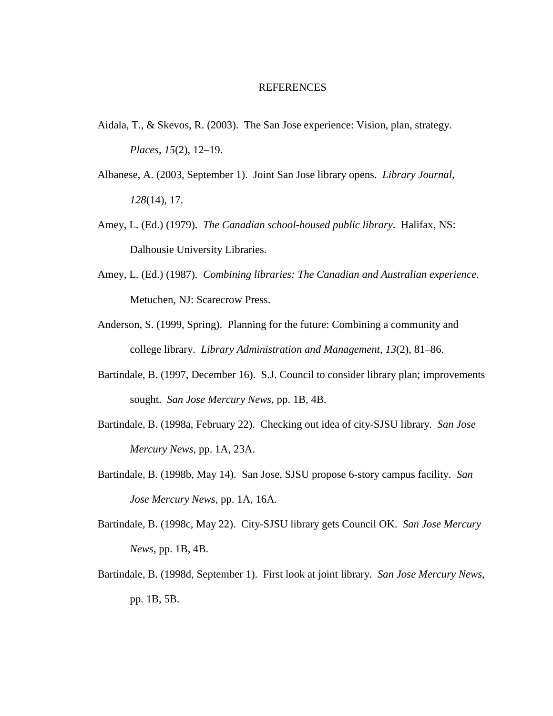## REFERENCES

- Aidala, T., & Skevos, R. (2003). The San Jose experience: Vision, plan, strategy. *Places*, *15*(2), 12–19.
- Albanese, A. (2003, September 1). Joint San Jose library opens. *Library Journal*, *128*(14), 17.
- Amey, L. (Ed.) (1979). *The Canadian school-housed public library*. Halifax, NS: Dalhousie University Libraries.
- Amey, L. (Ed.) (1987). *Combining libraries: The Canadian and Australian experience*. Metuchen, NJ: Scarecrow Press.
- Anderson, S. (1999, Spring). Planning for the future: Combining a community and college library. *Library Administration and Management*, *13*(2), 81–86.
- Bartindale, B. (1997, December 16). S.J. Council to consider library plan; improvements sought. *San Jose Mercury News*, pp. 1B, 4B.
- Bartindale, B. (1998a, February 22). Checking out idea of city-SJSU library. *San Jose Mercury News*, pp. 1A, 23A.
- Bartindale, B. (1998b, May 14). San Jose, SJSU propose 6-story campus facility. *San Jose Mercury News*, pp. 1A, 16A.
- Bartindale, B. (1998c, May 22). City-SJSU library gets Council OK. *San Jose Mercury News*, pp. 1B, 4B.
- Bartindale, B. (1998d, September 1). First look at joint library. *San Jose Mercury News*, pp. 1B, 5B.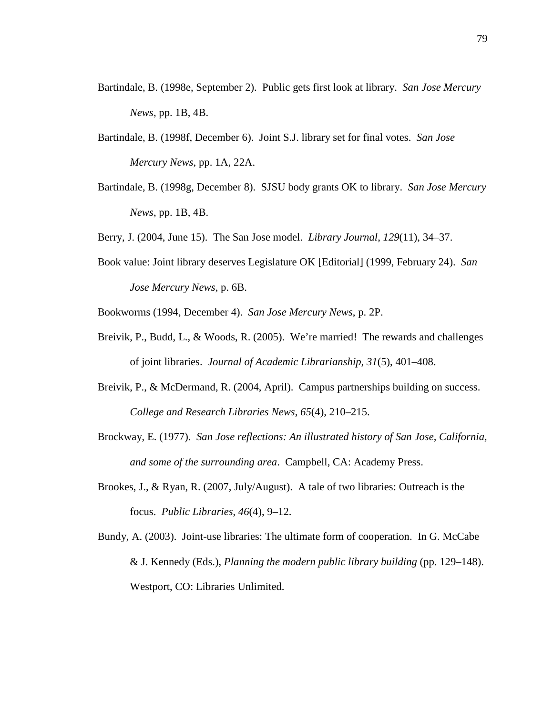- Bartindale, B. (1998e, September 2). Public gets first look at library. *San Jose Mercury News*, pp. 1B, 4B.
- Bartindale, B. (1998f, December 6). Joint S.J. library set for final votes. *San Jose Mercury News*, pp. 1A, 22A.
- Bartindale, B. (1998g, December 8). SJSU body grants OK to library. *San Jose Mercury News*, pp. 1B, 4B.
- Berry, J. (2004, June 15). The San Jose model. *Library Journal*, *129*(11), 34–37.
- Book value: Joint library deserves Legislature OK [Editorial] (1999, February 24). *San Jose Mercury News*, p. 6B.
- Bookworms (1994, December 4). *San Jose Mercury News*, p. 2P.
- Breivik, P., Budd, L., & Woods, R. (2005). We're married! The rewards and challenges of joint libraries. *Journal of Academic Librarianship*, *31*(5), 401–408.
- Breivik, P., & McDermand, R. (2004, April). Campus partnerships building on success. *College and Research Libraries News*, *65*(4), 210–215.
- Brockway, E. (1977). *San Jose reflections: An illustrated history of San Jose, California, and some of the surrounding area*. Campbell, CA: Academy Press.
- Brookes, J., & Ryan, R. (2007, July/August). A tale of two libraries: Outreach is the focus. *Public Libraries*, *46*(4), 9–12.
- Bundy, A. (2003). Joint-use libraries: The ultimate form of cooperation. In G. McCabe & J. Kennedy (Eds.), *Planning the modern public library building* (pp. 129–148). Westport, CO: Libraries Unlimited.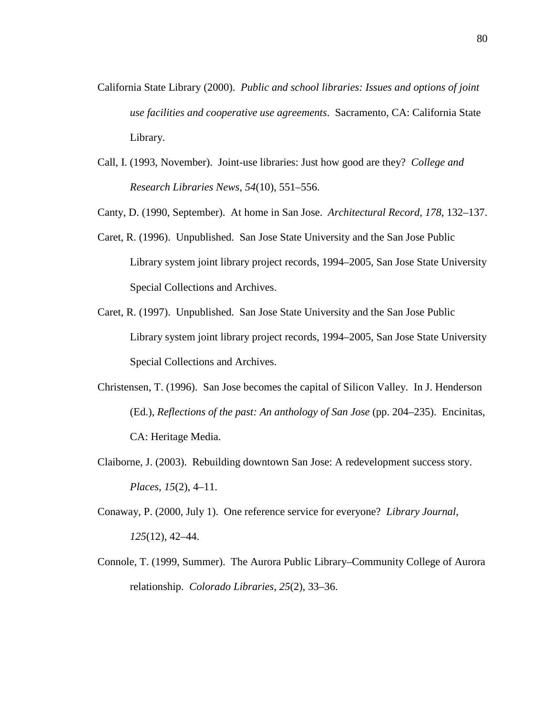- California State Library (2000). *Public and school libraries: Issues and options of joint use facilities and cooperative use agreements*. Sacramento, CA: California State Library.
- Call, I. (1993, November). Joint-use libraries: Just how good are they? *College and Research Libraries News*, *54*(10), 551–556.
- Canty, D. (1990, September). At home in San Jose. *Architectural Record*, *178*, 132–137.
- Caret, R. (1996). Unpublished. San Jose State University and the San Jose Public Library system joint library project records, 1994–2005, San Jose State University Special Collections and Archives.
- Caret, R. (1997). Unpublished. San Jose State University and the San Jose Public Library system joint library project records, 1994–2005, San Jose State University Special Collections and Archives.
- Christensen, T. (1996). San Jose becomes the capital of Silicon Valley. In J. Henderson (Ed.), *Reflections of the past: An anthology of San Jose* (pp. 204–235). Encinitas, CA: Heritage Media.
- Claiborne, J. (2003). Rebuilding downtown San Jose: A redevelopment success story. *Places*, *15*(2), 4–11.
- Conaway, P. (2000, July 1). One reference service for everyone? *Library Journal*, *125*(12), 42–44.
- Connole, T. (1999, Summer). The Aurora Public Library–Community College of Aurora relationship. *Colorado Libraries*, *25*(2), 33–36.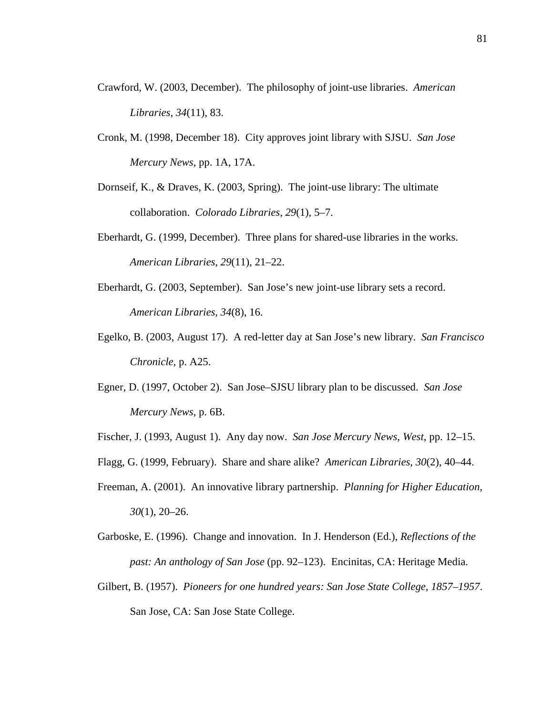- Crawford, W. (2003, December). The philosophy of joint-use libraries. *American Libraries*, *34*(11), 83.
- Cronk, M. (1998, December 18). City approves joint library with SJSU. *San Jose Mercury News*, pp. 1A, 17A.
- Dornseif, K., & Draves, K. (2003, Spring). The joint-use library: The ultimate collaboration. *Colorado Libraries*, *29*(1), 5–7.
- Eberhardt, G. (1999, December). Three plans for shared-use libraries in the works. *American Libraries*, *29*(11), 21–22.
- Eberhardt, G. (2003, September). San Jose's new joint-use library sets a record. *American Libraries*, *34*(8), 16.
- Egelko, B. (2003, August 17). A red-letter day at San Jose's new library. *San Francisco Chronicle*, p. A25.
- Egner, D. (1997, October 2). San Jose–SJSU library plan to be discussed. *San Jose Mercury News*, p. 6B.
- Fischer, J. (1993, August 1). Any day now. *San Jose Mercury News*, *West*, pp. 12–15.
- Flagg, G. (1999, February). Share and share alike? *American Libraries*, *30*(2), 40–44.
- Freeman, A. (2001). An innovative library partnership. *Planning for Higher Education*, *30*(1), 20–26.
- Garboske, E. (1996). Change and innovation. In J. Henderson (Ed.), *Reflections of the past: An anthology of San Jose* (pp. 92–123). Encinitas, CA: Heritage Media.
- Gilbert, B. (1957). *Pioneers for one hundred years: San Jose State College, 1857–1957*. San Jose, CA: San Jose State College.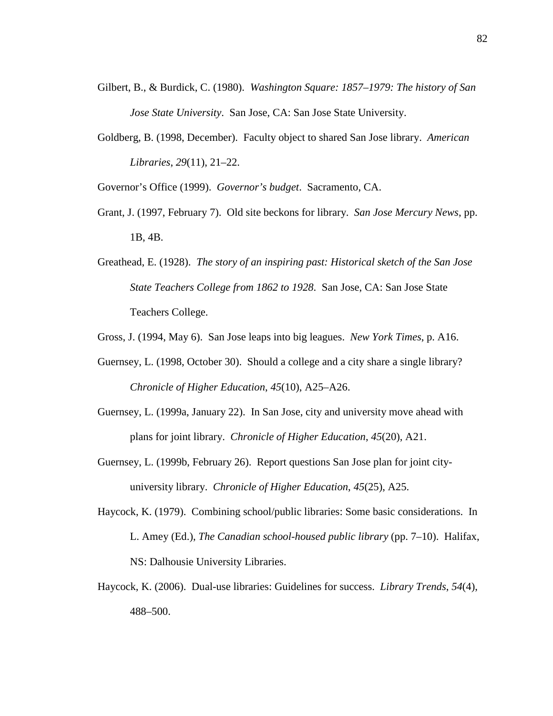- Gilbert, B., & Burdick, C. (1980). *Washington Square: 1857–1979: The history of San Jose State University*. San Jose, CA: San Jose State University.
- Goldberg, B. (1998, December). Faculty object to shared San Jose library. *American Libraries*, *29*(11), 21–22.

Governor's Office (1999). *Governor's budget*. Sacramento, CA.

- Grant, J. (1997, February 7). Old site beckons for library. *San Jose Mercury News*, pp. 1B, 4B.
- Greathead, E. (1928). *The story of an inspiring past: Historical sketch of the San Jose State Teachers College from 1862 to 1928*. San Jose, CA: San Jose State Teachers College.
- Gross, J. (1994, May 6). San Jose leaps into big leagues. *New York Times*, p. A16.
- Guernsey, L. (1998, October 30). Should a college and a city share a single library? *Chronicle of Higher Education*, *45*(10), A25–A26.
- Guernsey, L. (1999a, January 22). In San Jose, city and university move ahead with plans for joint library. *Chronicle of Higher Education*, *45*(20), A21.
- Guernsey, L. (1999b, February 26). Report questions San Jose plan for joint cityuniversity library. *Chronicle of Higher Education*, *45*(25), A25.
- Haycock, K. (1979). Combining school/public libraries: Some basic considerations. In L. Amey (Ed.), *The Canadian school-housed public library* (pp. 7–10). Halifax, NS: Dalhousie University Libraries.
- Haycock, K. (2006). Dual-use libraries: Guidelines for success. *Library Trends*, *54*(4), 488–500.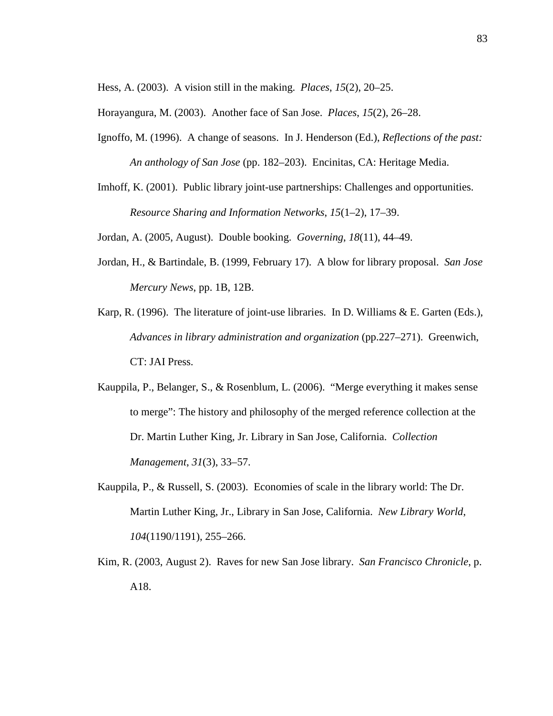Hess, A. (2003). A vision still in the making. *Places*, *15*(2), 20–25.

Horayangura, M. (2003). Another face of San Jose. *Places*, *15*(2), 26–28.

- Ignoffo, M. (1996). A change of seasons. In J. Henderson (Ed.), *Reflections of the past: An anthology of San Jose* (pp. 182–203). Encinitas, CA: Heritage Media.
- Imhoff, K. (2001). Public library joint-use partnerships: Challenges and opportunities. *Resource Sharing and Information Networks*, *15*(1–2), 17–39.

Jordan, A. (2005, August). Double booking. *Governing*, *18*(11), 44–49.

- Jordan, H., & Bartindale, B. (1999, February 17). A blow for library proposal. *San Jose Mercury News*, pp. 1B, 12B.
- Karp, R. (1996). The literature of joint-use libraries. In D. Williams  $\&$  E. Garten (Eds.), *Advances in library administration and organization* (pp.227–271). Greenwich, CT: JAI Press.
- Kauppila, P., Belanger, S., & Rosenblum, L. (2006). "Merge everything it makes sense to merge": The history and philosophy of the merged reference collection at the Dr. Martin Luther King, Jr. Library in San Jose, California. *Collection Management*, *31*(3), 33–57.
- Kauppila, P., & Russell, S. (2003). Economies of scale in the library world: The Dr. Martin Luther King, Jr., Library in San Jose, California. *New Library World*, *104*(1190/1191), 255–266.
- Kim, R. (2003, August 2). Raves for new San Jose library. *San Francisco Chronicle*, p. A18.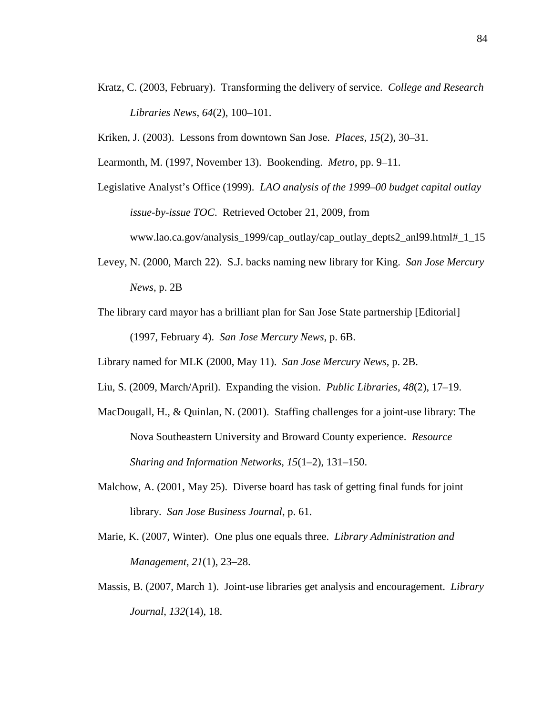- Kratz, C. (2003, February). Transforming the delivery of service. *College and Research Libraries News*, *64*(2), 100–101.
- Kriken, J. (2003). Lessons from downtown San Jose. *Places*, *15*(2), 30–31.
- Learmonth, M. (1997, November 13). Bookending. *Metro*, pp. 9–11.
- Legislative Analyst's Office (1999). *LAO analysis of the 1999–00 budget capital outlay issue-by-issue TOC*. Retrieved October 21, 2009, from

www.lao.ca.gov/analysis\_1999/cap\_outlay/cap\_outlay\_depts2\_anl99.html#\_1\_15

- Levey, N. (2000, March 22). S.J. backs naming new library for King. *San Jose Mercury News*, p. 2B
- The library card mayor has a brilliant plan for San Jose State partnership [Editorial] (1997, February 4). *San Jose Mercury News*, p. 6B.

Library named for MLK (2000, May 11). *San Jose Mercury News*, p. 2B.

- Liu, S. (2009, March/April). Expanding the vision. *Public Libraries*, *48*(2), 17–19.
- MacDougall, H., & Quinlan, N. (2001). Staffing challenges for a joint-use library: The Nova Southeastern University and Broward County experience. *Resource Sharing and Information Networks*, *15*(1–2), 131–150.
- Malchow, A. (2001, May 25). Diverse board has task of getting final funds for joint library. *San Jose Business Journal*, p. 61.
- Marie, K. (2007, Winter). One plus one equals three. *Library Administration and Management*, *21*(1), 23–28.
- Massis, B. (2007, March 1). Joint-use libraries get analysis and encouragement. *Library Journal*, *132*(14), 18.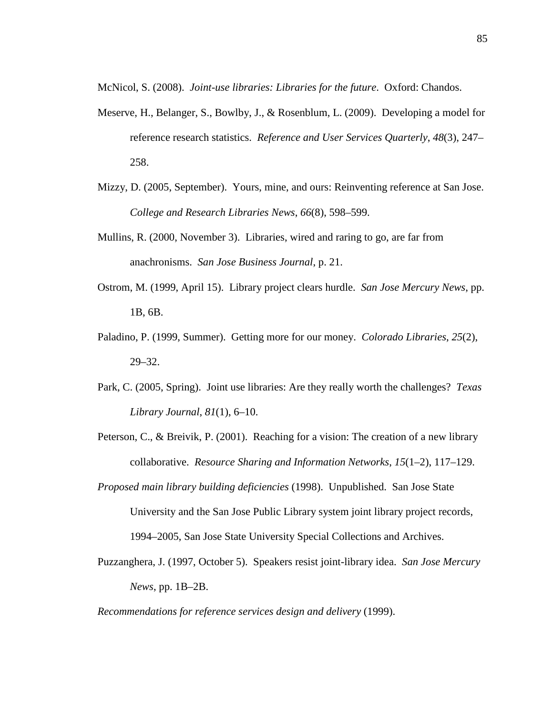McNicol, S. (2008). *Joint-use libraries: Libraries for the future*. Oxford: Chandos.

- Meserve, H., Belanger, S., Bowlby, J., & Rosenblum, L. (2009). Developing a model for reference research statistics. *Reference and User Services Quarterly*, *48*(3), 247– 258.
- Mizzy, D. (2005, September). Yours, mine, and ours: Reinventing reference at San Jose. *College and Research Libraries News*, *66*(8), 598–599.
- Mullins, R. (2000, November 3). Libraries, wired and raring to go, are far from anachronisms. *San Jose Business Journal*, p. 21.
- Ostrom, M. (1999, April 15). Library project clears hurdle. *San Jose Mercury News*, pp. 1B, 6B.
- Paladino, P. (1999, Summer). Getting more for our money. *Colorado Libraries*, *25*(2), 29–32.
- Park, C. (2005, Spring). Joint use libraries: Are they really worth the challenges? *Texas Library Journal*, *81*(1), 6–10.
- Peterson, C., & Breivik, P. (2001). Reaching for a vision: The creation of a new library collaborative. *Resource Sharing and Information Networks*, *15*(1–2), 117–129.
- *Proposed main library building deficiencies* (1998). Unpublished. San Jose State University and the San Jose Public Library system joint library project records, 1994–2005, San Jose State University Special Collections and Archives.
- Puzzanghera, J. (1997, October 5). Speakers resist joint-library idea. *San Jose Mercury News*, pp. 1B–2B.

*Recommendations for reference services design and delivery* (1999).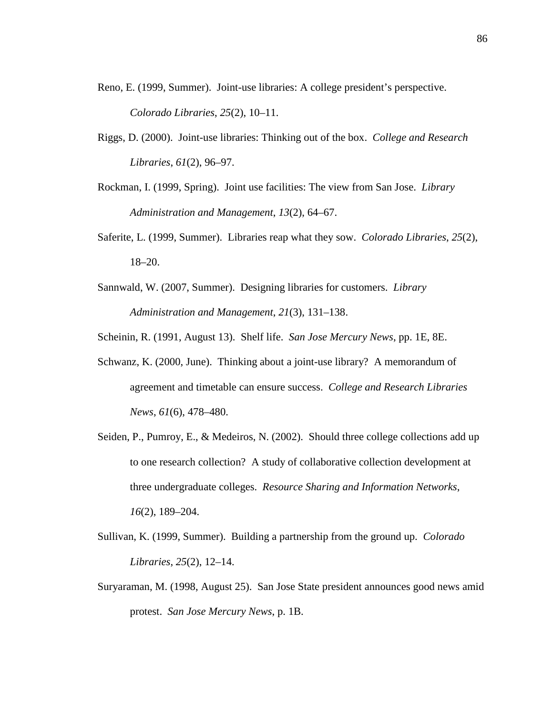- Reno, E. (1999, Summer). Joint-use libraries: A college president's perspective. *Colorado Libraries*, *25*(2), 10–11.
- Riggs, D. (2000). Joint-use libraries: Thinking out of the box. *College and Research Libraries*, *61*(2), 96–97.
- Rockman, I. (1999, Spring). Joint use facilities: The view from San Jose. *Library Administration and Management*, *13*(2), 64–67.
- Saferite, L. (1999, Summer). Libraries reap what they sow. *Colorado Libraries*, *25*(2), 18–20.
- Sannwald, W. (2007, Summer). Designing libraries for customers. *Library Administration and Management*, *21*(3), 131–138.
- Scheinin, R. (1991, August 13). Shelf life. *San Jose Mercury News*, pp. 1E, 8E.
- Schwanz, K. (2000, June). Thinking about a joint-use library? A memorandum of agreement and timetable can ensure success. *College and Research Libraries News*, *61*(6), 478–480.
- Seiden, P., Pumroy, E., & Medeiros, N. (2002). Should three college collections add up to one research collection? A study of collaborative collection development at three undergraduate colleges. *Resource Sharing and Information Networks*, *16*(2), 189–204.
- Sullivan, K. (1999, Summer). Building a partnership from the ground up. *Colorado Libraries*, *25*(2), 12–14.
- Suryaraman, M. (1998, August 25). San Jose State president announces good news amid protest. *San Jose Mercury News*, p. 1B.